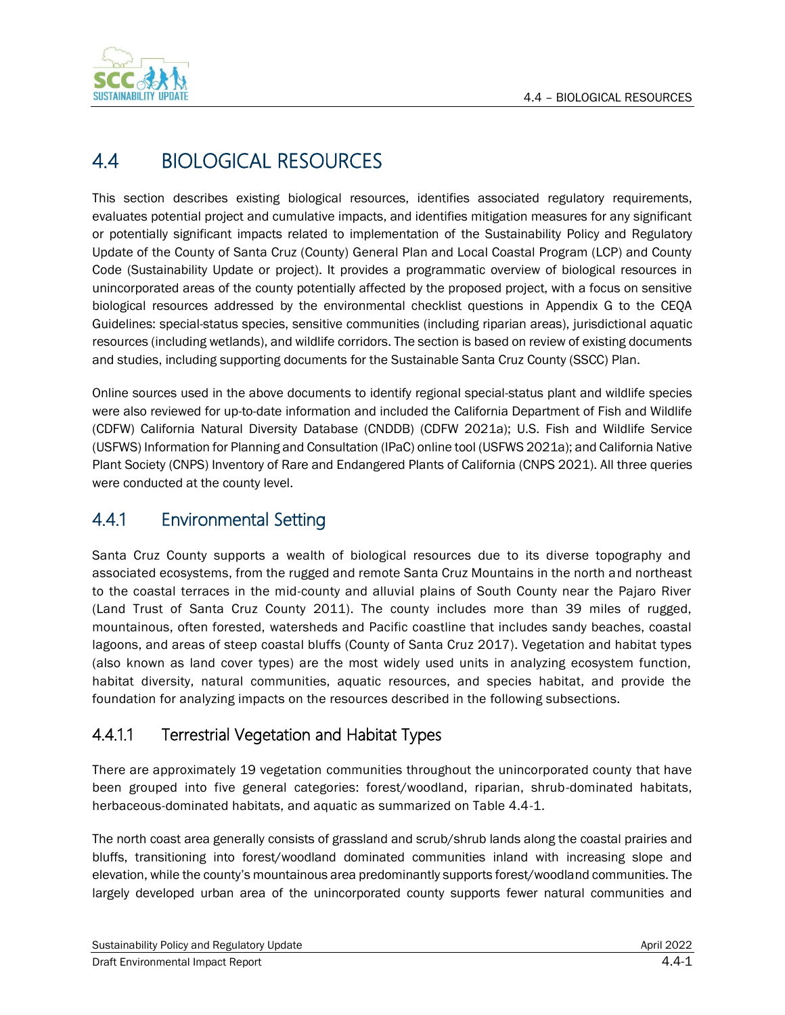

# 4.4 BIOLOGICAL RESOURCES

This section describes existing biological resources, identifies associated regulatory requirements, evaluates potential project and cumulative impacts, and identifies mitigation measures for any significant or potentially significant impacts related to implementation of the Sustainability Policy and Regulatory Update of the County of Santa Cruz (County) General Plan and Local Coastal Program (LCP) and County Code (Sustainability Update or project). It provides a programmatic overview of biological resources in unincorporated areas of the county potentially affected by the proposed project, with a focus on sensitive biological resources addressed by the environmental checklist questions in Appendix G to the CEQA Guidelines: special-status species, sensitive communities (including riparian areas), jurisdictional aquatic resources (including wetlands), and wildlife corridors. The section is based on review of existing documents and studies, including supporting documents for the Sustainable Santa Cruz County (SSCC) Plan.

Online sources used in the above documents to identify regional special-status plant and wildlife species were also reviewed for up-to-date information and included the California Department of Fish and Wildlife (CDFW) California Natural Diversity Database (CNDDB) (CDFW 2021a); U.S. Fish and Wildlife Service (USFWS) Information for Planning and Consultation (IPaC) online tool (USFWS 2021a); and California Native Plant Society (CNPS) Inventory of Rare and Endangered Plants of California (CNPS 2021). All three queries were conducted at the county level.

# 4.4.1 Environmental Setting

Santa Cruz County supports a wealth of biological resources due to its diverse topography and associated ecosystems, from the rugged and remote Santa Cruz Mountains in the north and northeast to the coastal terraces in the mid-county and alluvial plains of South County near the Pajaro River (Land Trust of Santa Cruz County 2011). The county includes more than 39 miles of rugged, mountainous, often forested, watersheds and Pacific coastline that includes sandy beaches, coastal lagoons, and areas of steep coastal bluffs (County of Santa Cruz 2017). Vegetation and habitat types (also known as land cover types) are the most widely used units in analyzing ecosystem function, habitat diversity, natural communities, aquatic resources, and species habitat, and provide the foundation for analyzing impacts on the resources described in the following subsections.

# 4.4.1.1 Terrestrial Vegetation and Habitat Types

There are approximately 19 vegetation communities throughout the unincorporated county that have been grouped into five general categories: forest/woodland, riparian, shrub-dominated habitats, herbaceous-dominated habitats, and aquatic as summarized on Table 4.4-1.

The north coast area generally consists of grassland and scrub/shrub lands along the coastal prairies and bluffs, transitioning into forest/woodland dominated communities inland with increasing slope and elevation, while the county's mountainous area predominantly supports forest/woodland communities. The largely developed urban area of the unincorporated county supports fewer natural communities and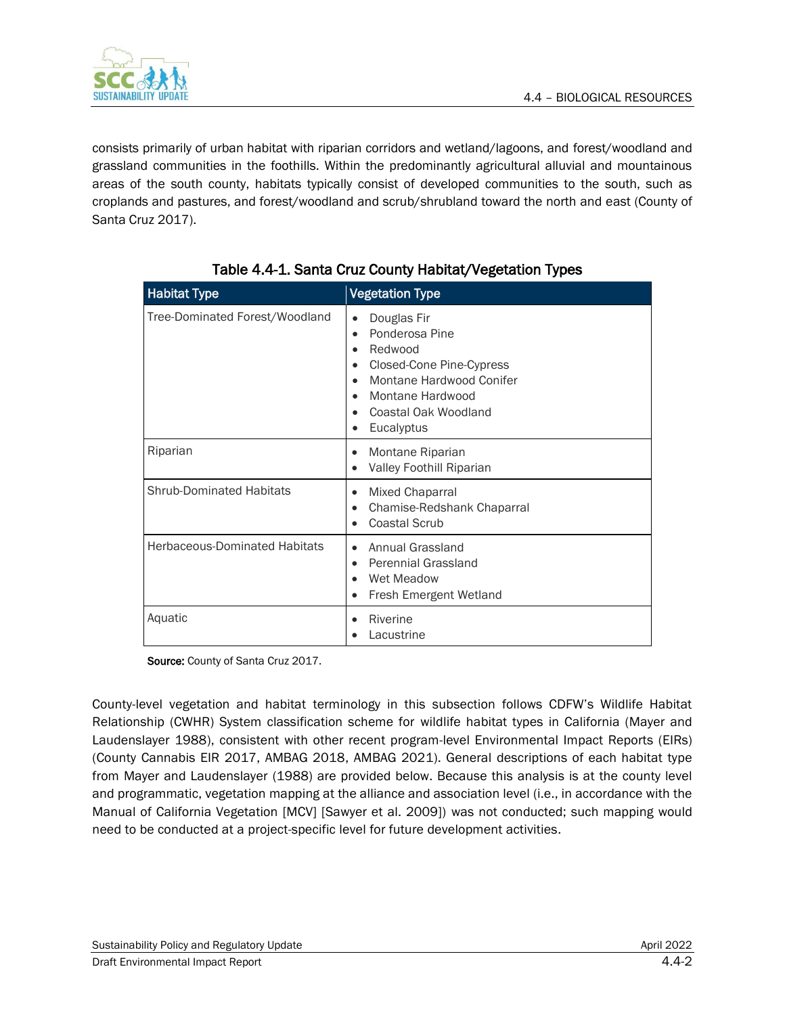

consists primarily of urban habitat with riparian corridors and wetland/lagoons, and forest/woodland and grassland communities in the foothills. Within the predominantly agricultural alluvial and mountainous areas of the south county, habitats typically consist of developed communities to the south, such as croplands and pastures, and forest/woodland and scrub/shrubland toward the north and east (County of Santa Cruz 2017).

| <b>Habitat Type</b>                  | <b>Vegetation Type</b>                                                                                                                                                                                              |
|--------------------------------------|---------------------------------------------------------------------------------------------------------------------------------------------------------------------------------------------------------------------|
| Tree-Dominated Forest/Woodland       | Douglas Fir<br>$\bullet$<br>Ponderosa Pine<br>$\bullet$<br>Redwood<br>٠<br>Closed-Cone Pine-Cypress<br>$\bullet$<br>Montane Hardwood Conifer<br>Montane Hardwood<br>$\bullet$<br>Coastal Oak Woodland<br>Eucalyptus |
| Riparian                             | Montane Riparian<br>$\bullet$<br>Valley Foothill Riparian                                                                                                                                                           |
| <b>Shrub-Dominated Habitats</b>      | Mixed Chaparral<br>$\bullet$<br>Chamise-Redshank Chaparral<br>$\bullet$<br>Coastal Scrub                                                                                                                            |
| <b>Herbaceous-Dominated Habitats</b> | Annual Grassland<br>Perennial Grassland<br>٠<br>Wet Meadow<br>Fresh Emergent Wetland<br>$\bullet$                                                                                                                   |
| Aquatic                              | Riverine<br>Lacustrine                                                                                                                                                                                              |

### Table 4.4-1. Santa Cruz County Habitat/Vegetation Types

Source: County of Santa Cruz 2017.

County-level vegetation and habitat terminology in this subsection follows CDFW's Wildlife Habitat Relationship (CWHR) System classification scheme for wildlife habitat types in California (Mayer and Laudenslayer 1988), consistent with other recent program-level Environmental Impact Reports (EIRs) (County Cannabis EIR 2017, AMBAG 2018, AMBAG 2021). General descriptions of each habitat type from Mayer and Laudenslayer (1988) are provided below. Because this analysis is at the county level and programmatic, vegetation mapping at the alliance and association level (i.e., in accordance with the Manual of California Vegetation [MCV] [Sawyer et al. 2009]) was not conducted; such mapping would need to be conducted at a project-specific level for future development activities.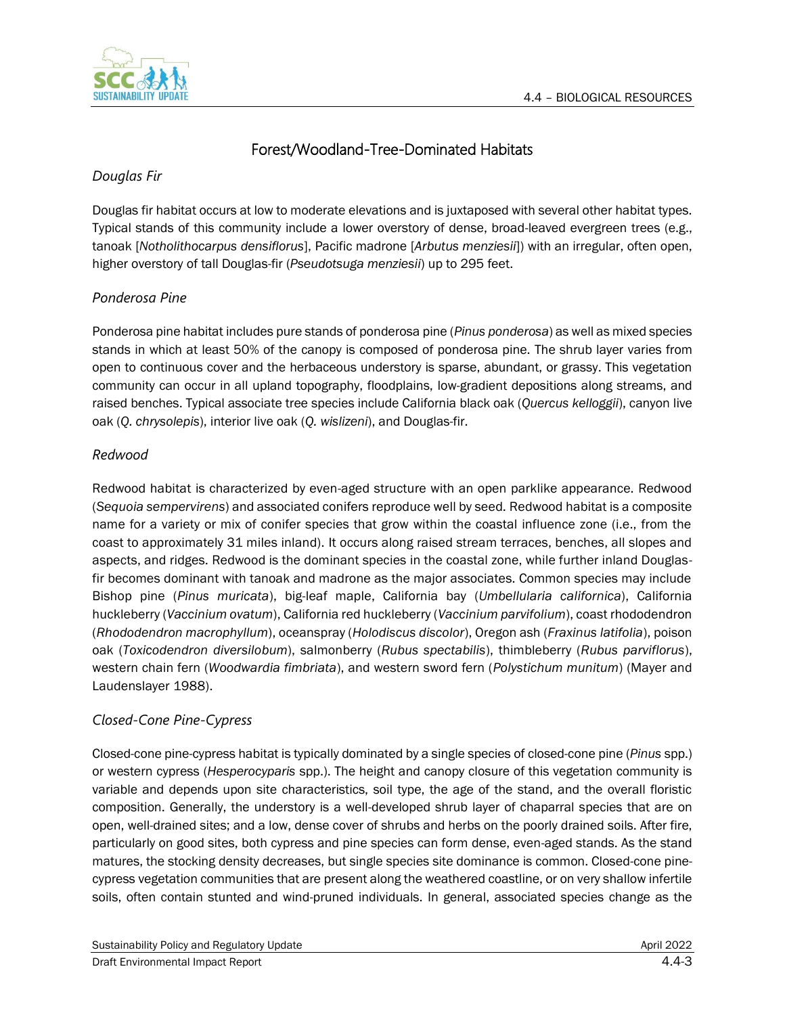

# Forest/Woodland-Tree-Dominated Habitats

### *Douglas Fir*

Douglas fir habitat occurs at low to moderate elevations and is juxtaposed with several other habitat types. Typical stands of this community include a lower overstory of dense, broad-leaved evergreen trees (e.g., tanoak [*Notholithocarpus densiflorus*], Pacific madrone [*Arbutus menziesii*]) with an irregular, often open, higher overstory of tall Douglas-fir (*Pseudotsuga menziesii*) up to 295 feet.

### *Ponderosa Pine*

Ponderosa pine habitat includes pure stands of ponderosa pine (*Pinus ponderosa*) as well as mixed species stands in which at least 50% of the canopy is composed of ponderosa pine. The shrub layer varies from open to continuous cover and the herbaceous understory is sparse, abundant, or grassy. This vegetation community can occur in all upland topography, floodplains, low-gradient depositions along streams, and raised benches. Typical associate tree species include California black oak (*Quercus kelloggii*), canyon live oak (*Q. chrysolepis*), interior live oak (*Q. wislizeni*), and Douglas-fir.

### *Redwood*

Redwood habitat is characterized by even-aged structure with an open parklike appearance. Redwood (*Sequoia sempervirens*) and associated conifers reproduce well by seed. Redwood habitat is a composite name for a variety or mix of conifer species that grow within the coastal influence zone (i.e., from the coast to approximately 31 miles inland). It occurs along raised stream terraces, benches, all slopes and aspects, and ridges. Redwood is the dominant species in the coastal zone, while further inland Douglasfir becomes dominant with tanoak and madrone as the major associates. Common species may include Bishop pine (*Pinus muricata*), big-leaf maple, California bay (*Umbellularia californica*), California huckleberry (*Vaccinium ovatum*), California red huckleberry (*Vaccinium parvifolium*), coast rhododendron (*Rhododendron macrophyllum*), oceanspray (*Holodiscus discolor*), Oregon ash (*Fraxinus latifolia*), poison oak (*Toxicodendron diversilobum*), salmonberry (*Rubus spectabilis*), thimbleberry (*Rubus parviflorus*), western chain fern (*Woodwardia fimbriata*), and western sword fern (*Polystichum munitum*) (Mayer and Laudenslayer 1988).

### *Closed-Cone Pine-Cypress*

Closed-cone pine-cypress habitat is typically dominated by a single species of closed-cone pine (*Pinus* spp.) or western cypress (*Hesperocyparis* spp.). The height and canopy closure of this vegetation community is variable and depends upon site characteristics, soil type, the age of the stand, and the overall floristic composition. Generally, the understory is a well-developed shrub layer of chaparral species that are on open, well-drained sites; and a low, dense cover of shrubs and herbs on the poorly drained soils. After fire, particularly on good sites, both cypress and pine species can form dense, even-aged stands. As the stand matures, the stocking density decreases, but single species site dominance is common. Closed-cone pinecypress vegetation communities that are present along the weathered coastline, or on very shallow infertile soils, often contain stunted and wind-pruned individuals. In general, associated species change as the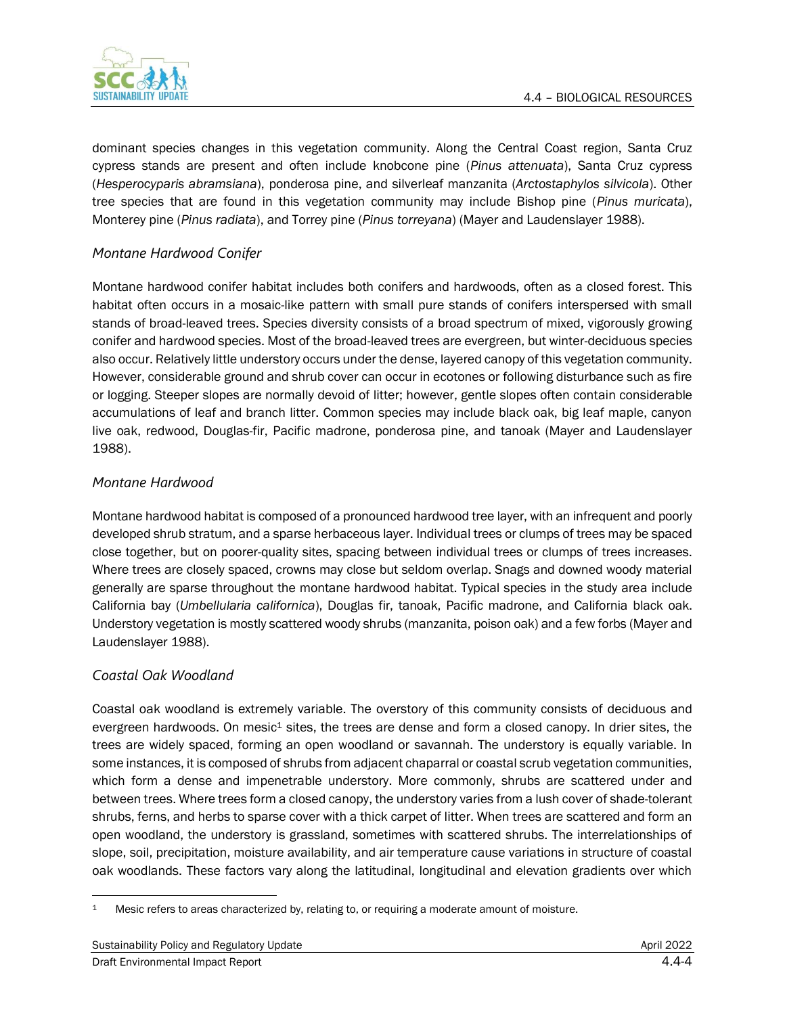

dominant species changes in this vegetation community. Along the Central Coast region, Santa Cruz cypress stands are present and often include knobcone pine (*Pinus attenuata*), Santa Cruz cypress (*Hesperocyparis abramsiana*), ponderosa pine, and silverleaf manzanita (*Arctostaphylos silvicola*). Other tree species that are found in this vegetation community may include Bishop pine (*Pinus muricata*), Monterey pine (*Pinus radiata*), and Torrey pine (*Pinus torreyana*) (Mayer and Laudenslayer 1988).

### *Montane Hardwood Conifer*

Montane hardwood conifer habitat includes both conifers and hardwoods, often as a closed forest. This habitat often occurs in a mosaic-like pattern with small pure stands of conifers interspersed with small stands of broad-leaved trees. Species diversity consists of a broad spectrum of mixed, vigorously growing conifer and hardwood species. Most of the broad-leaved trees are evergreen, but winter-deciduous species also occur. Relatively little understory occurs under the dense, layered canopy of this vegetation community. However, considerable ground and shrub cover can occur in ecotones or following disturbance such as fire or logging. Steeper slopes are normally devoid of litter; however, gentle slopes often contain considerable accumulations of leaf and branch litter. Common species may include black oak, big leaf maple, canyon live oak, redwood, Douglas-fir, Pacific madrone, ponderosa pine, and tanoak (Mayer and Laudenslayer 1988).

#### *Montane Hardwood*

Montane hardwood habitat is composed of a pronounced hardwood tree layer, with an infrequent and poorly developed shrub stratum, and a sparse herbaceous layer. Individual trees or clumps of trees may be spaced close together, but on poorer-quality sites, spacing between individual trees or clumps of trees increases. Where trees are closely spaced, crowns may close but seldom overlap. Snags and downed woody material generally are sparse throughout the montane hardwood habitat. Typical species in the study area include California bay (*Umbellularia californica*), Douglas fir, tanoak, Pacific madrone, and California black oak. Understory vegetation is mostly scattered woody shrubs (manzanita, poison oak) and a few forbs (Mayer and Laudenslayer 1988).

#### *Coastal Oak Woodland*

Coastal oak woodland is extremely variable. The overstory of this community consists of deciduous and evergreen hardwoods. On mesic<sup>1</sup> sites, the trees are dense and form a closed canopy. In drier sites, the trees are widely spaced, forming an open woodland or savannah. The understory is equally variable. In some instances, it is composed of shrubs from adjacent chaparral or coastal scrub vegetation communities, which form a dense and impenetrable understory. More commonly, shrubs are scattered under and between trees. Where trees form a closed canopy, the understory varies from a lush cover of shade-tolerant shrubs, ferns, and herbs to sparse cover with a thick carpet of litter. When trees are scattered and form an open woodland, the understory is grassland, sometimes with scattered shrubs. The interrelationships of slope, soil, precipitation, moisture availability, and air temperature cause variations in structure of coastal oak woodlands. These factors vary along the latitudinal, longitudinal and elevation gradients over which

<sup>1</sup> Mesic refers to areas characterized by, relating to, or requiring a moderate amount of moisture.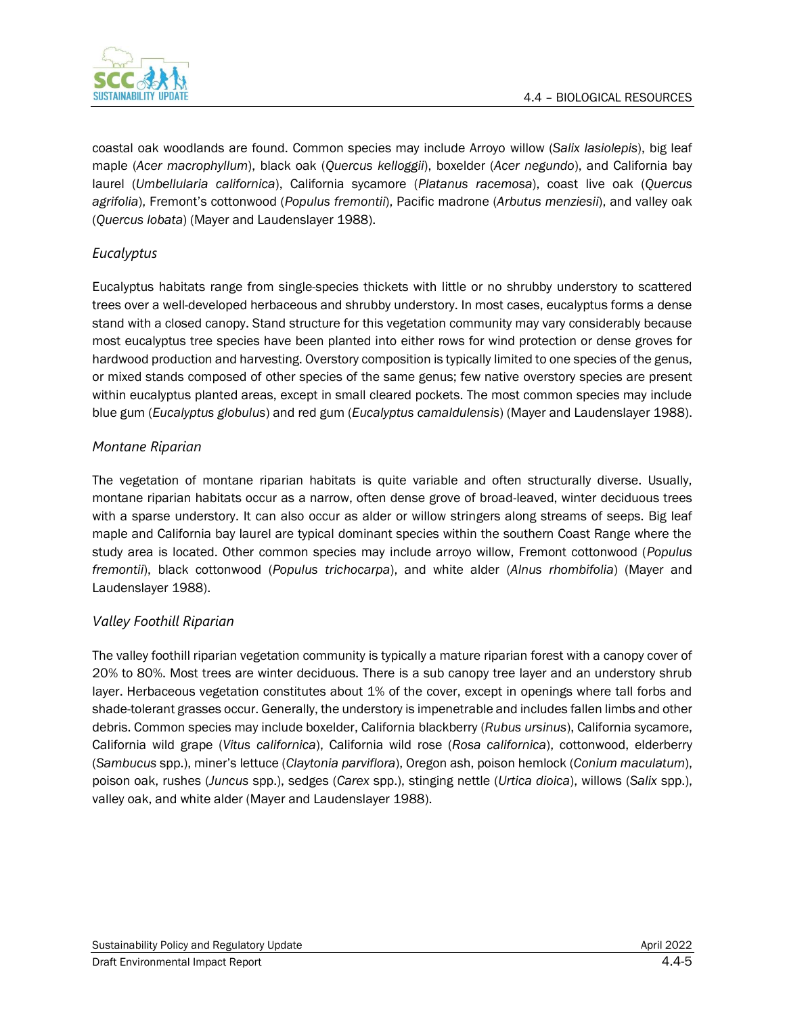

coastal oak woodlands are found. Common species may include Arroyo willow (*Salix lasiolepis*), big leaf maple (*Acer macrophyllum*), black oak (*Quercus kelloggii*), boxelder (*Acer negundo*), and California bay laurel (*Umbellularia californica*), California sycamore (*Platanus racemosa*), coast live oak (*Quercus agrifolia*), Fremont's cottonwood (*Populus fremontii*), Pacific madrone (*Arbutus menziesii*), and valley oak (*Quercus lobata*) (Mayer and Laudenslayer 1988).

### *Eucalyptus*

Eucalyptus habitats range from single-species thickets with little or no shrubby understory to scattered trees over a well-developed herbaceous and shrubby understory. In most cases, eucalyptus forms a dense stand with a closed canopy. Stand structure for this vegetation community may vary considerably because most eucalyptus tree species have been planted into either rows for wind protection or dense groves for hardwood production and harvesting. Overstory composition is typically limited to one species of the genus, or mixed stands composed of other species of the same genus; few native overstory species are present within eucalyptus planted areas, except in small cleared pockets. The most common species may include blue gum (*Eucalyptus globulus*) and red gum (*Eucalyptus camaldulensis*) (Mayer and Laudenslayer 1988).

### *Montane Riparian*

The vegetation of montane riparian habitats is quite variable and often structurally diverse. Usually, montane riparian habitats occur as a narrow, often dense grove of broad-leaved, winter deciduous trees with a sparse understory. It can also occur as alder or willow stringers along streams of seeps. Big leaf maple and California bay laurel are typical dominant species within the southern Coast Range where the study area is located. Other common species may include arroyo willow, Fremont cottonwood (*Populus fremontii*), black cottonwood (*Populus trichocarpa*), and white alder (*Alnus rhombifolia*) (Mayer and Laudenslayer 1988).

#### *Valley Foothill Riparian*

The valley foothill riparian vegetation community is typically a mature riparian forest with a canopy cover of 20% to 80%. Most trees are winter deciduous. There is a sub canopy tree layer and an understory shrub layer. Herbaceous vegetation constitutes about 1% of the cover, except in openings where tall forbs and shade-tolerant grasses occur. Generally, the understory is impenetrable and includes fallen limbs and other debris. Common species may include boxelder, California blackberry (*Rubus ursinus*), California sycamore, California wild grape (*Vitus californica*), California wild rose (*Rosa californica*), cottonwood, elderberry (*Sambucus* spp.), miner's lettuce (*Claytonia parviflora*), Oregon ash, poison hemlock (*Conium maculatum*), poison oak, rushes (*Juncus* spp.), sedges (*Carex* spp.), stinging nettle (*Urtica dioica*), willows (*Salix* spp.), valley oak, and white alder (Mayer and Laudenslayer 1988).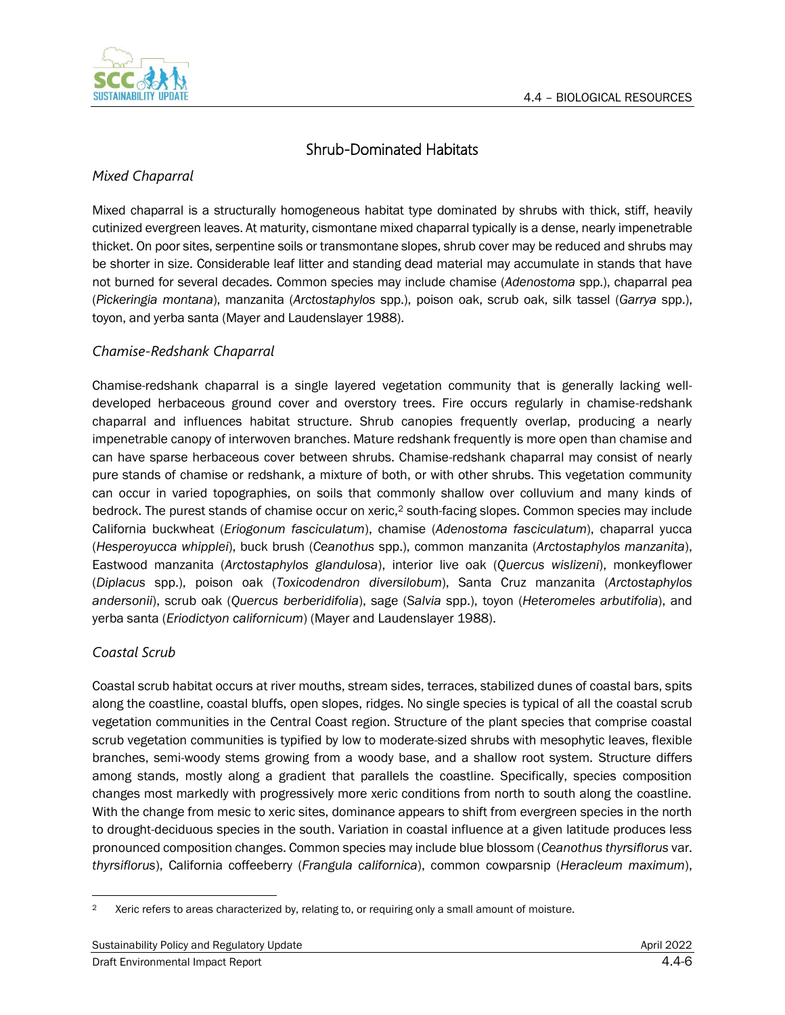

# Shrub-Dominated Habitats

### *Mixed Chaparral*

Mixed chaparral is a structurally homogeneous habitat type dominated by shrubs with thick, stiff, heavily cutinized evergreen leaves. At maturity, cismontane mixed chaparral typically is a dense, nearly impenetrable thicket. On poor sites, serpentine soils or transmontane slopes, shrub cover may be reduced and shrubs may be shorter in size. Considerable leaf litter and standing dead material may accumulate in stands that have not burned for several decades. Common species may include chamise (*Adenostoma* spp.), chaparral pea (*Pickeringia montana*), manzanita (*Arctostaphylos* spp.), poison oak, scrub oak, silk tassel (*Garrya* spp.), toyon, and yerba santa (Mayer and Laudenslayer 1988).

### *Chamise-Redshank Chaparral*

Chamise-redshank chaparral is a single layered vegetation community that is generally lacking welldeveloped herbaceous ground cover and overstory trees. Fire occurs regularly in chamise-redshank chaparral and influences habitat structure. Shrub canopies frequently overlap, producing a nearly impenetrable canopy of interwoven branches. Mature redshank frequently is more open than chamise and can have sparse herbaceous cover between shrubs. Chamise-redshank chaparral may consist of nearly pure stands of chamise or redshank, a mixture of both, or with other shrubs. This vegetation community can occur in varied topographies, on soils that commonly shallow over colluvium and many kinds of bedrock. The purest stands of chamise occur on xeric,<sup>2</sup> south-facing slopes. Common species may include California buckwheat (*Eriogonum fasciculatum*), chamise (*Adenostoma fasciculatum*), chaparral yucca (*Hesperoyucca whipplei*), buck brush (*Ceanothus* spp.), common manzanita (*Arctostaphylos manzanita*), Eastwood manzanita (*Arctostaphylos glandulosa*), interior live oak (*Quercus wislizeni*), monkeyflower (*Diplacus* spp.), poison oak (*Toxicodendron diversilobum*), Santa Cruz manzanita (*Arctostaphylos andersonii*), scrub oak (*Quercus berberidifolia*), sage (*Salvia* spp.), toyon (*Heteromeles arbutifolia*), and yerba santa (*Eriodictyon californicum*) (Mayer and Laudenslayer 1988).

### *Coastal Scrub*

Coastal scrub habitat occurs at river mouths, stream sides, terraces, stabilized dunes of coastal bars, spits along the coastline, coastal bluffs, open slopes, ridges. No single species is typical of all the coastal scrub vegetation communities in the Central Coast region. Structure of the plant species that comprise coastal scrub vegetation communities is typified by low to moderate-sized shrubs with mesophytic leaves, flexible branches, semi-woody stems growing from a woody base, and a shallow root system. Structure differs among stands, mostly along a gradient that parallels the coastline. Specifically, species composition changes most markedly with progressively more xeric conditions from north to south along the coastline. With the change from mesic to xeric sites, dominance appears to shift from evergreen species in the north to drought-deciduous species in the south. Variation in coastal influence at a given latitude produces less pronounced composition changes. Common species may include blue blossom (*Ceanothus thyrsiflorus* var. *thyrsiflorus*), California coffeeberry (*Frangula californica*), common cowparsnip (*Heracleum maximum*),

<sup>&</sup>lt;sup>2</sup> Xeric refers to areas characterized by, relating to, or requiring only a small amount of moisture.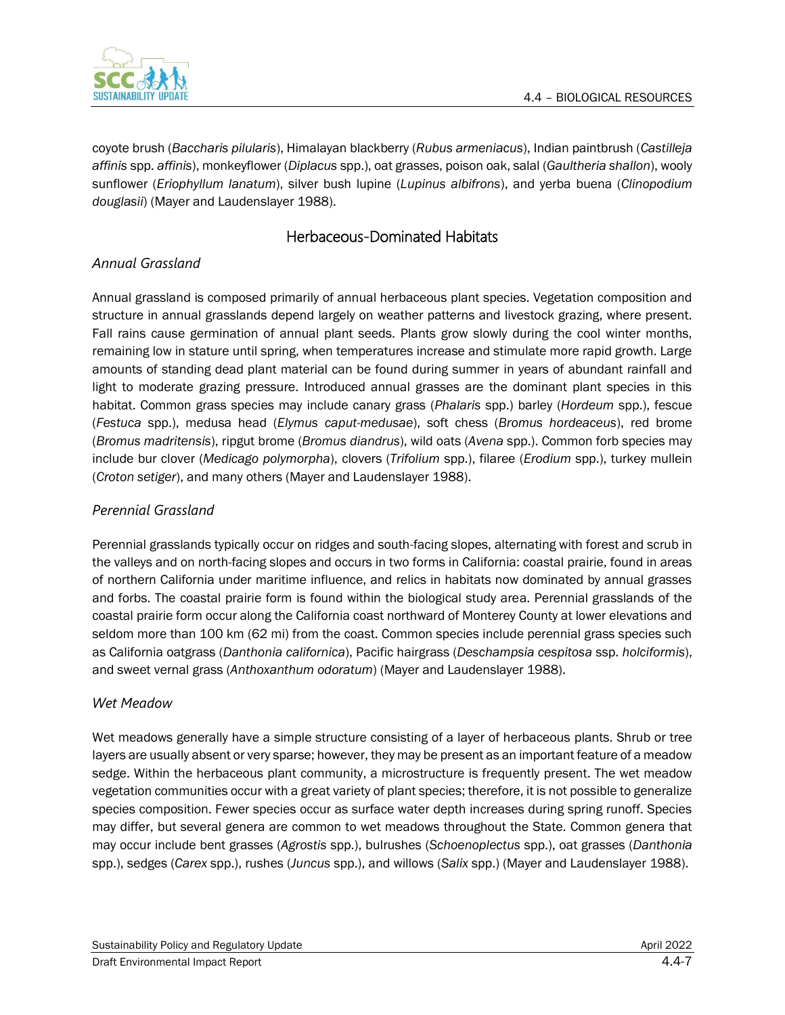

coyote brush (*Baccharis pilularis*), Himalayan blackberry (*Rubus armeniacus*), Indian paintbrush (*Castilleja affinis* spp. *affinis*), monkeyflower (*Diplacus* spp.), oat grasses, poison oak, salal (*Gaultheria shallon*), wooly sunflower (*Eriophyllum lanatum*), silver bush lupine (*Lupinus albifrons*), and yerba buena (*Clinopodium douglasii*) (Mayer and Laudenslayer 1988).

### Herbaceous-Dominated Habitats

### *Annual Grassland*

Annual grassland is composed primarily of annual herbaceous plant species. Vegetation composition and structure in annual grasslands depend largely on weather patterns and livestock grazing, where present. Fall rains cause germination of annual plant seeds. Plants grow slowly during the cool winter months, remaining low in stature until spring, when temperatures increase and stimulate more rapid growth. Large amounts of standing dead plant material can be found during summer in years of abundant rainfall and light to moderate grazing pressure. Introduced annual grasses are the dominant plant species in this habitat. Common grass species may include canary grass (*Phalaris* spp.) barley (*Hordeum* spp.), fescue (*Festuca* spp.), medusa head (*Elymus caput-medusae*), soft chess (*Bromus hordeaceus*), red brome (*Bromus madritensis*), ripgut brome (*Bromus diandrus*), wild oats (*Avena* spp.). Common forb species may include bur clover (*Medicago polymorpha*), clovers (*Trifolium* spp.), filaree (*Erodium* spp.), turkey mullein (*Croton setiger*), and many others (Mayer and Laudenslayer 1988).

### *Perennial Grassland*

Perennial grasslands typically occur on ridges and south-facing slopes, alternating with forest and scrub in the valleys and on north-facing slopes and occurs in two forms in California: coastal prairie, found in areas of northern California under maritime influence, and relics in habitats now dominated by annual grasses and forbs. The coastal prairie form is found within the biological study area. Perennial grasslands of the coastal prairie form occur along the California coast northward of Monterey County at lower elevations and seldom more than 100 km (62 mi) from the coast. Common species include perennial grass species such as California oatgrass (*Danthonia californica*), Pacific hairgrass (*Deschampsia cespitosa* ssp. *holciformis*), and sweet vernal grass (*Anthoxanthum odoratum*) (Mayer and Laudenslayer 1988).

#### *Wet Meadow*

Wet meadows generally have a simple structure consisting of a layer of herbaceous plants. Shrub or tree layers are usually absent or very sparse; however, they may be present as an important feature of a meadow sedge. Within the herbaceous plant community, a microstructure is frequently present. The wet meadow vegetation communities occur with a great variety of plant species; therefore, it is not possible to generalize species composition. Fewer species occur as surface water depth increases during spring runoff. Species may differ, but several genera are common to wet meadows throughout the State. Common genera that may occur include bent grasses (*Agrostis* spp.), bulrushes (*Schoenoplectus* spp.), oat grasses (*Danthonia* spp.), sedges (*Carex* spp.), rushes (*Juncus* spp.), and willows (*Salix* spp.) (Mayer and Laudenslayer 1988).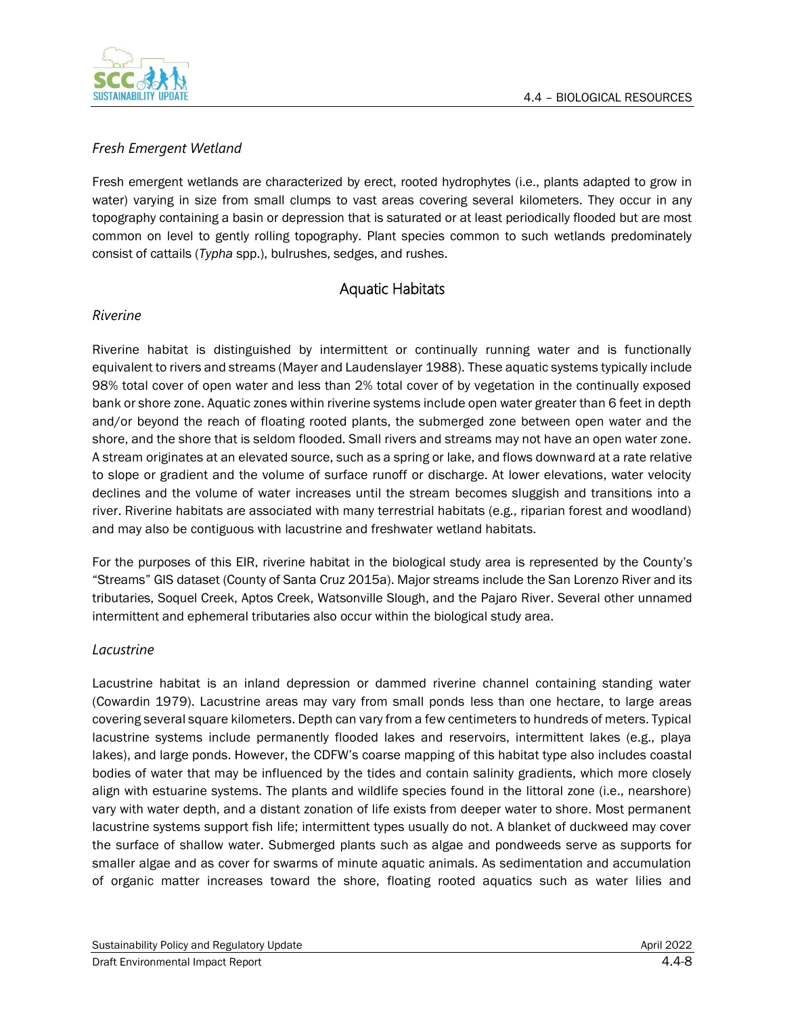

### *Fresh Emergent Wetland*

Fresh emergent wetlands are characterized by erect, rooted hydrophytes (i.e., plants adapted to grow in water) varying in size from small clumps to vast areas covering several kilometers. They occur in any topography containing a basin or depression that is saturated or at least periodically flooded but are most common on level to gently rolling topography. Plant species common to such wetlands predominately consist of cattails (*Typha* spp.), bulrushes, sedges, and rushes.

### Aquatic Habitats

### *Riverine*

Riverine habitat is distinguished by intermittent or continually running water and is functionally equivalent to rivers and streams (Mayer and Laudenslayer 1988). These aquatic systems typically include 98% total cover of open water and less than 2% total cover of by vegetation in the continually exposed bank or shore zone. Aquatic zones within riverine systems include open water greater than 6 feet in depth and/or beyond the reach of floating rooted plants, the submerged zone between open water and the shore, and the shore that is seldom flooded. Small rivers and streams may not have an open water zone. A stream originates at an elevated source, such as a spring or lake, and flows downward at a rate relative to slope or gradient and the volume of surface runoff or discharge. At lower elevations, water velocity declines and the volume of water increases until the stream becomes sluggish and transitions into a river. Riverine habitats are associated with many terrestrial habitats (e.g., riparian forest and woodland) and may also be contiguous with lacustrine and freshwater wetland habitats.

For the purposes of this EIR, riverine habitat in the biological study area is represented by the County's "Streams" GIS dataset (County of Santa Cruz 2015a). Major streams include the San Lorenzo River and its tributaries, Soquel Creek, Aptos Creek, Watsonville Slough, and the Pajaro River. Several other unnamed intermittent and ephemeral tributaries also occur within the biological study area.

#### *Lacustrine*

Lacustrine habitat is an inland depression or dammed riverine channel containing standing water (Cowardin 1979). Lacustrine areas may vary from small ponds less than one hectare, to large areas covering several square kilometers. Depth can vary from a few centimeters to hundreds of meters. Typical lacustrine systems include permanently flooded lakes and reservoirs, intermittent lakes (e.g., playa lakes), and large ponds. However, the CDFW's coarse mapping of this habitat type also includes coastal bodies of water that may be influenced by the tides and contain salinity gradients, which more closely align with estuarine systems. The plants and wildlife species found in the littoral zone (i.e., nearshore) vary with water depth, and a distant zonation of life exists from deeper water to shore. Most permanent lacustrine systems support fish life; intermittent types usually do not. A blanket of duckweed may cover the surface of shallow water. Submerged plants such as algae and pondweeds serve as supports for smaller algae and as cover for swarms of minute aquatic animals. As sedimentation and accumulation of organic matter increases toward the shore, floating rooted aquatics such as water lilies and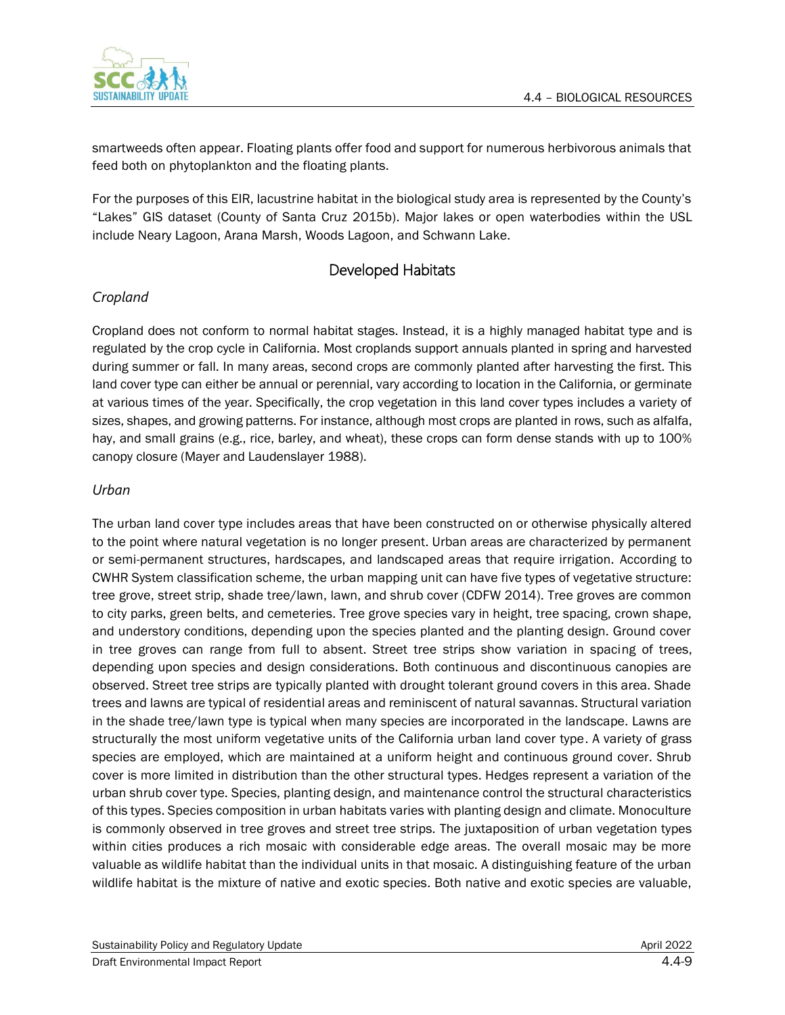

smartweeds often appear. Floating plants offer food and support for numerous herbivorous animals that feed both on phytoplankton and the floating plants.

For the purposes of this EIR, lacustrine habitat in the biological study area is represented by the County's "Lakes" GIS dataset (County of Santa Cruz 2015b). Major lakes or open waterbodies within the USL include Neary Lagoon, Arana Marsh, Woods Lagoon, and Schwann Lake.

### Developed Habitats

### *Cropland*

Cropland does not conform to normal habitat stages. Instead, it is a highly managed habitat type and is regulated by the crop cycle in California. Most croplands support annuals planted in spring and harvested during summer or fall. In many areas, second crops are commonly planted after harvesting the first. This land cover type can either be annual or perennial, vary according to location in the California, or germinate at various times of the year. Specifically, the crop vegetation in this land cover types includes a variety of sizes, shapes, and growing patterns. For instance, although most crops are planted in rows, such as alfalfa, hay, and small grains (e.g., rice, barley, and wheat), these crops can form dense stands with up to 100% canopy closure (Mayer and Laudenslayer 1988).

#### *Urban*

The urban land cover type includes areas that have been constructed on or otherwise physically altered to the point where natural vegetation is no longer present. Urban areas are characterized by permanent or semi-permanent structures, hardscapes, and landscaped areas that require irrigation. According to CWHR System classification scheme, the urban mapping unit can have five types of vegetative structure: tree grove, street strip, shade tree/lawn, lawn, and shrub cover (CDFW 2014). Tree groves are common to city parks, green belts, and cemeteries. Tree grove species vary in height, tree spacing, crown shape, and understory conditions, depending upon the species planted and the planting design. Ground cover in tree groves can range from full to absent. Street tree strips show variation in spacing of trees, depending upon species and design considerations. Both continuous and discontinuous canopies are observed. Street tree strips are typically planted with drought tolerant ground covers in this area. Shade trees and lawns are typical of residential areas and reminiscent of natural savannas. Structural variation in the shade tree/lawn type is typical when many species are incorporated in the landscape. Lawns are structurally the most uniform vegetative units of the California urban land cover type. A variety of grass species are employed, which are maintained at a uniform height and continuous ground cover. Shrub cover is more limited in distribution than the other structural types. Hedges represent a variation of the urban shrub cover type. Species, planting design, and maintenance control the structural characteristics of this types. Species composition in urban habitats varies with planting design and climate. Monoculture is commonly observed in tree groves and street tree strips. The juxtaposition of urban vegetation types within cities produces a rich mosaic with considerable edge areas. The overall mosaic may be more valuable as wildlife habitat than the individual units in that mosaic. A distinguishing feature of the urban wildlife habitat is the mixture of native and exotic species. Both native and exotic species are valuable,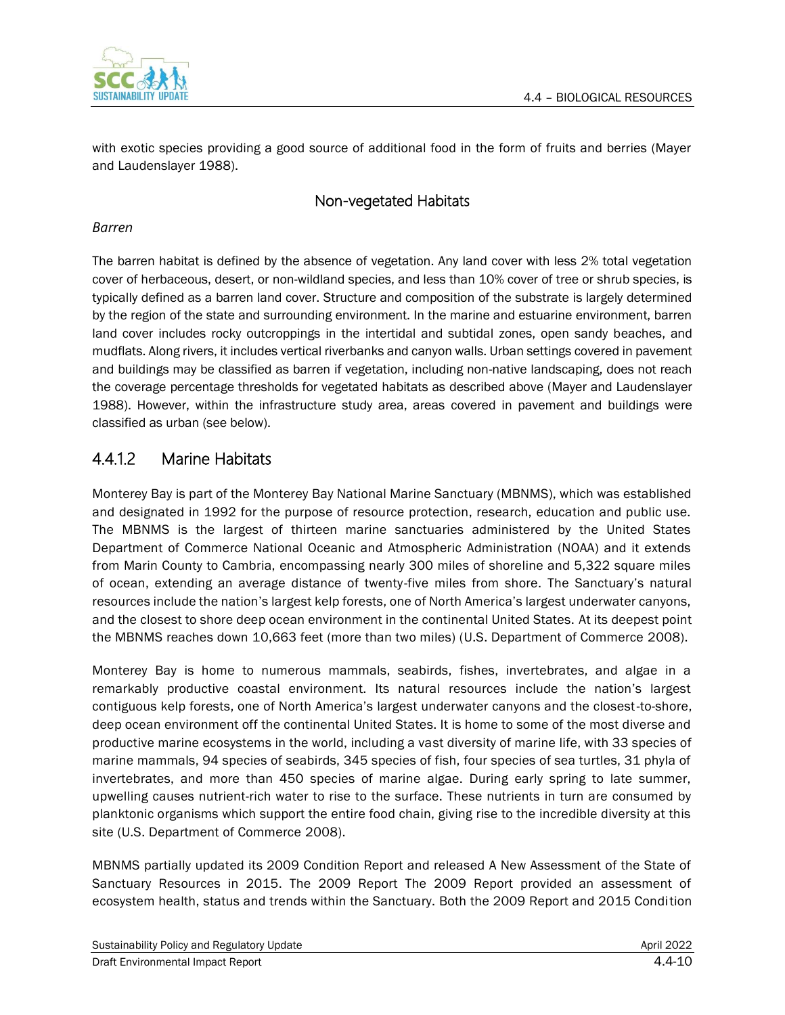

with exotic species providing a good source of additional food in the form of fruits and berries (Mayer and Laudenslayer 1988).

### Non-vegetated Habitats

#### *Barren*

The barren habitat is defined by the absence of vegetation. Any land cover with less 2% total vegetation cover of herbaceous, desert, or non-wildland species, and less than 10% cover of tree or shrub species, is typically defined as a barren land cover. Structure and composition of the substrate is largely determined by the region of the state and surrounding environment. In the marine and estuarine environment, barren land cover includes rocky outcroppings in the intertidal and subtidal zones, open sandy beaches, and mudflats. Along rivers, it includes vertical riverbanks and canyon walls. Urban settings covered in pavement and buildings may be classified as barren if vegetation, including non-native landscaping, does not reach the coverage percentage thresholds for vegetated habitats as described above (Mayer and Laudenslayer 1988). However, within the infrastructure study area, areas covered in pavement and buildings were classified as urban (see below).

### 4.4.1.2 Marine Habitats

Monterey Bay is part of the Monterey Bay National Marine Sanctuary (MBNMS), which was established and designated in 1992 for the purpose of resource protection, research, education and public use. The MBNMS is the largest of thirteen marine sanctuaries administered by the United States Department of Commerce National Oceanic and Atmospheric Administration (NOAA) and it extends from Marin County to Cambria, encompassing nearly 300 miles of shoreline and 5,322 square miles of ocean, extending an average distance of twenty-five miles from shore. The Sanctuary's natural resources include the nation's largest kelp forests, one of North America's largest underwater canyons, and the closest to shore deep ocean environment in the continental United States. At its deepest point the MBNMS reaches down 10,663 feet (more than two miles) (U.S. Department of Commerce 2008).

Monterey Bay is home to numerous mammals, seabirds, fishes, invertebrates, and algae in a remarkably productive coastal environment. Its natural resources include the nation's largest contiguous kelp forests, one of North America's largest underwater canyons and the closest-to-shore, deep ocean environment off the continental United States. It is home to some of the most diverse and productive marine ecosystems in the world, including a vast diversity of marine life, with 33 species of marine mammals, 94 species of seabirds, 345 species of fish, four species of sea turtles, 31 phyla of invertebrates, and more than 450 species of marine algae. During early spring to late summer, upwelling causes nutrient-rich water to rise to the surface. These nutrients in turn are consumed by planktonic organisms which support the entire food chain, giving rise to the incredible diversity at this site (U.S. Department of Commerce 2008).

MBNMS partially updated its 2009 Condition Report and released A New Assessment of the State of Sanctuary Resources in 2015. The 2009 Report The 2009 Report provided an assessment of ecosystem health, status and trends within the Sanctuary. Both the 2009 Report and 2015 Condition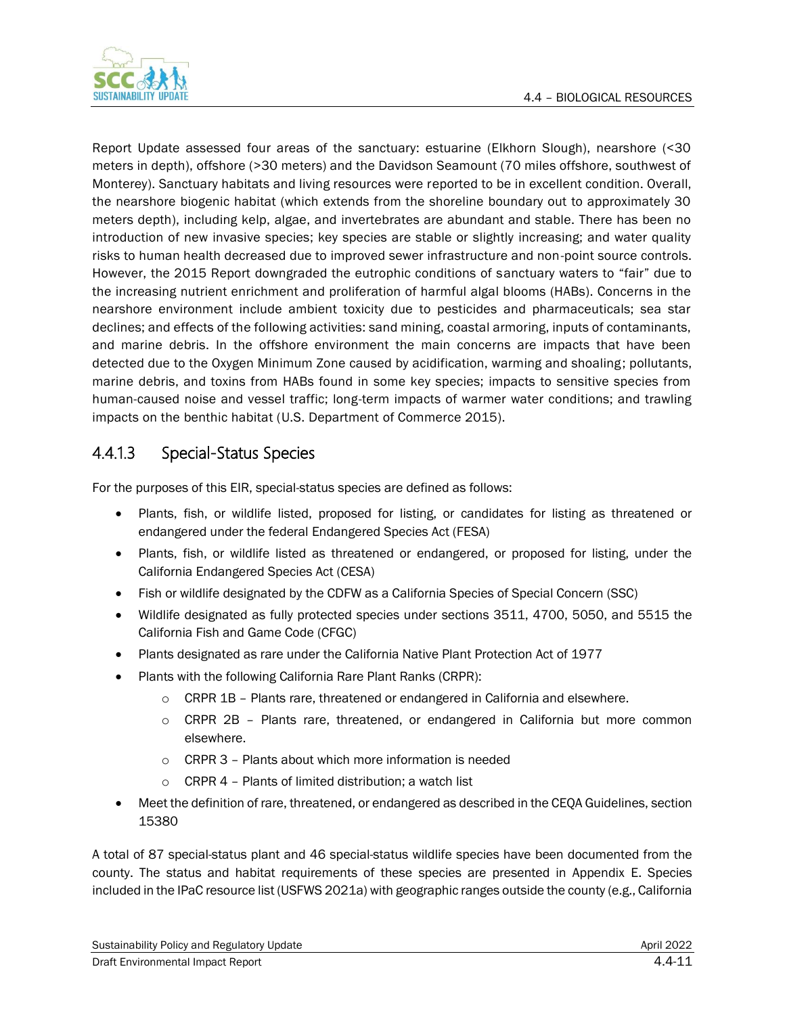

Report Update assessed four areas of the sanctuary: estuarine (Elkhorn Slough), nearshore (<30 meters in depth), offshore (>30 meters) and the Davidson Seamount (70 miles offshore, southwest of Monterey). Sanctuary habitats and living resources were reported to be in excellent condition. Overall, the nearshore biogenic habitat (which extends from the shoreline boundary out to approximately 30 meters depth), including kelp, algae, and invertebrates are abundant and stable. There has been no introduction of new invasive species; key species are stable or slightly increasing; and water quality risks to human health decreased due to improved sewer infrastructure and non-point source controls. However, the 2015 Report downgraded the eutrophic conditions of sanctuary waters to "fair" due to the increasing nutrient enrichment and proliferation of harmful algal blooms (HABs). Concerns in the nearshore environment include ambient toxicity due to pesticides and pharmaceuticals; sea star declines; and effects of the following activities: sand mining, coastal armoring, inputs of contaminants, and marine debris. In the offshore environment the main concerns are impacts that have been detected due to the Oxygen Minimum Zone caused by acidification, warming and shoaling; pollutants, marine debris, and toxins from HABs found in some key species; impacts to sensitive species from human-caused noise and vessel traffic; long-term impacts of warmer water conditions; and trawling impacts on the benthic habitat (U.S. Department of Commerce 2015).

# 4.4.1.3 Special-Status Species

For the purposes of this EIR, special-status species are defined as follows:

- Plants, fish, or wildlife listed, proposed for listing, or candidates for listing as threatened or endangered under the federal Endangered Species Act (FESA)
- Plants, fish, or wildlife listed as threatened or endangered, or proposed for listing, under the California Endangered Species Act (CESA)
- Fish or wildlife designated by the CDFW as a California Species of Special Concern (SSC)
- Wildlife designated as fully protected species under sections 3511, 4700, 5050, and 5515 the California Fish and Game Code (CFGC)
- Plants designated as rare under the California Native Plant Protection Act of 1977
- Plants with the following California Rare Plant Ranks (CRPR):
	- o CRPR 1B Plants rare, threatened or endangered in California and elsewhere.
	- o CRPR 2B Plants rare, threatened, or endangered in California but more common elsewhere.
	- o CRPR 3 Plants about which more information is needed
	- CRPR 4 Plants of limited distribution; a watch list
- Meet the definition of rare, threatened, or endangered as described in the CEQA Guidelines, section 15380

A total of 87 special-status plant and 46 special-status wildlife species have been documented from the county. The status and habitat requirements of these species are presented in Appendix E. Species included in the IPaC resource list (USFWS 2021a) with geographic ranges outside the county (e.g., California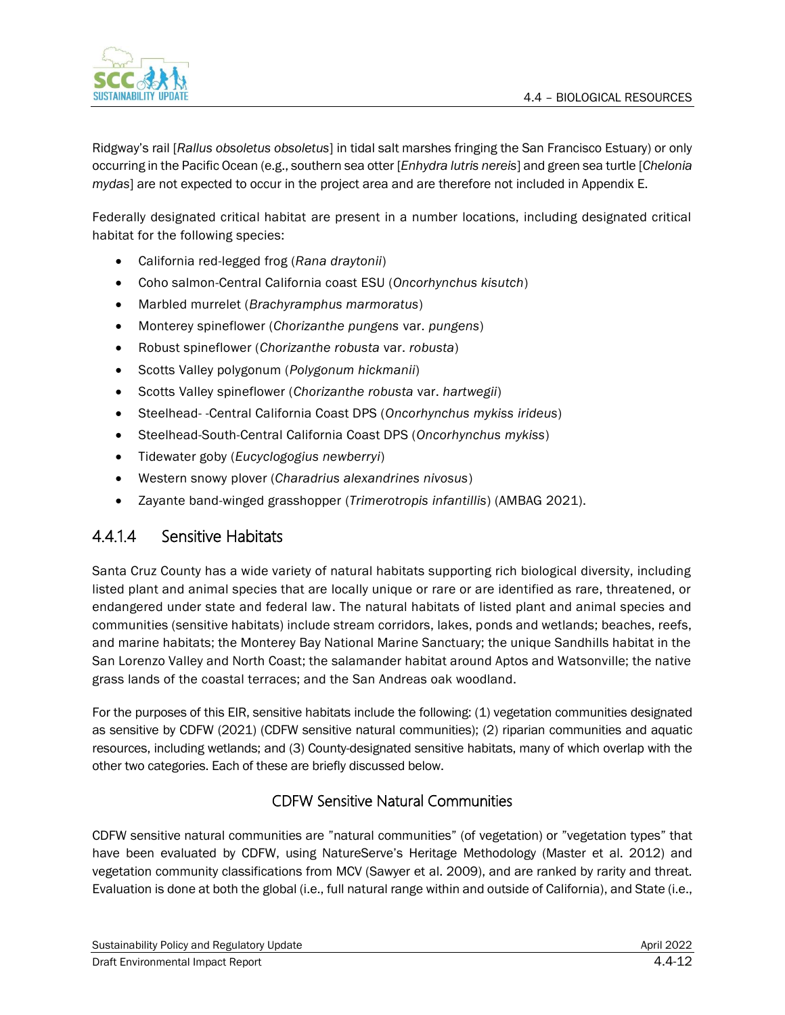

Ridgway's rail [*Rallus obsoletus obsoletus*] in tidal salt marshes fringing the San Francisco Estuary) or only occurring in the Pacific Ocean (e.g., southern sea otter [*Enhydra lutris nereis*] and green sea turtle [*Chelonia mydas*] are not expected to occur in the project area and are therefore not included in Appendix E.

Federally designated critical habitat are present in a number locations, including designated critical habitat for the following species:

- California red-legged frog (*Rana draytonii*)
- Coho salmon-Central California coast ESU (*Oncorhynchus kisutch*)
- Marbled murrelet (*Brachyramphus marmoratus*)
- Monterey spineflower (*Chorizanthe pungens* var. *pungens*)
- Robust spineflower (*Chorizanthe robusta* var. *robusta*)
- Scotts Valley polygonum (*Polygonum hickmanii*)
- Scotts Valley spineflower (*Chorizanthe robusta* var. *hartwegii*)
- Steelhead- -Central California Coast DPS (*Oncorhynchus mykiss irideus*)
- Steelhead-South-Central California Coast DPS (*Oncorhynchus mykiss*)
- Tidewater goby (*Eucyclogogius newberryi*)
- Western snowy plover (*Charadrius alexandrines nivosus*)
- Zayante band-winged grasshopper (*Trimerotropis infantillis*) (AMBAG 2021).

# 4.4.1.4 Sensitive Habitats

Santa Cruz County has a wide variety of natural habitats supporting rich biological diversity, including listed plant and animal species that are locally unique or rare or are identified as rare, threatened, or endangered under state and federal law. The natural habitats of listed plant and animal species and communities (sensitive habitats) include stream corridors, lakes, ponds and wetlands; beaches, reefs, and marine habitats; the Monterey Bay National Marine Sanctuary; the unique Sandhills habitat in the San Lorenzo Valley and North Coast; the salamander habitat around Aptos and Watsonville; the native grass lands of the coastal terraces; and the San Andreas oak woodland.

For the purposes of this EIR, sensitive habitats include the following: (1) vegetation communities designated as sensitive by CDFW (2021) (CDFW sensitive natural communities); (2) riparian communities and aquatic resources, including wetlands; and (3) County-designated sensitive habitats, many of which overlap with the other two categories. Each of these are briefly discussed below.

### CDFW Sensitive Natural Communities

CDFW sensitive natural communities are "natural communities" (of vegetation) or "vegetation types" that have been evaluated by CDFW, using NatureServe's Heritage Methodology (Master et al. 2012) and vegetation community classifications from MCV (Sawyer et al. 2009), and are ranked by rarity and threat. Evaluation is done at both the global (i.e., full natural range within and outside of California), and State (i.e.,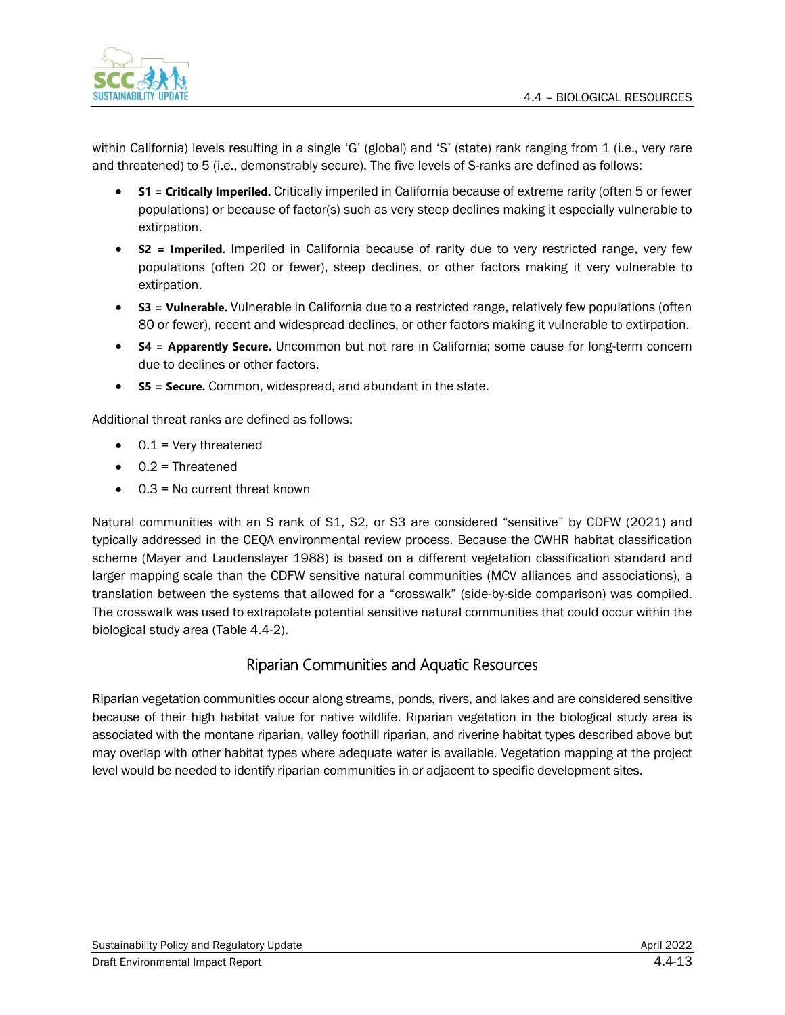

within California) levels resulting in a single 'G' (global) and 'S' (state) rank ranging from 1 (i.e., very rare and threatened) to 5 (i.e., demonstrably secure). The five levels of S-ranks are defined as follows:

- **S1 = Critically Imperiled.** Critically imperiled in California because of extreme rarity (often 5 or fewer populations) or because of factor(s) such as very steep declines making it especially vulnerable to extirpation.
- **S2 = Imperiled.** Imperiled in California because of rarity due to very restricted range, very few populations (often 20 or fewer), steep declines, or other factors making it very vulnerable to extirpation.
- **S3 = Vulnerable.** Vulnerable in California due to a restricted range, relatively few populations (often 80 or fewer), recent and widespread declines, or other factors making it vulnerable to extirpation.
- **S4 = Apparently Secure.** Uncommon but not rare in California; some cause for long-term concern due to declines or other factors.
- **S5 = Secure.** Common, widespread, and abundant in the state.

Additional threat ranks are defined as follows:

- $\bullet$  0.1 = Very threatened
- $\bullet$  0.2 = Threatened
- 0.3 = No current threat known

Natural communities with an S rank of S1, S2, or S3 are considered "sensitive" by CDFW (2021) and typically addressed in the CEQA environmental review process. Because the CWHR habitat classification scheme (Mayer and Laudenslayer 1988) is based on a different vegetation classification standard and larger mapping scale than the CDFW sensitive natural communities (MCV alliances and associations), a translation between the systems that allowed for a "crosswalk" (side-by-side comparison) was compiled. The crosswalk was used to extrapolate potential sensitive natural communities that could occur within the biological study area (Table 4.4-2).

### Riparian Communities and Aquatic Resources

Riparian vegetation communities occur along streams, ponds, rivers, and lakes and are considered sensitive because of their high habitat value for native wildlife. Riparian vegetation in the biological study area is associated with the montane riparian, valley foothill riparian, and riverine habitat types described above but may overlap with other habitat types where adequate water is available. Vegetation mapping at the project level would be needed to identify riparian communities in or adjacent to specific development sites.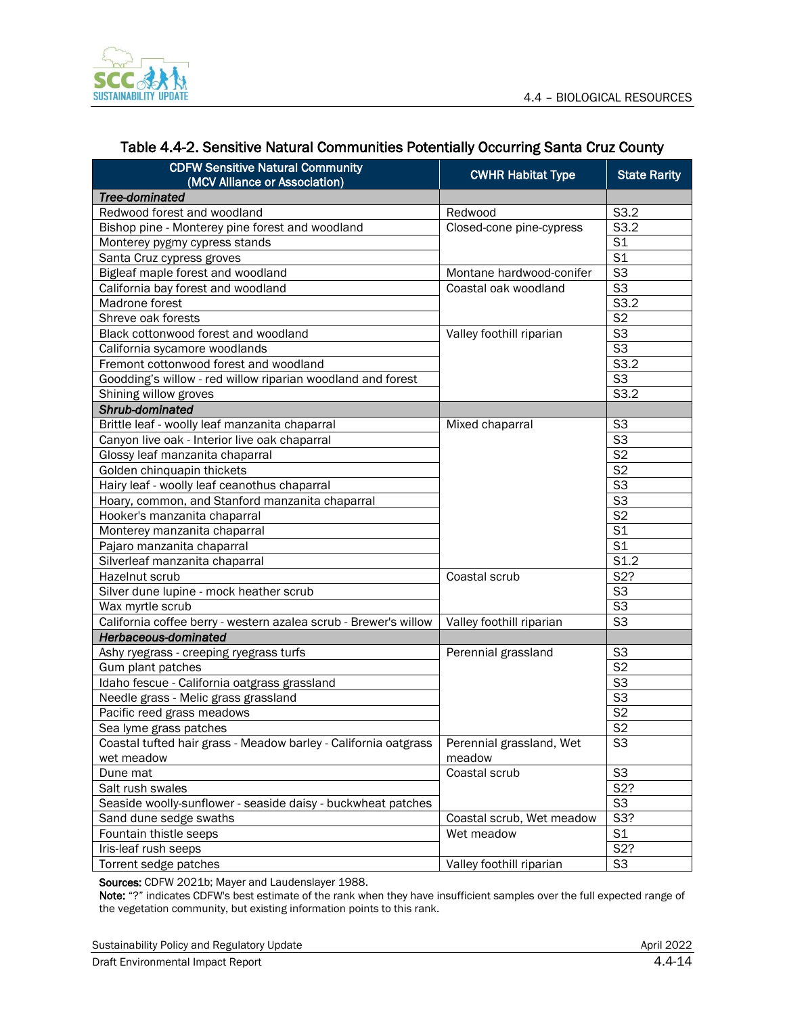

| <b>CDFW Sensitive Natural Community</b><br>(MCV Alliance or Association) | <b>CWHR Habitat Type</b>  | <b>State Rarity</b>       |
|--------------------------------------------------------------------------|---------------------------|---------------------------|
| Tree-dominated                                                           |                           |                           |
| Redwood forest and woodland                                              | Redwood                   | S3.2                      |
| Bishop pine - Monterey pine forest and woodland                          | Closed-cone pine-cypress  | S3.2                      |
| Monterey pygmy cypress stands                                            |                           | S <sub>1</sub>            |
| Santa Cruz cypress groves                                                |                           | S <sub>1</sub>            |
| Bigleaf maple forest and woodland                                        | Montane hardwood-conifer  | S <sub>3</sub>            |
| California bay forest and woodland                                       | Coastal oak woodland      | $\overline{\mathsf{S3}}$  |
| Madrone forest                                                           |                           | S3.2                      |
| Shreve oak forests                                                       |                           | S <sub>2</sub>            |
| Black cottonwood forest and woodland                                     | Valley foothill riparian  | S <sub>3</sub>            |
| California sycamore woodlands                                            |                           | S <sub>3</sub>            |
| Fremont cottonwood forest and woodland                                   |                           | S3.2                      |
| Goodding's willow - red willow riparian woodland and forest              |                           | S <sub>3</sub>            |
| Shining willow groves                                                    |                           | S3.2                      |
| Shrub-dominated                                                          |                           |                           |
| Brittle leaf - woolly leaf manzanita chaparral                           | Mixed chaparral           | S <sub>3</sub>            |
| Canyon live oak - Interior live oak chaparral                            |                           | $\overline{\mathsf{S3}}$  |
| Glossy leaf manzanita chaparral                                          |                           | S <sub>2</sub>            |
| Golden chinquapin thickets                                               |                           | S <sub>2</sub>            |
| Hairy leaf - woolly leaf ceanothus chaparral                             |                           | S <sub>3</sub>            |
| Hoary, common, and Stanford manzanita chaparral                          |                           | $\overline{\mathsf{S}^3}$ |
| Hooker's manzanita chaparral                                             |                           | S <sub>2</sub>            |
| Monterey manzanita chaparral                                             |                           | S <sub>1</sub>            |
| Pajaro manzanita chaparral                                               |                           | S <sub>1</sub>            |
| Silverleaf manzanita chaparral                                           |                           | S <sub>1.2</sub>          |
| Hazelnut scrub                                                           | Coastal scrub             | S <sub>2</sub> ?          |
| Silver dune lupine - mock heather scrub                                  |                           | S <sub>3</sub>            |
| Wax myrtle scrub                                                         |                           | S <sub>3</sub>            |
| California coffee berry - western azalea scrub - Brewer's willow         | Valley foothill riparian  | S <sub>3</sub>            |
| Herbaceous-dominated                                                     |                           |                           |
| Ashy ryegrass - creeping ryegrass turfs                                  | Perennial grassland       | S <sub>3</sub>            |
| Gum plant patches                                                        |                           | S <sub>2</sub>            |
| Idaho fescue - California oatgrass grassland                             |                           | S <sub>3</sub>            |
| Needle grass - Melic grass grassland                                     |                           | S <sub>3</sub>            |
| Pacific reed grass meadows                                               |                           | S <sub>2</sub>            |
| Sea lyme grass patches                                                   |                           | $\overline{\text{S2}}$    |
| Coastal tufted hair grass - Meadow barley - California oatgrass          | Perennial grassland, Wet  | S <sub>3</sub>            |
| wet meadow                                                               | meadow                    |                           |
| Dune mat                                                                 | Coastal scrub             | S <sub>3</sub>            |
| Salt rush swales                                                         |                           | S <sub>2</sub> ?          |
| Seaside woolly-sunflower - seaside daisy - buckwheat patches             |                           | S <sub>3</sub>            |
| Sand dune sedge swaths                                                   | Coastal scrub, Wet meadow | S3?                       |
| Fountain thistle seeps                                                   | Wet meadow                | S <sub>1</sub>            |
| Iris-leaf rush seeps                                                     |                           | S2?                       |
| Torrent sedge patches                                                    | Valley foothill riparian  | S <sub>3</sub>            |

### Table 4.4-2. Sensitive Natural Communities Potentially Occurring Santa Cruz County

Sources: CDFW 2021b; Mayer and Laudenslayer 1988.

Note: "?" indicates CDFW's best estimate of the rank when they have insufficient samples over the full expected range of the vegetation community, but existing information points to this rank.

Sustainability Policy and Regulatory Update April 2022 and Sustainability Policy and Regulatory Update April 2022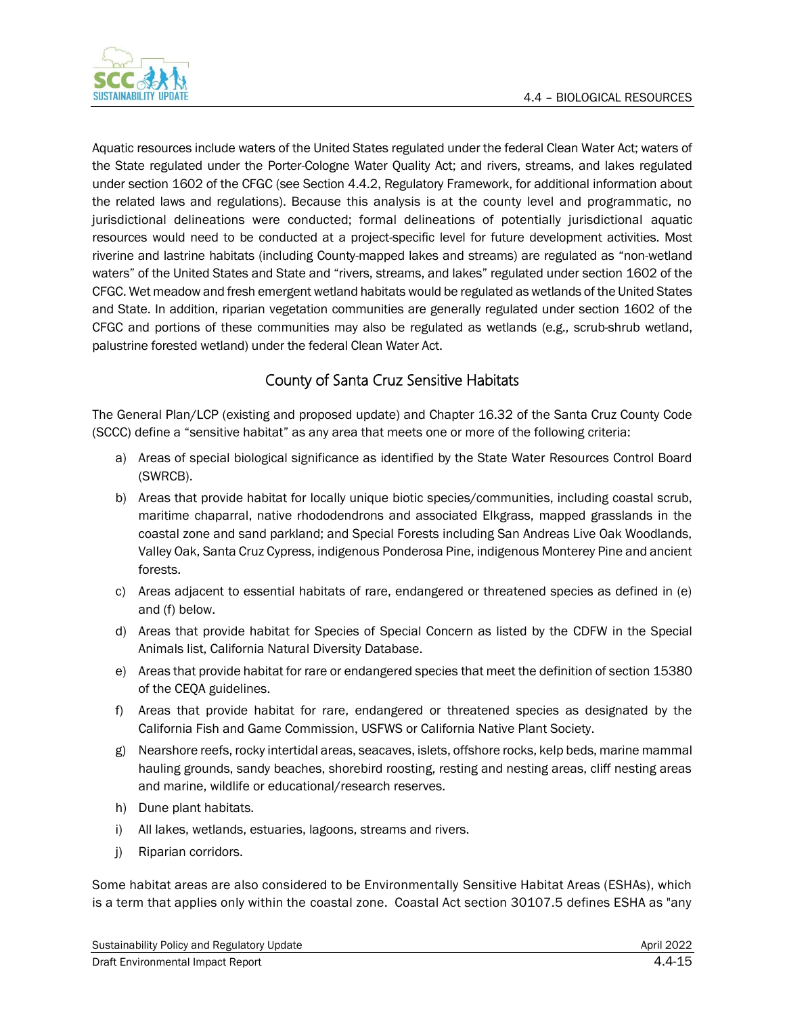

Aquatic resources include waters of the United States regulated under the federal Clean Water Act; waters of the State regulated under the Porter-Cologne Water Quality Act; and rivers, streams, and lakes regulated under section 1602 of the CFGC (see Section 4.4.2, Regulatory Framework, for additional information about the related laws and regulations). Because this analysis is at the county level and programmatic, no jurisdictional delineations were conducted; formal delineations of potentially jurisdictional aquatic resources would need to be conducted at a project-specific level for future development activities. Most riverine and lastrine habitats (including County-mapped lakes and streams) are regulated as "non-wetland waters" of the United States and State and "rivers, streams, and lakes" regulated under section 1602 of the CFGC. Wet meadow and fresh emergent wetland habitats would be regulated as wetlands of the United States and State. In addition, riparian vegetation communities are generally regulated under section 1602 of the CFGC and portions of these communities may also be regulated as wetlands (e.g., scrub-shrub wetland, palustrine forested wetland) under the federal Clean Water Act.

# County of Santa Cruz Sensitive Habitats

The General Plan/LCP (existing and proposed update) and Chapter 16.32 of the Santa Cruz County Code (SCCC) define a "sensitive habitat" as any area that meets one or more of the following criteria:

- a) Areas of special biological significance as identified by the State Water Resources Control Board (SWRCB).
- b) Areas that provide habitat for locally unique biotic species/communities, including coastal scrub, maritime chaparral, native rhododendrons and associated Elkgrass, mapped grasslands in the coastal zone and sand parkland; and Special Forests including San Andreas Live Oak Woodlands, Valley Oak, Santa Cruz Cypress, indigenous Ponderosa Pine, indigenous Monterey Pine and ancient forests.
- c) Areas adjacent to essential habitats of rare, endangered or threatened species as defined in (e) and (f) below.
- d) Areas that provide habitat for Species of Special Concern as listed by the CDFW in the Special Animals list, California Natural Diversity Database.
- e) Areas that provide habitat for rare or endangered species that meet the definition of section 15380 of the CEQA guidelines.
- f) Areas that provide habitat for rare, endangered or threatened species as designated by the California Fish and Game Commission, USFWS or California Native Plant Society.
- g) Nearshore reefs, rocky intertidal areas, seacaves, islets, offshore rocks, kelp beds, marine mammal hauling grounds, sandy beaches, shorebird roosting, resting and nesting areas, cliff nesting areas and marine, wildlife or educational/research reserves.
- h) Dune plant habitats.
- i) All lakes, wetlands, estuaries, lagoons, streams and rivers.
- j) Riparian corridors.

Some habitat areas are also considered to be Environmentally Sensitive Habitat Areas (ESHAs), which is a term that applies only within the coastal zone. Coastal Act section 30107.5 defines ESHA as "any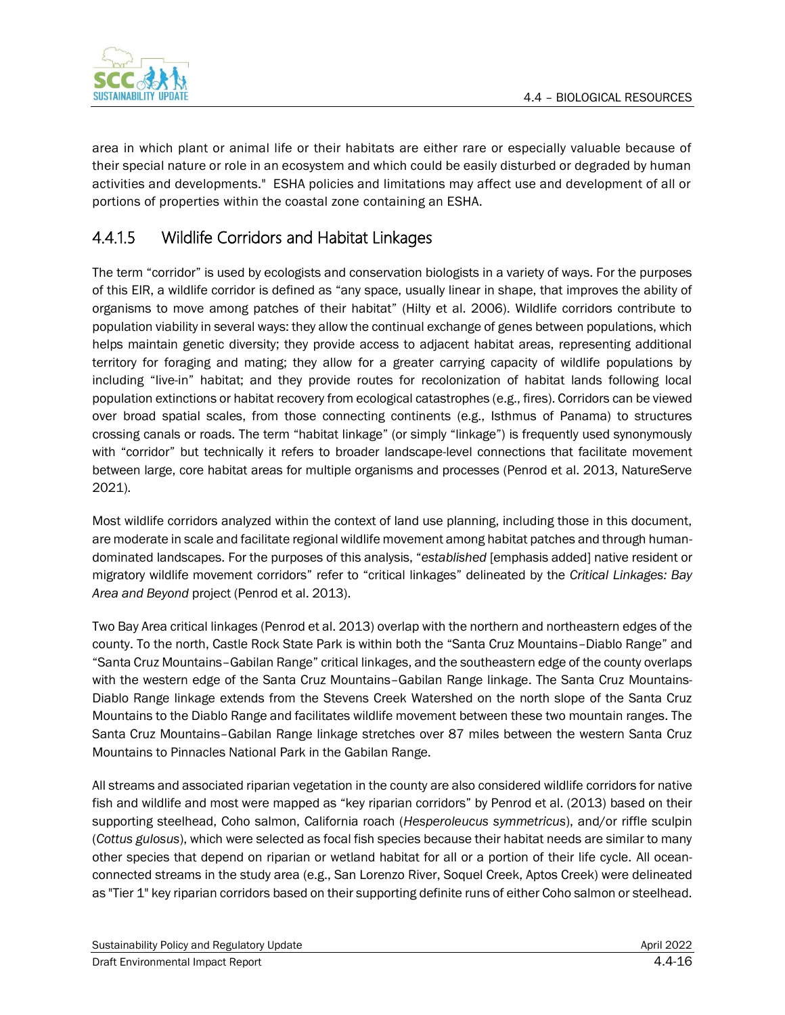

area in which plant or animal life or their habitats are either rare or especially valuable because of their special nature or role in an ecosystem and which could be easily disturbed or degraded by human activities and developments." ESHA policies and limitations may affect use and development of all or portions of properties within the coastal zone containing an ESHA.

# 4.4.1.5 Wildlife Corridors and Habitat Linkages

The term "corridor" is used by ecologists and conservation biologists in a variety of ways. For the purposes of this EIR, a wildlife corridor is defined as "any space, usually linear in shape, that improves the ability of organisms to move among patches of their habitat" (Hilty et al. 2006). Wildlife corridors contribute to population viability in several ways: they allow the continual exchange of genes between populations, which helps maintain genetic diversity; they provide access to adjacent habitat areas, representing additional territory for foraging and mating; they allow for a greater carrying capacity of wildlife populations by including "live-in" habitat; and they provide routes for recolonization of habitat lands following local population extinctions or habitat recovery from ecological catastrophes (e.g., fires). Corridors can be viewed over broad spatial scales, from those connecting continents (e.g., Isthmus of Panama) to structures crossing canals or roads. The term "habitat linkage" (or simply "linkage") is frequently used synonymously with "corridor" but technically it refers to broader landscape-level connections that facilitate movement between large, core habitat areas for multiple organisms and processes (Penrod et al. 2013, NatureServe 2021).

Most wildlife corridors analyzed within the context of land use planning, including those in this document, are moderate in scale and facilitate regional wildlife movement among habitat patches and through humandominated landscapes. For the purposes of this analysis, "*established* [emphasis added] native resident or migratory wildlife movement corridors" refer to "critical linkages" delineated by the *Critical Linkages: Bay Area and Beyond* project (Penrod et al. 2013).

Two Bay Area critical linkages (Penrod et al. 2013) overlap with the northern and northeastern edges of the county. To the north, Castle Rock State Park is within both the "Santa Cruz Mountains–Diablo Range" and "Santa Cruz Mountains–Gabilan Range" critical linkages, and the southeastern edge of the county overlaps with the western edge of the Santa Cruz Mountains–Gabilan Range linkage. The Santa Cruz Mountains-Diablo Range linkage extends from the Stevens Creek Watershed on the north slope of the Santa Cruz Mountains to the Diablo Range and facilitates wildlife movement between these two mountain ranges. The Santa Cruz Mountains–Gabilan Range linkage stretches over 87 miles between the western Santa Cruz Mountains to Pinnacles National Park in the Gabilan Range.

All streams and associated riparian vegetation in the county are also considered wildlife corridors for native fish and wildlife and most were mapped as "key riparian corridors" by Penrod et al. (2013) based on their supporting steelhead, Coho salmon, California roach (*Hesperoleucus symmetricus*), and/or riffle sculpin (*Cottus gulosus*), which were selected as focal fish species because their habitat needs are similar to many other species that depend on riparian or wetland habitat for all or a portion of their life cycle. All oceanconnected streams in the study area (e.g., San Lorenzo River, Soquel Creek, Aptos Creek) were delineated as "Tier 1" key riparian corridors based on their supporting definite runs of either Coho salmon or steelhead.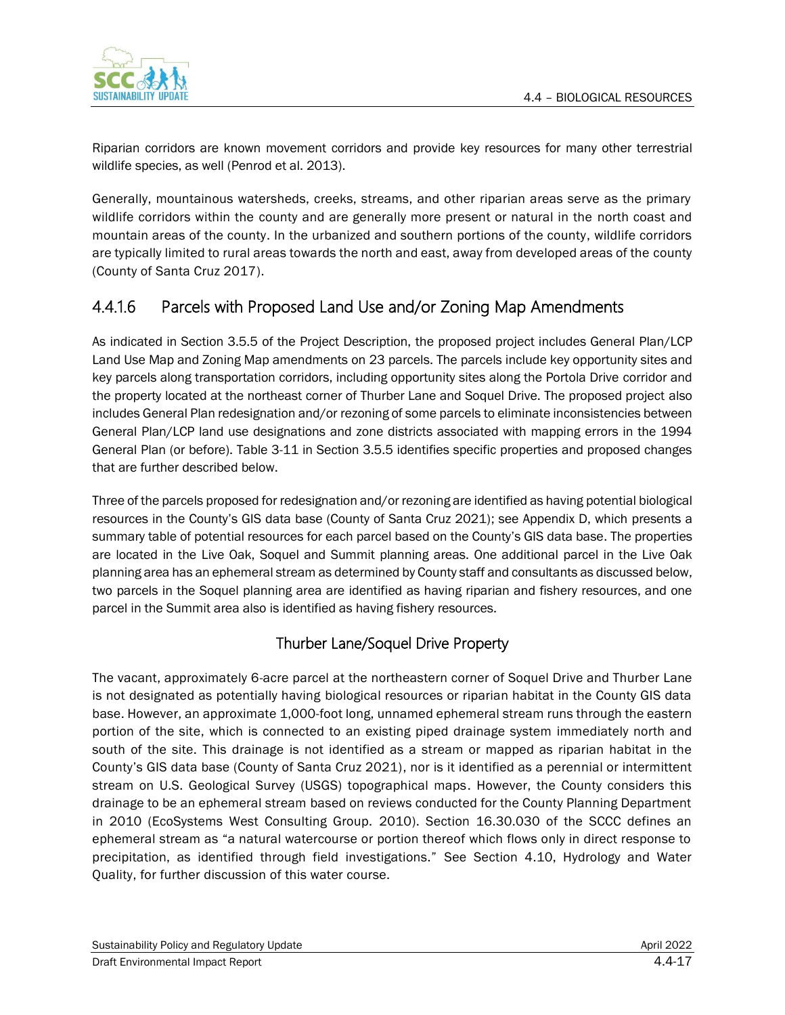

Riparian corridors are known movement corridors and provide key resources for many other terrestrial wildlife species, as well (Penrod et al. 2013).

Generally, mountainous watersheds, creeks, streams, and other riparian areas serve as the primary wildlife corridors within the county and are generally more present or natural in the north coast and mountain areas of the county. In the urbanized and southern portions of the county, wildlife corridors are typically limited to rural areas towards the north and east, away from developed areas of the county (County of Santa Cruz 2017).

# 4.4.1.6 Parcels with Proposed Land Use and/or Zoning Map Amendments

As indicated in Section 3.5.5 of the Project Description, the proposed project includes General Plan/LCP Land Use Map and Zoning Map amendments on 23 parcels. The parcels include key opportunity sites and key parcels along transportation corridors, including opportunity sites along the Portola Drive corridor and the property located at the northeast corner of Thurber Lane and Soquel Drive. The proposed project also includes General Plan redesignation and/or rezoning of some parcels to eliminate inconsistencies between General Plan/LCP land use designations and zone districts associated with mapping errors in the 1994 General Plan (or before). Table 3-11 in Section 3.5.5 identifies specific properties and proposed changes that are further described below.

Three of the parcels proposed for redesignation and/or rezoning are identified as having potential biological resources in the County's GIS data base (County of Santa Cruz 2021); see Appendix D, which presents a summary table of potential resources for each parcel based on the County's GIS data base. The properties are located in the Live Oak, Soquel and Summit planning areas. One additional parcel in the Live Oak planning area has an ephemeral stream as determined by County staff and consultants as discussed below, two parcels in the Soquel planning area are identified as having riparian and fishery resources, and one parcel in the Summit area also is identified as having fishery resources.

### Thurber Lane/Soquel Drive Property

The vacant, approximately 6-acre parcel at the northeastern corner of Soquel Drive and Thurber Lane is not designated as potentially having biological resources or riparian habitat in the County GIS data base. However, an approximate 1,000-foot long, unnamed ephemeral stream runs through the eastern portion of the site, which is connected to an existing piped drainage system immediately north and south of the site. This drainage is not identified as a stream or mapped as riparian habitat in the County's GIS data base (County of Santa Cruz 2021), nor is it identified as a perennial or intermittent stream on U.S. Geological Survey (USGS) topographical maps. However, the County considers this drainage to be an ephemeral stream based on reviews conducted for the County Planning Department in 2010 (EcoSystems West Consulting Group. 2010). Section 16.30.030 of the SCCC defines an ephemeral stream as "a natural watercourse or portion thereof which flows only in direct response to precipitation, as identified through field investigations." See Section 4.10, Hydrology and Water Quality, for further discussion of this water course.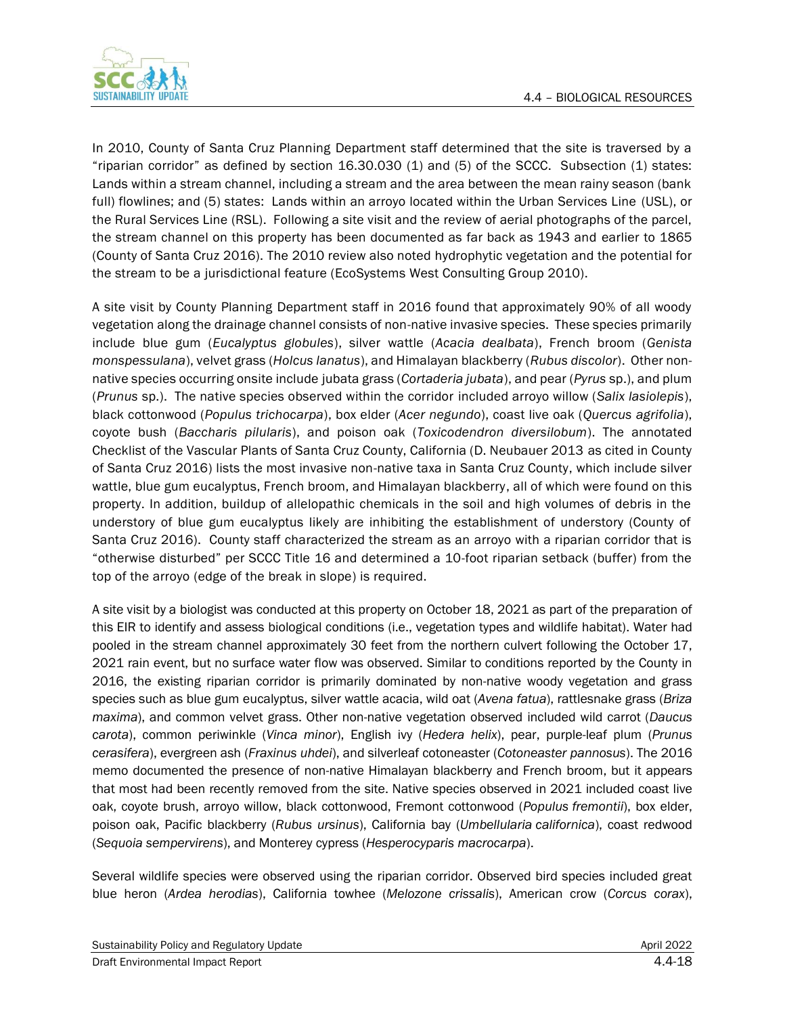

In 2010, County of Santa Cruz Planning Department staff determined that the site is traversed by a "riparian corridor" as defined by section 16.30.030 (1) and (5) of the SCCC. Subsection (1) states: Lands within a stream channel, including a stream and the area between the mean rainy season (bank full) flowlines; and (5) states: Lands within an arroyo located within the Urban Services Line (USL), or the Rural Services Line (RSL). Following a site visit and the review of aerial photographs of the parcel, the stream channel on this property has been documented as far back as 1943 and earlier to 1865 (County of Santa Cruz 2016). The 2010 review also noted hydrophytic vegetation and the potential for the stream to be a jurisdictional feature (EcoSystems West Consulting Group 2010).

A site visit by County Planning Department staff in 2016 found that approximately 90% of all woody vegetation along the drainage channel consists of non-native invasive species. These species primarily include blue gum (*Eucalyptus globules*), silver wattle (*Acacia dealbata*), French broom (*Genista monspessulana*), velvet grass (*Holcus lanatus*), and Himalayan blackberry (*Rubus discolor*). Other nonnative species occurring onsite include jubata grass (*Cortaderia jubata*), and pear (*Pyrus* sp.), and plum (*Prunus* sp.). The native species observed within the corridor included arroyo willow (*Salix lasiolepis*), black cottonwood (*Populus trichocarpa*), box elder (*Acer negundo*), coast live oak (*Quercus agrifolia*), coyote bush (*Baccharis pilularis*), and poison oak (*Toxicodendron diversilobum*). The annotated Checklist of the Vascular Plants of Santa Cruz County, California (D. Neubauer 2013 as cited in County of Santa Cruz 2016) lists the most invasive non-native taxa in Santa Cruz County, which include silver wattle, blue gum eucalyptus, French broom, and Himalayan blackberry, all of which were found on this property. In addition, buildup of allelopathic chemicals in the soil and high volumes of debris in the understory of blue gum eucalyptus likely are inhibiting the establishment of understory (County of Santa Cruz 2016). County staff characterized the stream as an arroyo with a riparian corridor that is "otherwise disturbed" per SCCC Title 16 and determined a 10-foot riparian setback (buffer) from the top of the arroyo (edge of the break in slope) is required.

A site visit by a biologist was conducted at this property on October 18, 2021 as part of the preparation of this EIR to identify and assess biological conditions (i.e., vegetation types and wildlife habitat). Water had pooled in the stream channel approximately 30 feet from the northern culvert following the October 17, 2021 rain event, but no surface water flow was observed. Similar to conditions reported by the County in 2016, the existing riparian corridor is primarily dominated by non-native woody vegetation and grass species such as blue gum eucalyptus, silver wattle acacia, wild oat (*Avena fatua*), rattlesnake grass (*Briza maxima*), and common velvet grass. Other non-native vegetation observed included wild carrot (*Daucus carota*), common periwinkle (*Vinca minor*), English ivy (*Hedera helix*), pear, purple-leaf plum (*Prunus cerasifera*), evergreen ash (*Fraxinus uhdei*), and silverleaf cotoneaster (*Cotoneaster pannosus*). The 2016 memo documented the presence of non-native Himalayan blackberry and French broom, but it appears that most had been recently removed from the site. Native species observed in 2021 included coast live oak, coyote brush, arroyo willow, black cottonwood, Fremont cottonwood (*Populus fremontii*), box elder, poison oak, Pacific blackberry (*Rubus ursinus*), California bay (*Umbellularia californica*), coast redwood (*Sequoia sempervirens*), and Monterey cypress (*Hesperocyparis macrocarpa*).

Several wildlife species were observed using the riparian corridor. Observed bird species included great blue heron (*Ardea herodias*), California towhee (*Melozone crissalis*), American crow (*Corcus corax*),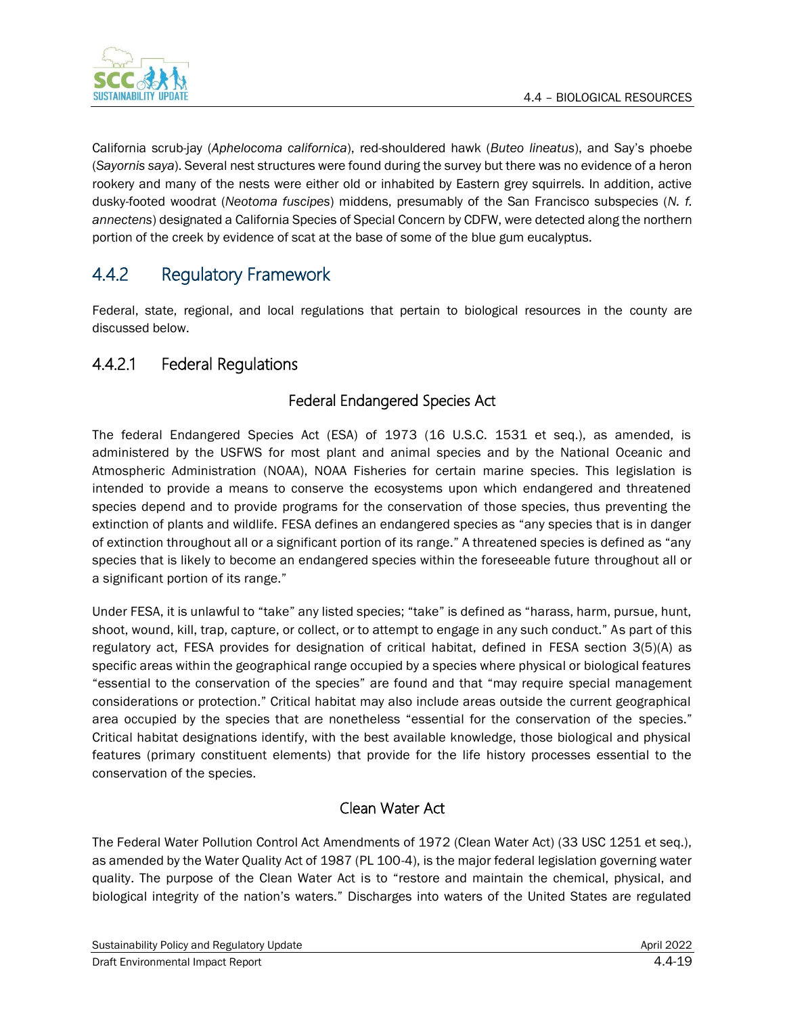

California scrub-jay (*Aphelocoma californica*), red-shouldered hawk (*Buteo lineatus*), and Say's phoebe (*Sayornis saya*). Several nest structures were found during the survey but there was no evidence of a heron rookery and many of the nests were either old or inhabited by Eastern grey squirrels. In addition, active dusky-footed woodrat (*Neotoma fuscipes*) middens, presumably of the San Francisco subspecies (*N. f. annectens*) designated a California Species of Special Concern by CDFW, were detected along the northern portion of the creek by evidence of scat at the base of some of the blue gum eucalyptus.

# 4.4.2 Regulatory Framework

Federal, state, regional, and local regulations that pertain to biological resources in the county are discussed below.

# 4.4.2.1 Federal Regulations

# Federal Endangered Species Act

The federal Endangered Species Act (ESA) of 1973 (16 U.S.C. 1531 et seq.), as amended, is administered by the USFWS for most plant and animal species and by the National Oceanic and Atmospheric Administration (NOAA), NOAA Fisheries for certain marine species. This legislation is intended to provide a means to conserve the ecosystems upon which endangered and threatened species depend and to provide programs for the conservation of those species, thus preventing the extinction of plants and wildlife. FESA defines an endangered species as "any species that is in danger of extinction throughout all or a significant portion of its range." A threatened species is defined as "any species that is likely to become an endangered species within the foreseeable future throughout all or a significant portion of its range."

Under FESA, it is unlawful to "take" any listed species; "take" is defined as "harass, harm, pursue, hunt, shoot, wound, kill, trap, capture, or collect, or to attempt to engage in any such conduct." As part of this regulatory act, FESA provides for designation of critical habitat, defined in FESA section 3(5)(A) as specific areas within the geographical range occupied by a species where physical or biological features "essential to the conservation of the species" are found and that "may require special management considerations or protection." Critical habitat may also include areas outside the current geographical area occupied by the species that are nonetheless "essential for the conservation of the species." Critical habitat designations identify, with the best available knowledge, those biological and physical features (primary constituent elements) that provide for the life history processes essential to the conservation of the species.

### Clean Water Act

The Federal Water Pollution Control Act Amendments of 1972 (Clean Water Act) (33 USC 1251 et seq.), as amended by the Water Quality Act of 1987 (PL 100-4), is the major federal legislation governing water quality. The purpose of the Clean Water Act is to "restore and maintain the chemical, physical, and biological integrity of the nation's waters." Discharges into waters of the United States are regulated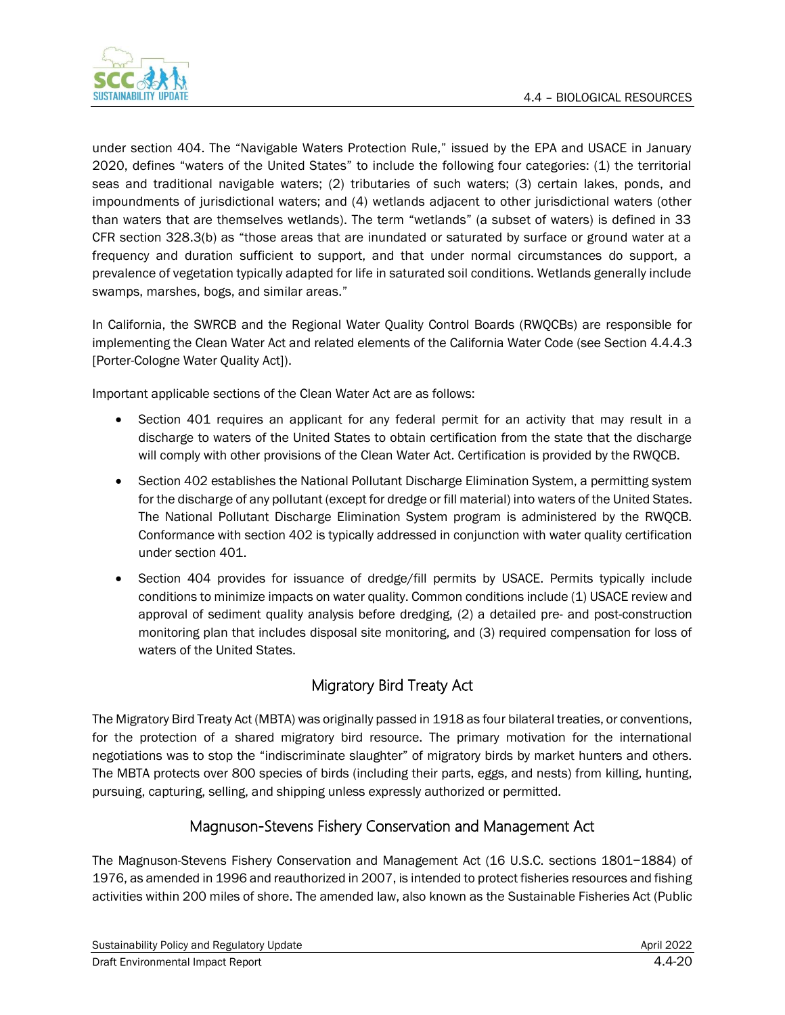

under section 404. The "Navigable Waters Protection Rule," issued by the EPA and USACE in January 2020, defines "waters of the United States" to include the following four categories: (1) the territorial seas and traditional navigable waters; (2) tributaries of such waters; (3) certain lakes, ponds, and impoundments of jurisdictional waters; and (4) wetlands adjacent to other jurisdictional waters (other than waters that are themselves wetlands). The term "wetlands" (a subset of waters) is defined in 33 CFR section 328.3(b) as "those areas that are inundated or saturated by surface or ground water at a frequency and duration sufficient to support, and that under normal circumstances do support, a prevalence of vegetation typically adapted for life in saturated soil conditions. Wetlands generally include swamps, marshes, bogs, and similar areas."

In California, the SWRCB and the Regional Water Quality Control Boards (RWQCBs) are responsible for implementing the Clean Water Act and related elements of the California Water Code (see Section 4.4.4.3 [Porter-Cologne Water Quality Act]).

Important applicable sections of the Clean Water Act are as follows:

- Section 401 requires an applicant for any federal permit for an activity that may result in a discharge to waters of the United States to obtain certification from the state that the discharge will comply with other provisions of the Clean Water Act. Certification is provided by the RWQCB.
- Section 402 establishes the National Pollutant Discharge Elimination System, a permitting system for the discharge of any pollutant (except for dredge or fill material) into waters of the United States. The National Pollutant Discharge Elimination System program is administered by the RWQCB. Conformance with section 402 is typically addressed in conjunction with water quality certification under section 401.
- Section 404 provides for issuance of dredge/fill permits by USACE. Permits typically include conditions to minimize impacts on water quality. Common conditions include (1) USACE review and approval of sediment quality analysis before dredging, (2) a detailed pre- and post-construction monitoring plan that includes disposal site monitoring, and (3) required compensation for loss of waters of the United States.

# Migratory Bird Treaty Act

The Migratory Bird Treaty Act (MBTA) was originally passed in 1918 as four bilateral treaties, or conventions, for the protection of a shared migratory bird resource. The primary motivation for the international negotiations was to stop the "indiscriminate slaughter" of migratory birds by market hunters and others. The MBTA protects over 800 species of birds (including their parts, eggs, and nests) from killing, hunting, pursuing, capturing, selling, and shipping unless expressly authorized or permitted.

### Magnuson-Stevens Fishery Conservation and Management Act

The Magnuson-Stevens Fishery Conservation and Management Act (16 U.S.C. sections 1801−1884) of 1976, as amended in 1996 and reauthorized in 2007, is intended to protect fisheries resources and fishing activities within 200 miles of shore. The amended law, also known as the Sustainable Fisheries Act (Public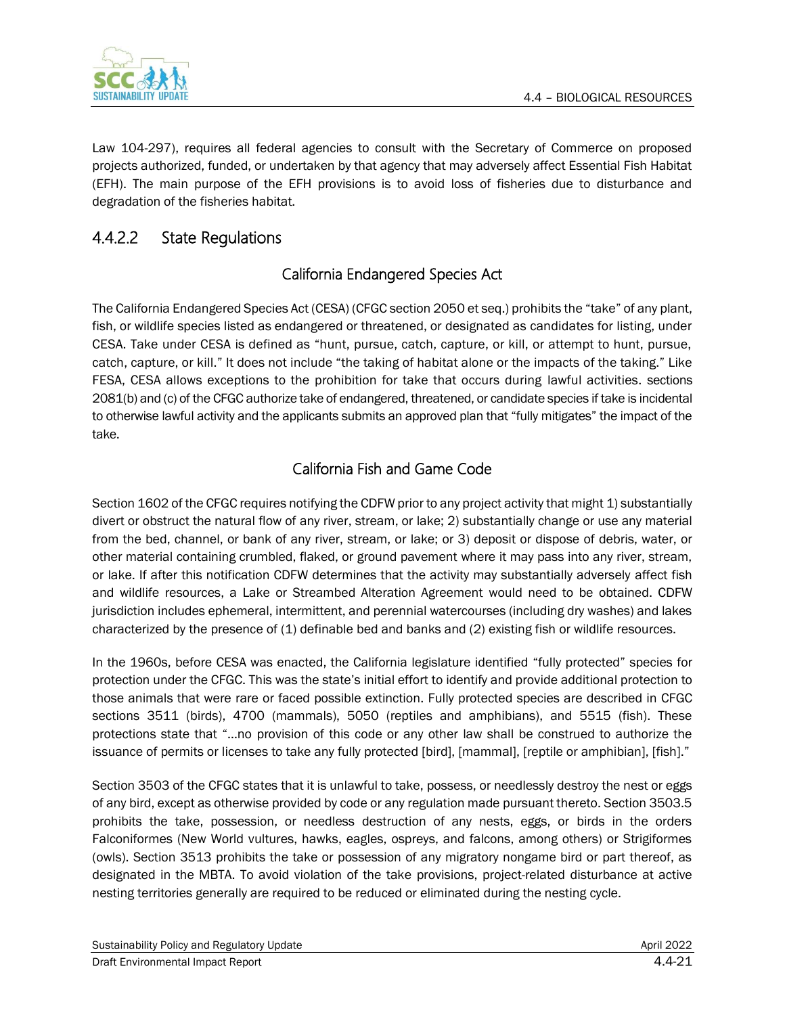

Law 104-297), requires all federal agencies to consult with the Secretary of Commerce on proposed projects authorized, funded, or undertaken by that agency that may adversely affect Essential Fish Habitat (EFH). The main purpose of the EFH provisions is to avoid loss of fisheries due to disturbance and degradation of the fisheries habitat.

# 4.4.2.2 State Regulations

# California Endangered Species Act

The California Endangered Species Act (CESA) (CFGC section 2050 et seq.) prohibits the "take" of any plant, fish, or wildlife species listed as endangered or threatened, or designated as candidates for listing, under CESA. Take under CESA is defined as "hunt, pursue, catch, capture, or kill, or attempt to hunt, pursue, catch, capture, or kill." It does not include "the taking of habitat alone or the impacts of the taking." Like FESA, CESA allows exceptions to the prohibition for take that occurs during lawful activities. sections 2081(b) and (c) of the CFGC authorize take of endangered, threatened, or candidate species if take is incidental to otherwise lawful activity and the applicants submits an approved plan that "fully mitigates" the impact of the take.

# California Fish and Game Code

Section 1602 of the CFGC requires notifying the CDFW prior to any project activity that might 1) substantially divert or obstruct the natural flow of any river, stream, or lake; 2) substantially change or use any material from the bed, channel, or bank of any river, stream, or lake; or 3) deposit or dispose of debris, water, or other material containing crumbled, flaked, or ground pavement where it may pass into any river, stream, or lake. If after this notification CDFW determines that the activity may substantially adversely affect fish and wildlife resources, a Lake or Streambed Alteration Agreement would need to be obtained. CDFW jurisdiction includes ephemeral, intermittent, and perennial watercourses (including dry washes) and lakes characterized by the presence of (1) definable bed and banks and (2) existing fish or wildlife resources.

In the 1960s, before CESA was enacted, the California legislature identified "fully protected" species for protection under the CFGC. This was the state's initial effort to identify and provide additional protection to those animals that were rare or faced possible extinction. Fully protected species are described in CFGC sections 3511 (birds), 4700 (mammals), 5050 (reptiles and amphibians), and 5515 (fish). These protections state that "…no provision of this code or any other law shall be construed to authorize the issuance of permits or licenses to take any fully protected [bird], [mammal], [reptile or amphibian], [fish]."

Section 3503 of the CFGC states that it is unlawful to take, possess, or needlessly destroy the nest or eggs of any bird, except as otherwise provided by code or any regulation made pursuant thereto. Section 3503.5 prohibits the take, possession, or needless destruction of any nests, eggs, or birds in the orders Falconiformes (New World vultures, hawks, eagles, ospreys, and falcons, among others) or Strigiformes (owls). Section 3513 prohibits the take or possession of any migratory nongame bird or part thereof, as designated in the MBTA. To avoid violation of the take provisions, project-related disturbance at active nesting territories generally are required to be reduced or eliminated during the nesting cycle.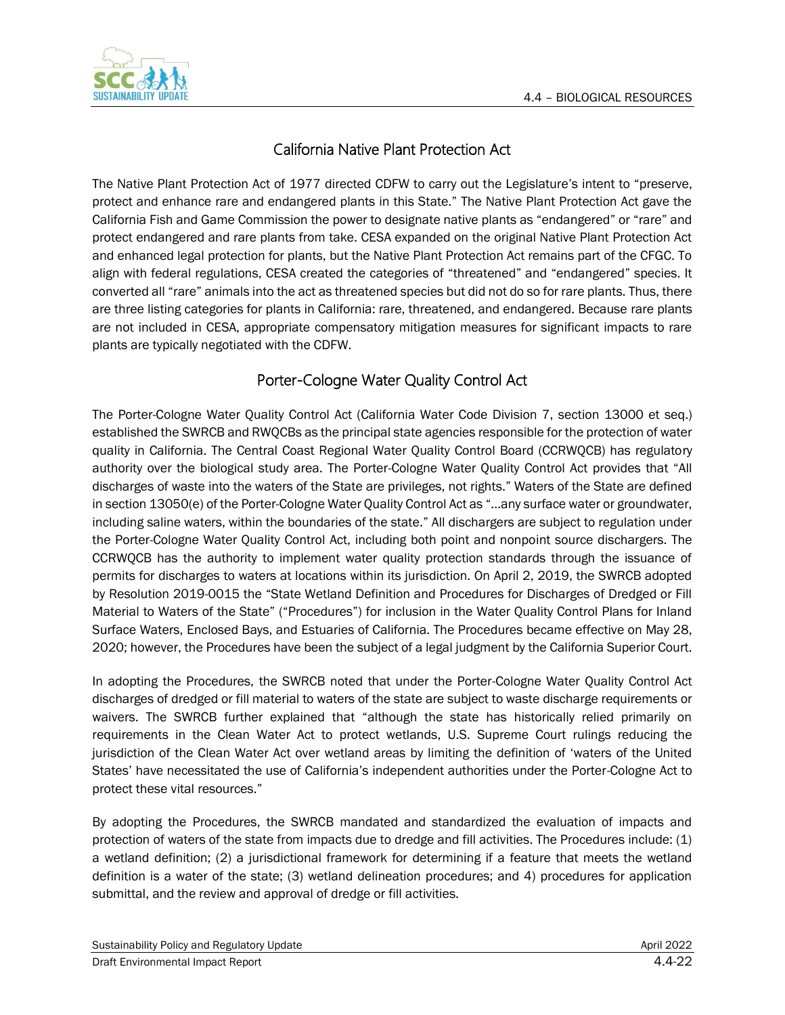

# California Native Plant Protection Act

The Native Plant Protection Act of 1977 directed CDFW to carry out the Legislature's intent to "preserve, protect and enhance rare and endangered plants in this State." The Native Plant Protection Act gave the California Fish and Game Commission the power to designate native plants as "endangered" or "rare" and protect endangered and rare plants from take. CESA expanded on the original Native Plant Protection Act and enhanced legal protection for plants, but the Native Plant Protection Act remains part of the CFGC. To align with federal regulations, CESA created the categories of "threatened" and "endangered" species. It converted all "rare" animals into the act as threatened species but did not do so for rare plants. Thus, there are three listing categories for plants in California: rare, threatened, and endangered. Because rare plants are not included in CESA, appropriate compensatory mitigation measures for significant impacts to rare plants are typically negotiated with the CDFW.

# Porter-Cologne Water Quality Control Act

The Porter-Cologne Water Quality Control Act (California Water Code Division 7, section 13000 et seq.) established the SWRCB and RWQCBs as the principal state agencies responsible for the protection of water quality in California. The Central Coast Regional Water Quality Control Board (CCRWQCB) has regulatory authority over the biological study area. The Porter-Cologne Water Quality Control Act provides that "All discharges of waste into the waters of the State are privileges, not rights." Waters of the State are defined in section 13050(e) of the Porter-Cologne Water Quality Control Act as "…any surface water or groundwater, including saline waters, within the boundaries of the state." All dischargers are subject to regulation under the Porter-Cologne Water Quality Control Act, including both point and nonpoint source dischargers. The CCRWQCB has the authority to implement water quality protection standards through the issuance of permits for discharges to waters at locations within its jurisdiction. On April 2, 2019, the SWRCB adopted by Resolution 2019-0015 the "State Wetland Definition and Procedures for Discharges of Dredged or Fill Material to Waters of the State" ("Procedures") for inclusion in the Water Quality Control Plans for Inland Surface Waters, Enclosed Bays, and Estuaries of California. The Procedures became effective on May 28, 2020; however, the Procedures have been the subject of a legal judgment by the California Superior Court.

In adopting the Procedures, the SWRCB noted that under the Porter-Cologne Water Quality Control Act discharges of dredged or fill material to waters of the state are subject to waste discharge requirements or waivers. The SWRCB further explained that "although the state has historically relied primarily on requirements in the Clean Water Act to protect wetlands, U.S. Supreme Court rulings reducing the jurisdiction of the Clean Water Act over wetland areas by limiting the definition of 'waters of the United States' have necessitated the use of California's independent authorities under the Porter-Cologne Act to protect these vital resources."

By adopting the Procedures, the SWRCB mandated and standardized the evaluation of impacts and protection of waters of the state from impacts due to dredge and fill activities. The Procedures include: (1) a wetland definition; (2) a jurisdictional framework for determining if a feature that meets the wetland definition is a water of the state; (3) wetland delineation procedures; and 4) procedures for application submittal, and the review and approval of dredge or fill activities.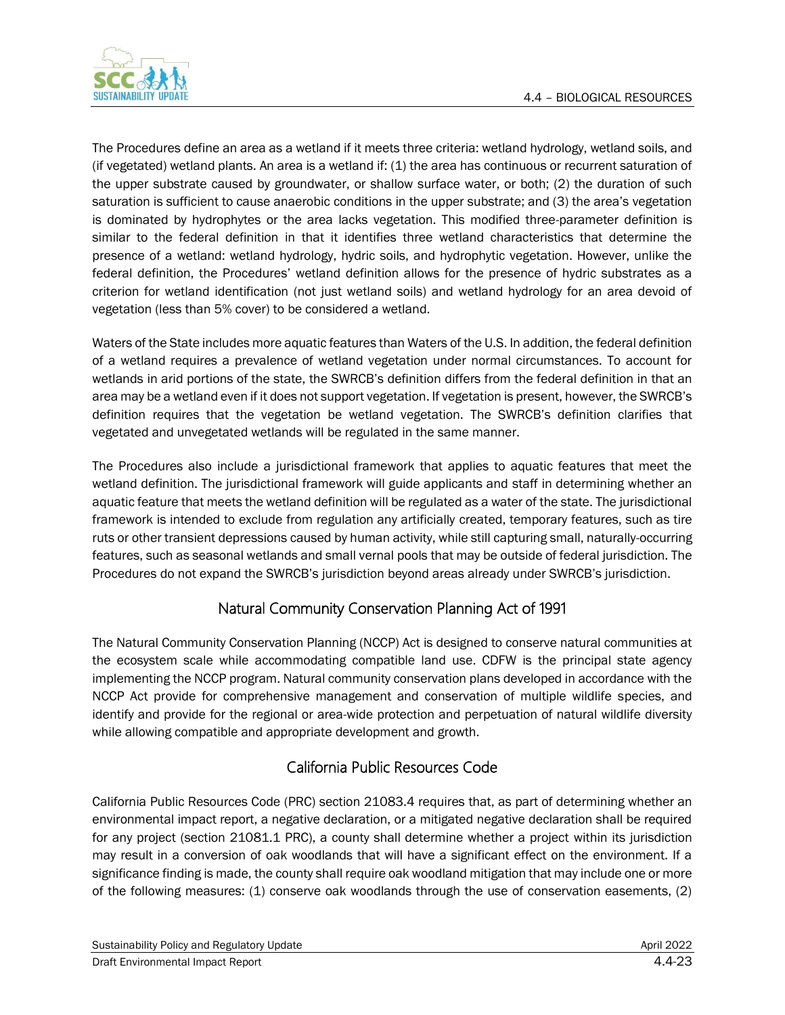

The Procedures define an area as a wetland if it meets three criteria: wetland hydrology, wetland soils, and (if vegetated) wetland plants. An area is a wetland if: (1) the area has continuous or recurrent saturation of the upper substrate caused by groundwater, or shallow surface water, or both; (2) the duration of such saturation is sufficient to cause anaerobic conditions in the upper substrate; and (3) the area's vegetation is dominated by hydrophytes or the area lacks vegetation. This modified three-parameter definition is similar to the federal definition in that it identifies three wetland characteristics that determine the presence of a wetland: wetland hydrology, hydric soils, and hydrophytic vegetation. However, unlike the federal definition, the Procedures' wetland definition allows for the presence of hydric substrates as a criterion for wetland identification (not just wetland soils) and wetland hydrology for an area devoid of vegetation (less than 5% cover) to be considered a wetland.

Waters of the State includes more aquatic features than Waters of the U.S. In addition, the federal definition of a wetland requires a prevalence of wetland vegetation under normal circumstances. To account for wetlands in arid portions of the state, the SWRCB's definition differs from the federal definition in that an area may be a wetland even if it does not support vegetation. If vegetation is present, however, the SWRCB's definition requires that the vegetation be wetland vegetation. The SWRCB's definition clarifies that vegetated and unvegetated wetlands will be regulated in the same manner.

The Procedures also include a jurisdictional framework that applies to aquatic features that meet the wetland definition. The jurisdictional framework will guide applicants and staff in determining whether an aquatic feature that meets the wetland definition will be regulated as a water of the state. The jurisdictional framework is intended to exclude from regulation any artificially created, temporary features, such as tire ruts or other transient depressions caused by human activity, while still capturing small, naturally-occurring features, such as seasonal wetlands and small vernal pools that may be outside of federal jurisdiction. The Procedures do not expand the SWRCB's jurisdiction beyond areas already under SWRCB's jurisdiction.

# Natural Community Conservation Planning Act of 1991

The Natural Community Conservation Planning (NCCP) Act is designed to conserve natural communities at the ecosystem scale while accommodating compatible land use. CDFW is the principal state agency implementing the NCCP program. Natural community conservation plans developed in accordance with the NCCP Act provide for comprehensive management and conservation of multiple wildlife species, and identify and provide for the regional or area-wide protection and perpetuation of natural wildlife diversity while allowing compatible and appropriate development and growth.

# California Public Resources Code

California Public Resources Code (PRC) section 21083.4 requires that, as part of determining whether an environmental impact report, a negative declaration, or a mitigated negative declaration shall be required for any project (section 21081.1 PRC), a county shall determine whether a project within its jurisdiction may result in a conversion of oak woodlands that will have a significant effect on the environment. If a significance finding is made, the county shall require oak woodland mitigation that may include one or more of the following measures: (1) conserve oak woodlands through the use of conservation easements, (2)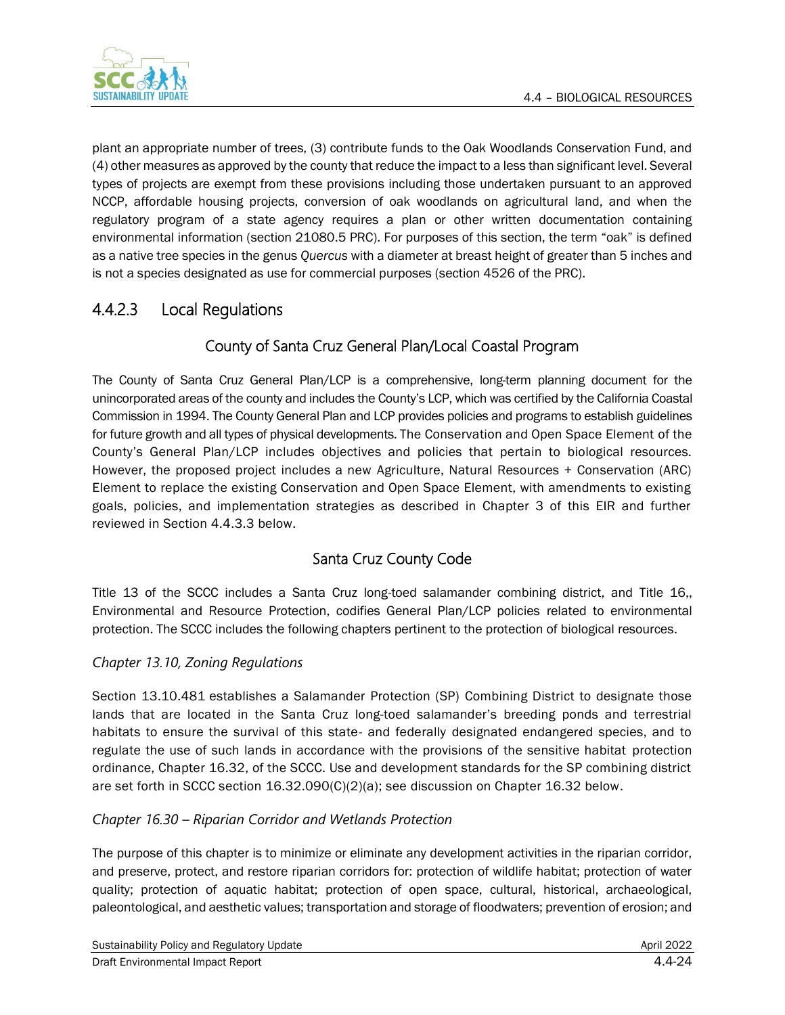

plant an appropriate number of trees, (3) contribute funds to the Oak Woodlands Conservation Fund, and (4) other measures as approved by the county that reduce the impact to a less than significant level. Several types of projects are exempt from these provisions including those undertaken pursuant to an approved NCCP, affordable housing projects, conversion of oak woodlands on agricultural land, and when the regulatory program of a state agency requires a plan or other written documentation containing environmental information (section 21080.5 PRC). For purposes of this section, the term "oak" is defined as a native tree species in the genus *Quercus* with a diameter at breast height of greater than 5 inches and is not a species designated as use for commercial purposes (section 4526 of the PRC).

# 4.4.2.3 Local Regulations

# County of Santa Cruz General Plan/Local Coastal Program

The County of Santa Cruz General Plan/LCP is a comprehensive, long-term planning document for the unincorporated areas of the county and includes the County's LCP, which was certified by the California Coastal Commission in 1994. The County General Plan and LCP provides policies and programs to establish guidelines for future growth and all types of physical developments. The Conservation and Open Space Element of the County's General Plan/LCP includes objectives and policies that pertain to biological resources. However, the proposed project includes a new Agriculture, Natural Resources + Conservation (ARC) Element to replace the existing Conservation and Open Space Element, with amendments to existing goals, policies, and implementation strategies as described in Chapter 3 of this EIR and further reviewed in Section 4.4.3.3 below.

# Santa Cruz County Code

Title 13 of the SCCC includes a Santa Cruz long-toed salamander combining district, and Title 16,, Environmental and Resource Protection, codifies General Plan/LCP policies related to environmental protection. The SCCC includes the following chapters pertinent to the protection of biological resources.

### *Chapter 13.10, Zoning Regulations*

Section 13.10.481 establishes a Salamander Protection (SP) Combining District to designate those lands that are located in the Santa Cruz long-toed salamander's breeding ponds and terrestrial habitats to ensure the survival of this state- and federally designated endangered species, and to regulate the use of such lands in accordance with the provisions of the sensitive habitat protection ordinance, Chapter [16.32,](https://www.codepublishing.com/CA/SantaCruzCounty/#!/SantaCruzCounty16/SantaCruzCounty1632.html#16.32) of the SCCC. Use and development standards for the SP combining district are set forth in SCCC section [16.32.090\(](https://www.codepublishing.com/CA/SantaCruzCounty/#!/SantaCruzCounty16/SantaCruzCounty1632.html#16.32.090)C)(2)(a); see discussion on Chapter 16.32 below.

### *Chapter 16.30 – Riparian Corridor and Wetlands Protection*

The purpose of this chapter is to minimize or eliminate any development activities in the riparian corridor, and preserve, protect, and restore riparian corridors for: protection of wildlife habitat; protection of water quality; protection of aquatic habitat; protection of open space, cultural, historical, archaeological, paleontological, and aesthetic values; transportation and storage of floodwaters; prevention of erosion; and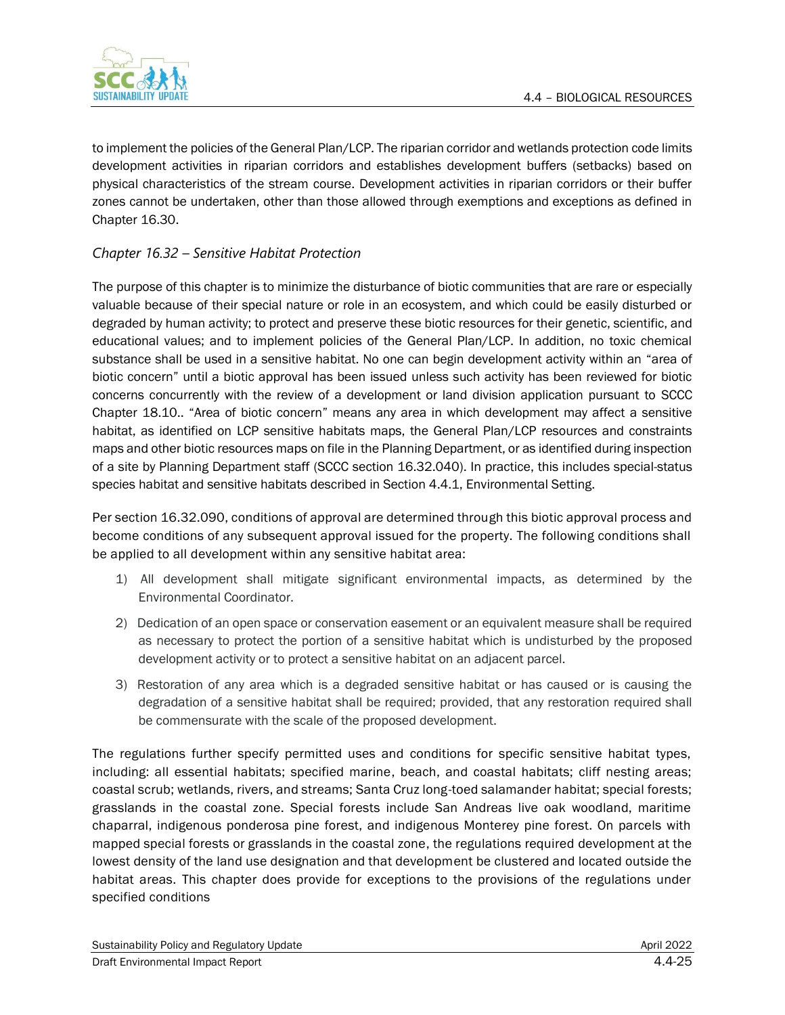

to implement the policies of the General Plan/LCP. The riparian corridor and wetlands protection code limits development activities in riparian corridors and establishes development buffers (setbacks) based on physical characteristics of the stream course. Development activities in riparian corridors or their buffer zones cannot be undertaken, other than those allowed through exemptions and exceptions as defined in Chapter 16.30.

### *Chapter 16.32 – Sensitive Habitat Protection*

The purpose of this chapter is to minimize the disturbance of biotic communities that are rare or especially valuable because of their special nature or role in an ecosystem, and which could be easily disturbed or degraded by human activity; to protect and preserve these biotic resources for their genetic, scientific, and educational values; and to implement policies of the General Plan/LCP. In addition, no toxic chemical substance shall be used in a sensitive habitat. No one can begin development activity within an "area of biotic concern" until a biotic approval has been issued unless such activity has been reviewed for biotic concerns concurrently with the review of a development or land division application pursuant to SCCC Chapter 18.10.. "Area of biotic concern" means any area in which development may affect a sensitive habitat, as identified on LCP sensitive habitats maps, the General Plan/LCP resources and constraints maps and other biotic resources maps on file in the Planning Department, or as identified during inspection of a site by Planning Department staff (SCCC section 16.32.040). In practice, this includes special-status species habitat and sensitive habitats described in Section 4.4.1, Environmental Setting.

Per section 16.32.090, conditions of approval are determined through this biotic approval process and become conditions of any subsequent approval issued for the property. The following conditions shall be applied to all development within any sensitive habitat area:

- 1) All development shall mitigate significant environmental impacts, as determined by the Environmental Coordinator.
- 2) Dedication of an open space or conservation easement or an equivalent measure shall be required as necessary to protect the portion of a sensitive habitat which is undisturbed by the proposed development activity or to protect a sensitive habitat on an adjacent parcel.
- 3) Restoration of any area which is a degraded sensitive habitat or has caused or is causing the degradation of a sensitive habitat shall be required; provided, that any restoration required shall be commensurate with the scale of the proposed development.

The regulations further specify permitted uses and conditions for specific sensitive habitat types, including: all essential habitats; specified marine, beach, and coastal habitats; cliff nesting areas; coastal scrub; wetlands, rivers, and streams; Santa Cruz long-toed salamander habitat; special forests; grasslands in the coastal zone. Special forests include San Andreas live oak woodland, maritime chaparral, indigenous ponderosa pine forest, and indigenous Monterey pine forest. On parcels with mapped special forests or grasslands in the coastal zone, the regulations required development at the lowest density of the land use designation and that development be clustered and located outside the habitat areas. This chapter does provide for exceptions to the provisions of the regulations under specified conditions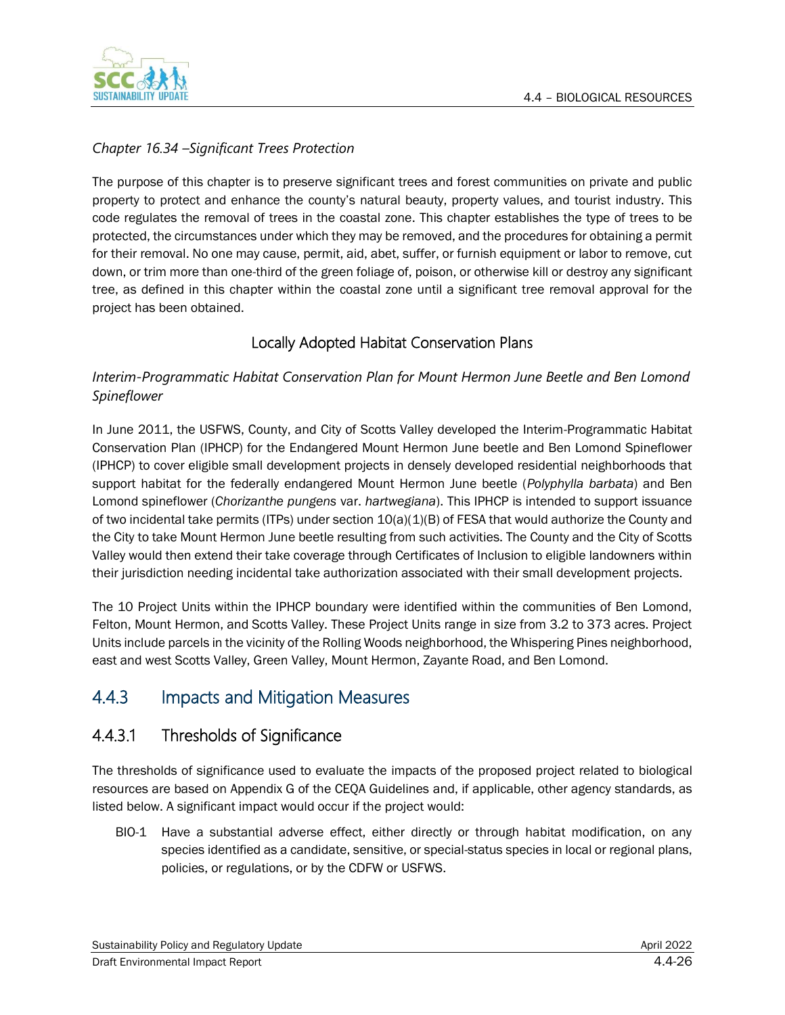

### *Chapter 16.34 –Significant Trees Protection*

The purpose of this chapter is to preserve significant trees and forest communities on private and public property to protect and enhance the county's natural beauty, property values, and tourist industry. This code regulates the removal of trees in the coastal zone. This chapter establishes the type of trees to be protected, the circumstances under which they may be removed, and the procedures for obtaining a permit for their removal. No one may cause, permit, aid, abet, suffer, or furnish equipment or labor to remove, cut down, or trim more than one-third of the green foliage of, poison, or otherwise kill or destroy any significant tree, as defined in this chapter within the coastal zone until a significant tree removal approval for the project has been obtained.

### Locally Adopted Habitat Conservation Plans

### *Interim-Programmatic Habitat Conservation Plan for Mount Hermon June Beetle and Ben Lomond Spineflower*

In June 2011, the USFWS, County, and City of Scotts Valley developed the Interim-Programmatic Habitat Conservation Plan (IPHCP) for the Endangered Mount Hermon June beetle and Ben Lomond Spineflower (IPHCP) to cover eligible small development projects in densely developed residential neighborhoods that support habitat for the federally endangered Mount Hermon June beetle (*Polyphylla barbata*) and Ben Lomond spineflower (*Chorizanthe pungens* var. *hartwegiana*). This IPHCP is intended to support issuance of two incidental take permits (ITPs) under section  $10(a)(1)(B)$  of FESA that would authorize the County and the City to take Mount Hermon June beetle resulting from such activities. The County and the City of Scotts Valley would then extend their take coverage through Certificates of Inclusion to eligible landowners within their jurisdiction needing incidental take authorization associated with their small development projects.

The 10 Project Units within the IPHCP boundary were identified within the communities of Ben Lomond, Felton, Mount Hermon, and Scotts Valley. These Project Units range in size from 3.2 to 373 acres. Project Units include parcels in the vicinity of the Rolling Woods neighborhood, the Whispering Pines neighborhood, east and west Scotts Valley, Green Valley, Mount Hermon, Zayante Road, and Ben Lomond.

# 4.4.3 Impacts and Mitigation Measures

# 4.4.3.1 Thresholds of Significance

The thresholds of significance used to evaluate the impacts of the proposed project related to biological resources are based on Appendix G of the CEQA Guidelines and, if applicable, other agency standards, as listed below. A significant impact would occur if the project would:

BIO-1 Have a substantial adverse effect, either directly or through habitat modification, on any species identified as a candidate, sensitive, or special-status species in local or regional plans, policies, or regulations, or by the CDFW or USFWS.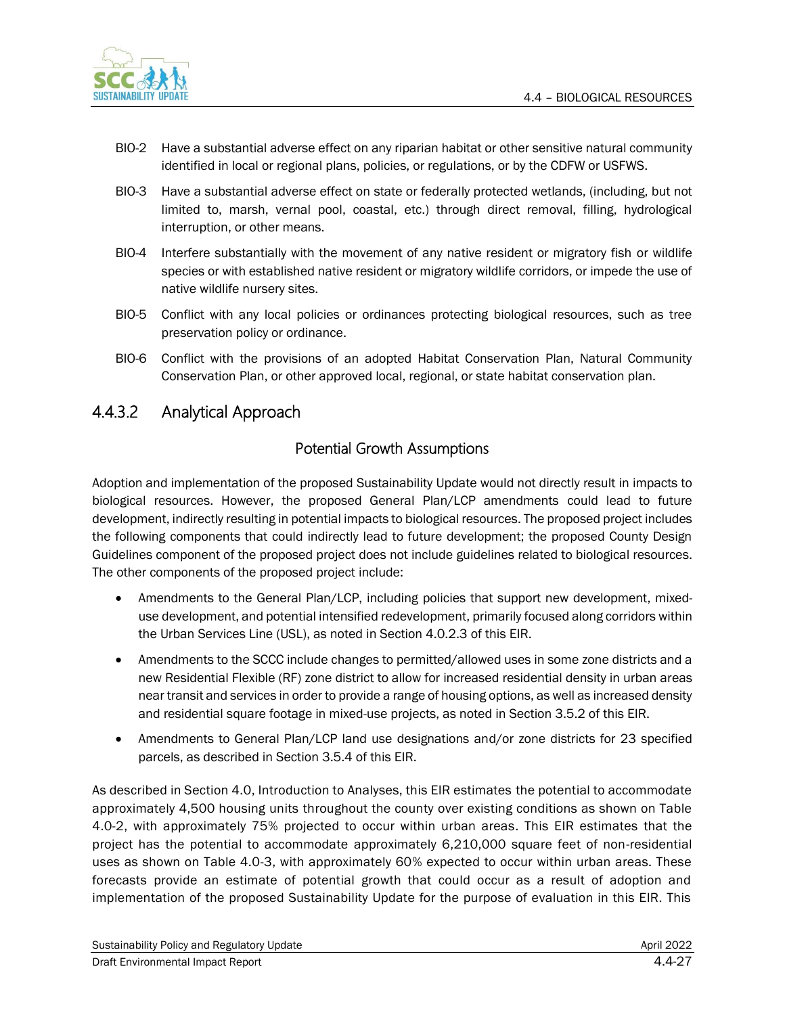

- BIO-2 Have a substantial adverse effect on any riparian habitat or other sensitive natural community identified in local or regional plans, policies, or regulations, or by the CDFW or USFWS.
- BIO-3 Have a substantial adverse effect on state or federally protected wetlands, (including, but not limited to, marsh, vernal pool, coastal, etc.) through direct removal, filling, hydrological interruption, or other means.
- BIO-4 Interfere substantially with the movement of any native resident or migratory fish or wildlife species or with established native resident or migratory wildlife corridors, or impede the use of native wildlife nursery sites.
- BIO-5 Conflict with any local policies or ordinances protecting biological resources, such as tree preservation policy or ordinance.
- BIO-6 Conflict with the provisions of an adopted Habitat Conservation Plan, Natural Community Conservation Plan, or other approved local, regional, or state habitat conservation plan.

# 4.4.3.2 Analytical Approach

### Potential Growth Assumptions

Adoption and implementation of the proposed Sustainability Update would not directly result in impacts to biological resources. However, the proposed General Plan/LCP amendments could lead to future development, indirectly resulting in potential impacts to biological resources. The proposed project includes the following components that could indirectly lead to future development; the proposed County Design Guidelines component of the proposed project does not include guidelines related to biological resources. The other components of the proposed project include:

- Amendments to the General Plan/LCP, including policies that support new development, mixeduse development, and potential intensified redevelopment, primarily focused along corridors within the Urban Services Line (USL), as noted in Section 4.0.2.3 of this EIR.
- Amendments to the SCCC include changes to permitted/allowed uses in some zone districts and a new Residential Flexible (RF) zone district to allow for increased residential density in urban areas near transit and services in order to provide a range of housing options, as well as increased density and residential square footage in mixed-use projects, as noted in Section 3.5.2 of this EIR.
- Amendments to General Plan/LCP land use designations and/or zone districts for 23 specified parcels, as described in Section 3.5.4 of this EIR.

As described in Section 4.0, Introduction to Analyses, this EIR estimates the potential to accommodate approximately 4,500 housing units throughout the county over existing conditions as shown on Table 4.0-2, with approximately 75% projected to occur within urban areas. This EIR estimates that the project has the potential to accommodate approximately 6,210,000 square feet of non-residential uses as shown on Table 4.0-3, with approximately 60% expected to occur within urban areas. These forecasts provide an estimate of potential growth that could occur as a result of adoption and implementation of the proposed Sustainability Update for the purpose of evaluation in this EIR. This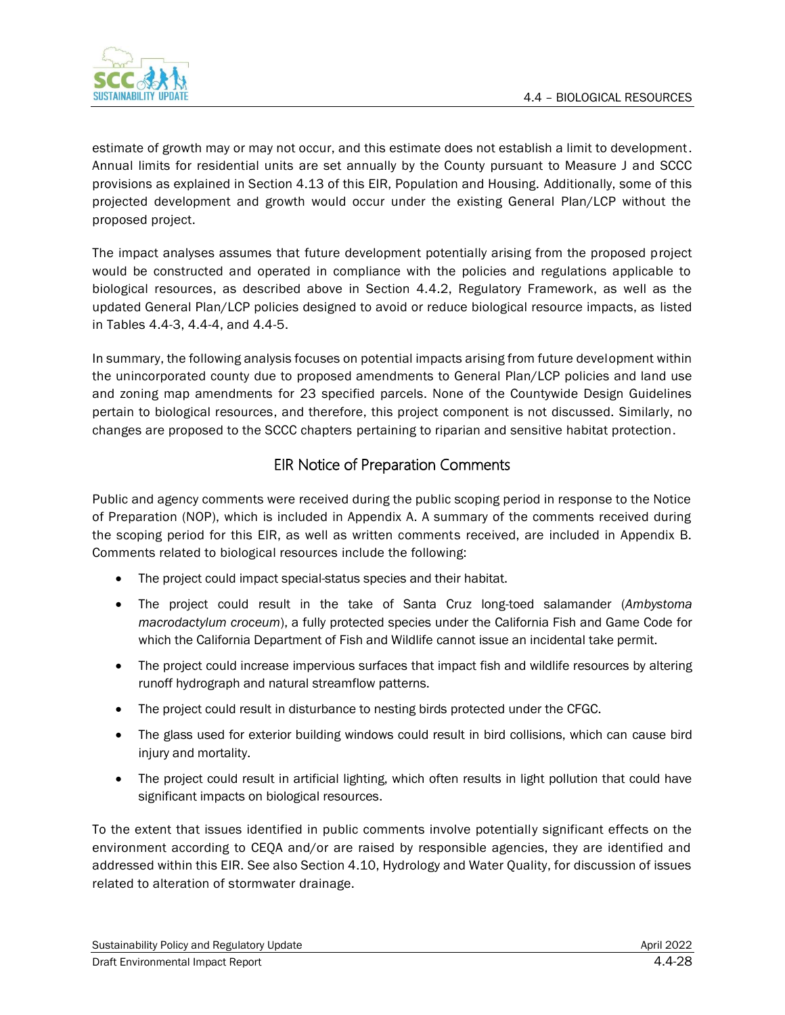

estimate of growth may or may not occur, and this estimate does not establish a limit to development. Annual limits for residential units are set annually by the County pursuant to Measure J and SCCC provisions as explained in Section 4.13 of this EIR, Population and Housing. Additionally, some of this projected development and growth would occur under the existing General Plan/LCP without the proposed project.

The impact analyses assumes that future development potentially arising from the proposed project would be constructed and operated in compliance with the policies and regulations applicable to biological resources, as described above in Section 4.4.2, Regulatory Framework, as well as the updated General Plan/LCP policies designed to avoid or reduce biological resource impacts, as listed in Tables 4.4-3, 4.4-4, and 4.4-5.

In summary, the following analysis focuses on potential impacts arising from future development within the unincorporated county due to proposed amendments to General Plan/LCP policies and land use and zoning map amendments for 23 specified parcels. None of the Countywide Design Guidelines pertain to biological resources, and therefore, this project component is not discussed. Similarly, no changes are proposed to the SCCC chapters pertaining to riparian and sensitive habitat protection.

### EIR Notice of Preparation Comments

Public and agency comments were received during the public scoping period in response to the Notice of Preparation (NOP), which is included in Appendix A. A summary of the comments received during the scoping period for this EIR, as well as written comments received, are included in Appendix B. Comments related to biological resources include the following:

- The project could impact special-status species and their habitat.
- The project could result in the take of Santa Cruz long-toed salamander (*Ambystoma macrodactylum croceum*), a fully protected species under the California Fish and Game Code for which the California Department of Fish and Wildlife cannot issue an incidental take permit.
- The project could increase impervious surfaces that impact fish and wildlife resources by altering runoff hydrograph and natural streamflow patterns.
- The project could result in disturbance to nesting birds protected under the CFGC.
- The glass used for exterior building windows could result in bird collisions, which can cause bird injury and mortality.
- The project could result in artificial lighting, which often results in light pollution that could have significant impacts on biological resources.

To the extent that issues identified in public comments involve potentially significant effects on the environment according to CEQA and/or are raised by responsible agencies, they are identified and addressed within this EIR. See also Section 4.10, Hydrology and Water Quality, for discussion of issues related to alteration of stormwater drainage.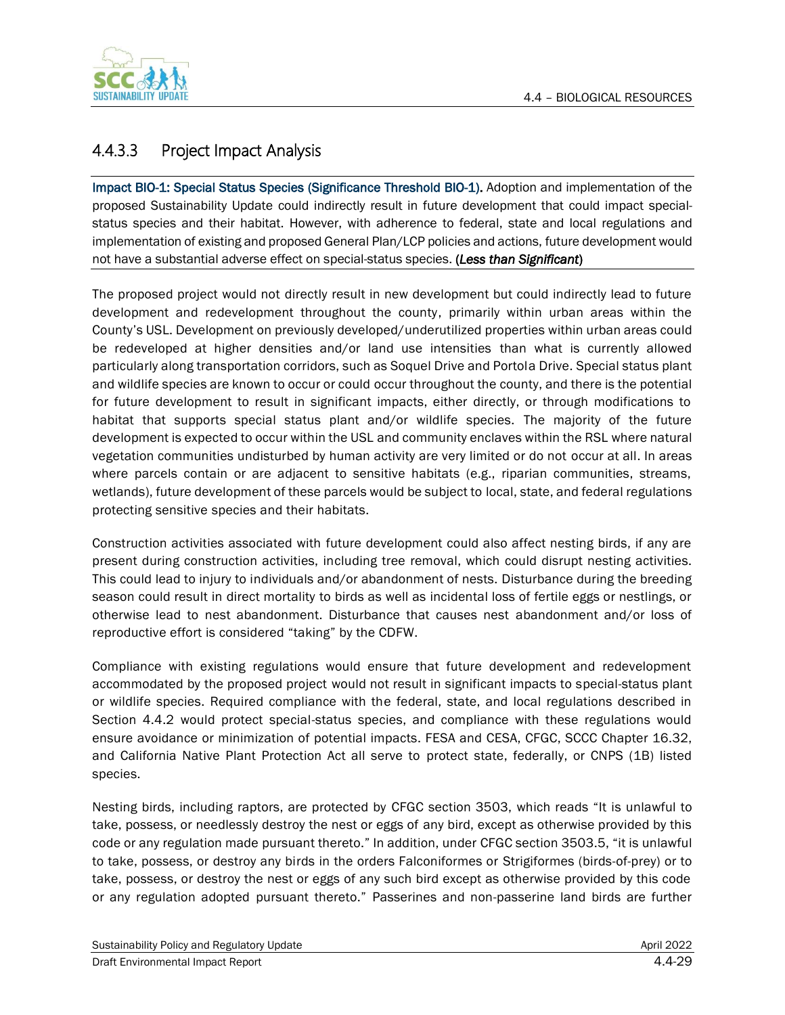

# 4.4.3.3 Project Impact Analysis

Impact BIO-1: Special Status Species (Significance Threshold BIO-1). Adoption and implementation of the proposed Sustainability Update could indirectly result in future development that could impact specialstatus species and their habitat. However, with adherence to federal, state and local regulations and implementation of existing and proposed General Plan/LCP policies and actions, future development would not have a substantial adverse effect on special-status species. (*Less than Significant*)

The proposed project would not directly result in new development but could indirectly lead to future development and redevelopment throughout the county, primarily within urban areas within the County's USL. Development on previously developed/underutilized properties within urban areas could be redeveloped at higher densities and/or land use intensities than what is currently allowed particularly along transportation corridors, such as Soquel Drive and Portola Drive. Special status plant and wildlife species are known to occur or could occur throughout the county, and there is the potential for future development to result in significant impacts, either directly, or through modifications to habitat that supports special status plant and/or wildlife species. The majority of the future development is expected to occur within the USL and community enclaves within the RSL where natural vegetation communities undisturbed by human activity are very limited or do not occur at all. In areas where parcels contain or are adjacent to sensitive habitats (e.g., riparian communities, streams, wetlands), future development of these parcels would be subject to local, state, and federal regulations protecting sensitive species and their habitats.

Construction activities associated with future development could also affect nesting birds, if any are present during construction activities, including tree removal, which could disrupt nesting activities. This could lead to injury to individuals and/or abandonment of nests. Disturbance during the breeding season could result in direct mortality to birds as well as incidental loss of fertile eggs or nestlings, or otherwise lead to nest abandonment. Disturbance that causes nest abandonment and/or loss of reproductive effort is considered "taking" by the CDFW.

Compliance with existing regulations would ensure that future development and redevelopment accommodated by the proposed project would not result in significant impacts to special-status plant or wildlife species. Required compliance with the federal, state, and local regulations described in Section 4.4.2 would protect special-status species, and compliance with these regulations would ensure avoidance or minimization of potential impacts. FESA and CESA, CFGC, SCCC Chapter 16.32, and California Native Plant Protection Act all serve to protect state, federally, or CNPS (1B) listed species.

Nesting birds, including raptors, are protected by CFGC section 3503, which reads "It is unlawful to take, possess, or needlessly destroy the nest or eggs of any bird, except as otherwise provided by this code or any regulation made pursuant thereto." In addition, under CFGC section 3503.5, "it is unlawful to take, possess, or destroy any birds in the orders Falconiformes or Strigiformes (birds-of-prey) or to take, possess, or destroy the nest or eggs of any such bird except as otherwise provided by this code or any regulation adopted pursuant thereto." Passerines and non-passerine land birds are further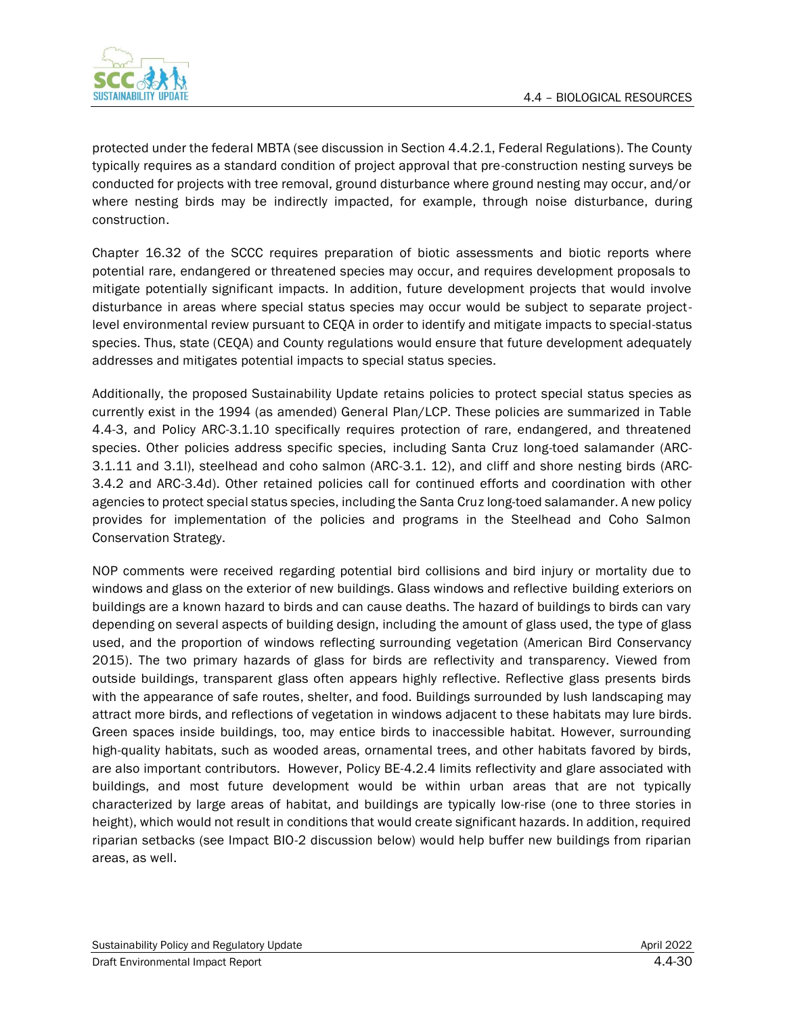

protected under the federal MBTA (see discussion in Section 4.4.2.1, Federal Regulations). The County typically requires as a standard condition of project approval that pre-construction nesting surveys be conducted for projects with tree removal, ground disturbance where ground nesting may occur, and/or where nesting birds may be indirectly impacted, for example, through noise disturbance, during construction.

Chapter 16.32 of the SCCC requires preparation of biotic assessments and biotic reports where potential rare, endangered or threatened species may occur, and requires development proposals to mitigate potentially significant impacts. In addition, future development projects that would involve disturbance in areas where special status species may occur would be subject to separate projectlevel environmental review pursuant to CEQA in order to identify and mitigate impacts to special-status species. Thus, state (CEQA) and County regulations would ensure that future development adequately addresses and mitigates potential impacts to special status species.

Additionally, the proposed Sustainability Update retains policies to protect special status species as currently exist in the 1994 (as amended) General Plan/LCP. These policies are summarized in Table 4.4-3, and Policy ARC-3.1.10 specifically requires protection of rare, endangered, and threatened species. Other policies address specific species, including Santa Cruz long-toed salamander (ARC-3.1.11 and 3.1l), steelhead and coho salmon (ARC-3.1. 12), and cliff and shore nesting birds (ARC-3.4.2 and ARC-3.4d). Other retained policies call for continued efforts and coordination with other agencies to protect special status species, including the Santa Cruz long-toed salamander. A new policy provides for implementation of the policies and programs in the Steelhead and Coho Salmon Conservation Strategy.

NOP comments were received regarding potential bird collisions and bird injury or mortality due to windows and glass on the exterior of new buildings. Glass windows and reflective building exteriors on buildings are a known hazard to birds and can cause deaths. The hazard of buildings to birds can vary depending on several aspects of building design, including the amount of glass used, the type of glass used, and the proportion of windows reflecting surrounding vegetation (American Bird Conservancy 2015). The two primary hazards of glass for birds are reflectivity and transparency. Viewed from outside buildings, transparent glass often appears highly reflective. Reflective glass presents birds with the appearance of safe routes, shelter, and food. Buildings surrounded by lush landscaping may attract more birds, and reflections of vegetation in windows adjacent to these habitats may lure birds. Green spaces inside buildings, too, may entice birds to inaccessible habitat. However, surrounding high-quality habitats, such as wooded areas, ornamental trees, and other habitats favored by birds, are also important contributors. However, Policy BE-4.2.4 limits reflectivity and glare associated with buildings, and most future development would be within urban areas that are not typically characterized by large areas of habitat, and buildings are typically low-rise (one to three stories in height), which would not result in conditions that would create significant hazards. In addition, required riparian setbacks (see Impact BIO-2 discussion below) would help buffer new buildings from riparian areas, as well.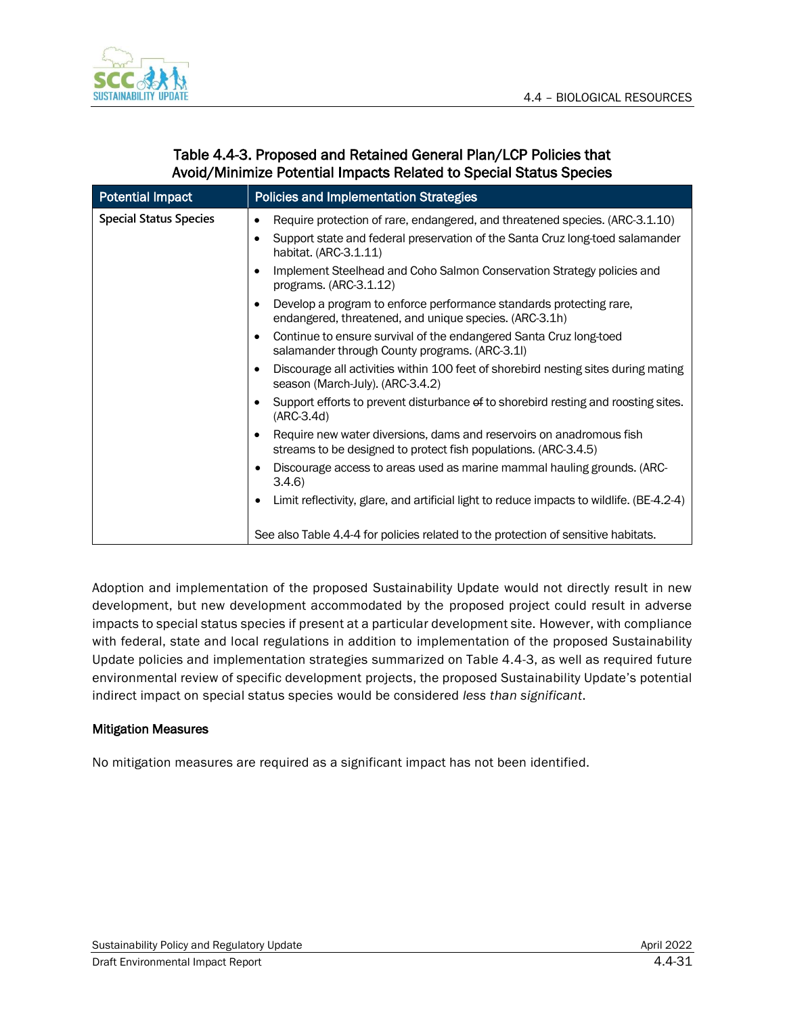

| <b>Potential Impact</b>       | <b>Policies and Implementation Strategies</b>                                                                                                                                                                    |
|-------------------------------|------------------------------------------------------------------------------------------------------------------------------------------------------------------------------------------------------------------|
| <b>Special Status Species</b> | Require protection of rare, endangered, and threatened species. (ARC-3.1.10)<br>$\bullet$<br>Support state and federal preservation of the Santa Cruz long-toed salamander<br>$\bullet$<br>habitat. (ARC-3.1.11) |
|                               | Implement Steelhead and Coho Salmon Conservation Strategy policies and<br>$\bullet$<br>programs. (ARC-3.1.12)                                                                                                    |
|                               | Develop a program to enforce performance standards protecting rare,<br>endangered, threatened, and unique species. (ARC-3.1h)                                                                                    |
|                               | Continue to ensure survival of the endangered Santa Cruz long-toed<br>$\bullet$<br>salamander through County programs. (ARC-3.1I)                                                                                |
|                               | Discourage all activities within 100 feet of shorebird nesting sites during mating<br>$\bullet$<br>season (March-July). (ARC-3.4.2)                                                                              |
|                               | Support efforts to prevent disturbance of to shorebird resting and roosting sites.<br>$\bullet$<br>$(ARC-3.4d)$                                                                                                  |
|                               | Require new water diversions, dams and reservoirs on anadromous fish<br>$\bullet$<br>streams to be designed to protect fish populations. (ARC-3.4.5)                                                             |
|                               | Discourage access to areas used as marine mammal hauling grounds. (ARC-<br>$\bullet$<br>3.4.6                                                                                                                    |
|                               | Limit reflectivity, glare, and artificial light to reduce impacts to wildlife. (BE-4.2-4)                                                                                                                        |
|                               | See also Table 4.4-4 for policies related to the protection of sensitive habitats.                                                                                                                               |

### Table 4.4-3. Proposed and Retained General Plan/LCP Policies that Avoid/Minimize Potential Impacts Related to Special Status Species

Adoption and implementation of the proposed Sustainability Update would not directly result in new development, but new development accommodated by the proposed project could result in adverse impacts to special status species if present at a particular development site. However, with compliance with federal, state and local regulations in addition to implementation of the proposed Sustainability Update policies and implementation strategies summarized on Table 4.4-3, as well as required future environmental review of specific development projects, the proposed Sustainability Update's potential indirect impact on special status species would be considered *less than significant*.

#### Mitigation Measures

No mitigation measures are required as a significant impact has not been identified.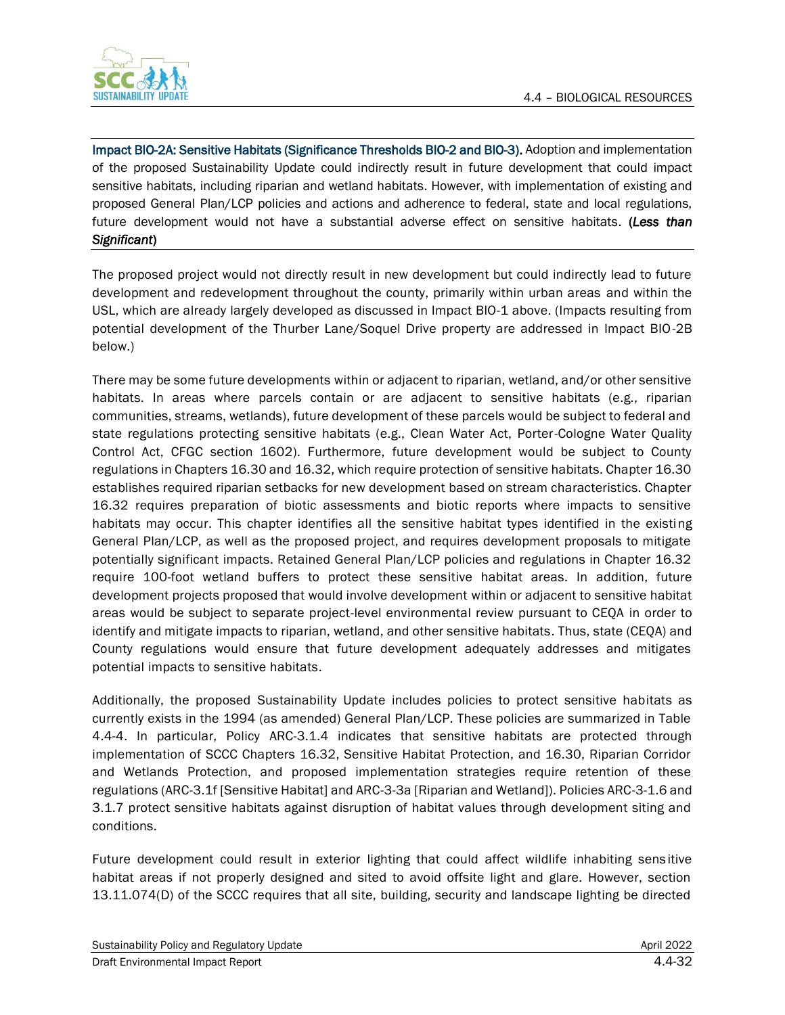

Impact BIO-2A: Sensitive Habitats (Significance Thresholds BIO-2 and BIO-3). Adoption and implementation of the proposed Sustainability Update could indirectly result in future development that could impact sensitive habitats, including riparian and wetland habitats. However, with implementation of existing and proposed General Plan/LCP policies and actions and adherence to federal, state and local regulations, future development would not have a substantial adverse effect on sensitive habitats. (*Less than Significant*)

The proposed project would not directly result in new development but could indirectly lead to future development and redevelopment throughout the county, primarily within urban areas and within the USL, which are already largely developed as discussed in Impact BIO-1 above. (Impacts resulting from potential development of the Thurber Lane/Soquel Drive property are addressed in Impact BIO-2B below.)

There may be some future developments within or adjacent to riparian, wetland, and/or other sensitive habitats. In areas where parcels contain or are adjacent to sensitive habitats (e.g., riparian communities, streams, wetlands), future development of these parcels would be subject to federal and state regulations protecting sensitive habitats (e.g., Clean Water Act, Porter-Cologne Water Quality Control Act, CFGC section 1602). Furthermore, future development would be subject to County regulations in Chapters 16.30 and 16.32, which require protection of sensitive habitats. Chapter 16.30 establishes required riparian setbacks for new development based on stream characteristics. Chapter 16.32 requires preparation of biotic assessments and biotic reports where impacts to sensitive habitats may occur. This chapter identifies all the sensitive habitat types identified in the existing General Plan/LCP, as well as the proposed project, and requires development proposals to mitigate potentially significant impacts. Retained General Plan/LCP policies and regulations in Chapter 16.32 require 100-foot wetland buffers to protect these sensitive habitat areas. In addition, future development projects proposed that would involve development within or adjacent to sensitive habitat areas would be subject to separate project-level environmental review pursuant to CEQA in order to identify and mitigate impacts to riparian, wetland, and other sensitive habitats. Thus, state (CEQA) and County regulations would ensure that future development adequately addresses and mitigates potential impacts to sensitive habitats.

Additionally, the proposed Sustainability Update includes policies to protect sensitive habitats as currently exists in the 1994 (as amended) General Plan/LCP. These policies are summarized in Table 4.4-4. In particular, Policy ARC-3.1.4 indicates that sensitive habitats are protected through implementation of SCCC Chapters 16.32, Sensitive Habitat Protection, and 16.30, Riparian Corridor and Wetlands Protection, and proposed implementation strategies require retention of these regulations (ARC-3.1f [Sensitive Habitat] and ARC-3-3a [Riparian and Wetland]). Policies ARC-3-1.6 and 3.1.7 protect sensitive habitats against disruption of habitat values through development siting and conditions.

Future development could result in exterior lighting that could affect wildlife inhabiting sens itive habitat areas if not properly designed and sited to avoid offsite light and glare. However, section 13.11.074(D) of the SCCC requires that all site, building, security and landscape lighting be directed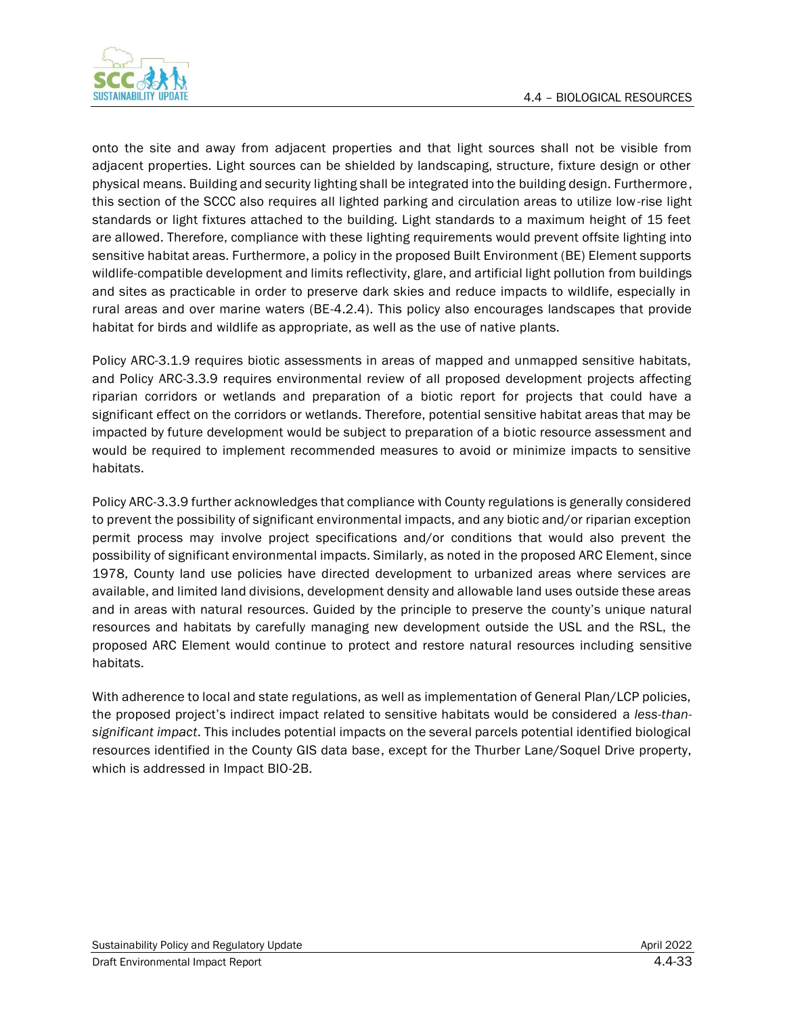

onto the site and away from adjacent properties and that light sources shall not be visible from adjacent properties. Light sources can be shielded by landscaping, structure, fixture design or other physical means. Building and security lighting shall be integrated into the building design. Furthermore, this section of the SCCC also requires all lighted parking and circulation areas to utilize low-rise light standards or light fixtures attached to the building. Light standards to a maximum height of 15 feet are allowed. Therefore, compliance with these lighting requirements would prevent offsite lighting into sensitive habitat areas. Furthermore, a policy in the proposed Built Environment (BE) Element supports wildlife-compatible development and limits reflectivity, glare, and artificial light pollution from buildings and sites as practicable in order to preserve dark skies and reduce impacts to wildlife, especially in rural areas and over marine waters (BE-4.2.4). This policy also encourages landscapes that provide habitat for birds and wildlife as appropriate, as well as the use of native plants.

Policy ARC-3.1.9 requires biotic assessments in areas of mapped and unmapped sensitive habitats, and Policy ARC-3.3.9 requires environmental review of all proposed development projects affecting riparian corridors or wetlands and preparation of a biotic report for projects that could have a significant effect on the corridors or wetlands. Therefore, potential sensitive habitat areas that may be impacted by future development would be subject to preparation of a biotic resource assessment and would be required to implement recommended measures to avoid or minimize impacts to sensitive habitats.

Policy ARC-3.3.9 further acknowledges that compliance with County regulations is generally considered to prevent the possibility of significant environmental impacts, and any biotic and/or riparian exception permit process may involve project specifications and/or conditions that would also prevent the possibility of significant environmental impacts. Similarly, as noted in the proposed ARC Element, since 1978, County land use policies have directed development to urbanized areas where services are available, and limited land divisions, development density and allowable land uses outside these areas and in areas with natural resources. Guided by the principle to preserve the county's unique natural resources and habitats by carefully managing new development outside the USL and the RSL, the proposed ARC Element would continue to protect and restore natural resources including sensitive habitats.

With adherence to local and state regulations, as well as implementation of General Plan/LCP policies, the proposed project's indirect impact related to sensitive habitats would be considered a *less-thansignificant impact*. This includes potential impacts on the several parcels potential identified biological resources identified in the County GIS data base, except for the Thurber Lane/Soquel Drive property, which is addressed in Impact BIO-2B.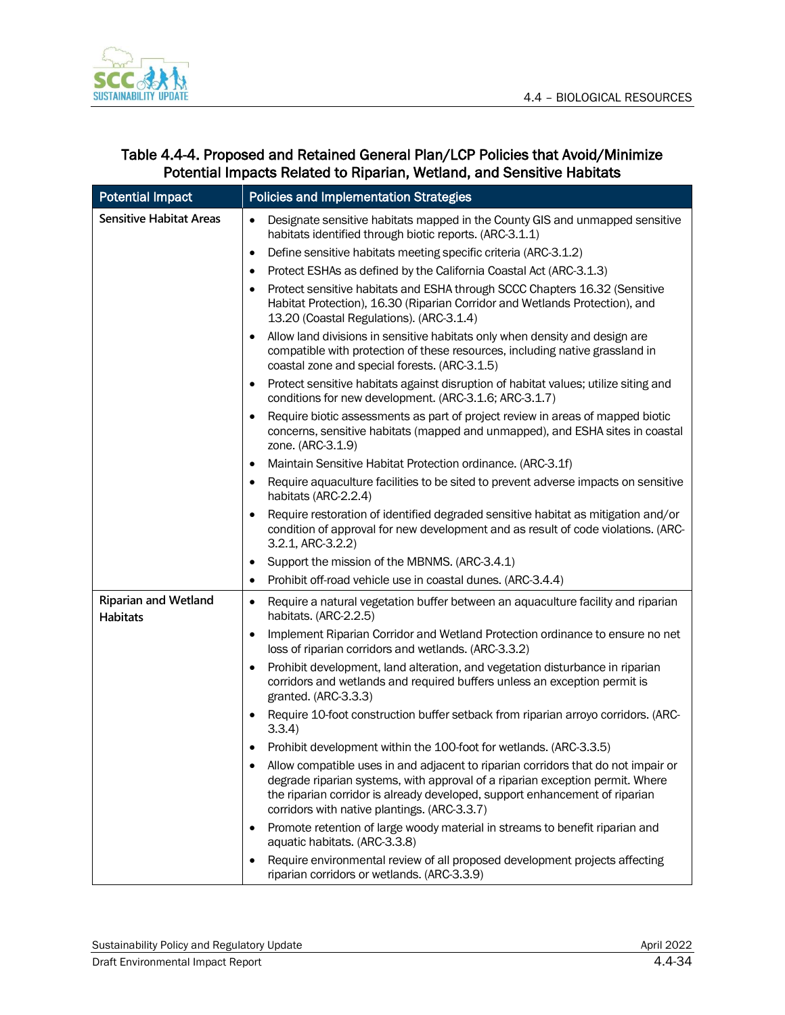

| Table 4.4-4. Proposed and Retained General Plan/LCP Policies that Avoid/Minimize |
|----------------------------------------------------------------------------------|
| Potential Impacts Related to Riparian, Wetland, and Sensitive Habitats           |

| <b>Potential Impact</b>                        | <b>Policies and Implementation Strategies</b>                                                                                                                                                                                                                                                     |
|------------------------------------------------|---------------------------------------------------------------------------------------------------------------------------------------------------------------------------------------------------------------------------------------------------------------------------------------------------|
| <b>Sensitive Habitat Areas</b>                 | Designate sensitive habitats mapped in the County GIS and unmapped sensitive<br>$\bullet$<br>habitats identified through biotic reports. (ARC-3.1.1)                                                                                                                                              |
|                                                | Define sensitive habitats meeting specific criteria (ARC-3.1.2)<br>$\bullet$                                                                                                                                                                                                                      |
|                                                | Protect ESHAs as defined by the California Coastal Act (ARC-3.1.3)<br>$\bullet$<br>Protect sensitive habitats and ESHA through SCCC Chapters 16.32 (Sensitive<br>Habitat Protection), 16.30 (Riparian Corridor and Wetlands Protection), and<br>13.20 (Coastal Regulations). (ARC-3.1.4)          |
|                                                | Allow land divisions in sensitive habitats only when density and design are<br>compatible with protection of these resources, including native grassland in<br>coastal zone and special forests. (ARC-3.1.5)                                                                                      |
|                                                | Protect sensitive habitats against disruption of habitat values; utilize siting and<br>conditions for new development. (ARC-3.1.6; ARC-3.1.7)                                                                                                                                                     |
|                                                | Require biotic assessments as part of project review in areas of mapped biotic<br>$\bullet$<br>concerns, sensitive habitats (mapped and unmapped), and ESHA sites in coastal<br>zone. (ARC-3.1.9)                                                                                                 |
|                                                | Maintain Sensitive Habitat Protection ordinance. (ARC-3.1f)<br>$\bullet$                                                                                                                                                                                                                          |
|                                                | Require aquaculture facilities to be sited to prevent adverse impacts on sensitive<br>$\bullet$<br>habitats (ARC-2.2.4)                                                                                                                                                                           |
|                                                | Require restoration of identified degraded sensitive habitat as mitigation and/or<br>condition of approval for new development and as result of code violations. (ARC-<br>3.2.1, ARC-3.2.2)                                                                                                       |
|                                                | Support the mission of the MBNMS. (ARC-3.4.1)<br>٠                                                                                                                                                                                                                                                |
|                                                | Prohibit off-road vehicle use in coastal dunes. (ARC-3.4.4)<br>$\bullet$                                                                                                                                                                                                                          |
| <b>Riparian and Wetland</b><br><b>Habitats</b> | Require a natural vegetation buffer between an aquaculture facility and riparian<br>$\bullet$<br>habitats. (ARC-2.2.5)                                                                                                                                                                            |
|                                                | Implement Riparian Corridor and Wetland Protection ordinance to ensure no net<br>$\bullet$<br>loss of riparian corridors and wetlands. (ARC-3.3.2)                                                                                                                                                |
|                                                | Prohibit development, land alteration, and vegetation disturbance in riparian<br>corridors and wetlands and required buffers unless an exception permit is<br>granted. (ARC-3.3.3)                                                                                                                |
|                                                | Require 10-foot construction buffer setback from riparian arroyo corridors. (ARC-<br>3.3.4)                                                                                                                                                                                                       |
|                                                | Prohibit development within the 100-foot for wetlands. (ARC-3.3.5)                                                                                                                                                                                                                                |
|                                                | Allow compatible uses in and adjacent to riparian corridors that do not impair or<br>degrade riparian systems, with approval of a riparian exception permit. Where<br>the riparian corridor is already developed, support enhancement of riparian<br>corridors with native plantings. (ARC-3.3.7) |
|                                                | Promote retention of large woody material in streams to benefit riparian and<br>aquatic habitats. (ARC-3.3.8)                                                                                                                                                                                     |
|                                                | Require environmental review of all proposed development projects affecting<br>riparian corridors or wetlands. (ARC-3.3.9)                                                                                                                                                                        |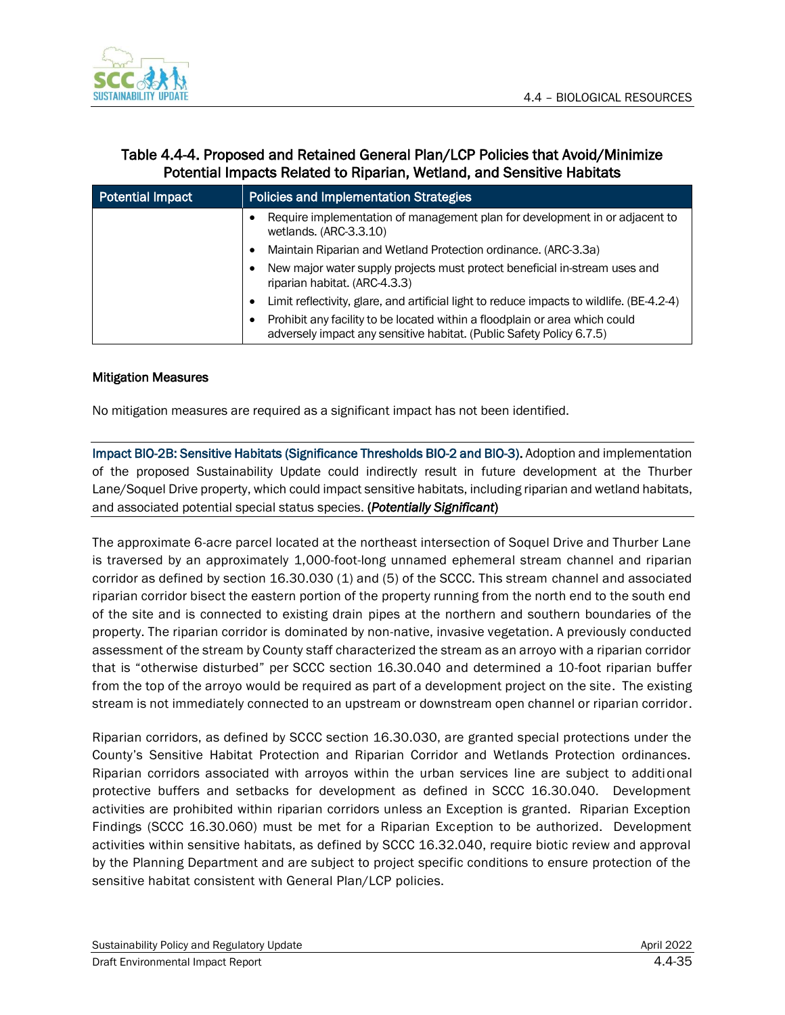

### Table 4.4-4. Proposed and Retained General Plan/LCP Policies that Avoid/Minimize Potential Impacts Related to Riparian, Wetland, and Sensitive Habitats

| <b>Potential Impact</b> | <b>Policies and Implementation Strategies</b>                                                                                                       |
|-------------------------|-----------------------------------------------------------------------------------------------------------------------------------------------------|
|                         | Require implementation of management plan for development in or adjacent to<br>wetlands. (ARC-3.3.10)                                               |
|                         | Maintain Riparian and Wetland Protection ordinance. (ARC-3.3a)                                                                                      |
|                         | New major water supply projects must protect beneficial in-stream uses and<br>riparian habitat. (ARC-4.3.3)                                         |
|                         | Limit reflectivity, glare, and artificial light to reduce impacts to wildlife. (BE-4.2-4)                                                           |
|                         | Prohibit any facility to be located within a floodplain or area which could<br>adversely impact any sensitive habitat. (Public Safety Policy 6.7.5) |

#### Mitigation Measures

No mitigation measures are required as a significant impact has not been identified.

Impact BIO-2B: Sensitive Habitats (Significance Thresholds BIO-2 and BIO-3). Adoption and implementation of the proposed Sustainability Update could indirectly result in future development at the Thurber Lane/Soquel Drive property, which could impact sensitive habitats, including riparian and wetland habitats, and associated potential special status species. (*Potentially Significant*)

The approximate 6-acre parcel located at the northeast intersection of Soquel Drive and Thurber Lane is traversed by an approximately 1,000-foot-long unnamed ephemeral stream channel and riparian corridor as defined by section 16.30.030 (1) and (5) of the SCCC. This stream channel and associated riparian corridor bisect the eastern portion of the property running from the north end to the south end of the site and is connected to existing drain pipes at the northern and southern boundaries of the property. The riparian corridor is dominated by non-native, invasive vegetation. A previously conducted assessment of the stream by County staff characterized the stream as an arroyo with a riparian corridor that is "otherwise disturbed" per SCCC section 16.30.040 and determined a 10-foot riparian buffer from the top of the arroyo would be required as part of a development project on the site. The existing stream is not immediately connected to an upstream or downstream open channel or riparian corridor.

Riparian corridors, as defined by SCCC section 16.30.030, are granted special protections under the County's Sensitive Habitat Protection and Riparian Corridor and Wetlands Protection ordinances. Riparian corridors associated with arroyos within the urban services line are subject to additional protective buffers and setbacks for development as defined in SCCC 16.30.040. Development activities are prohibited within riparian corridors unless an Exception is granted. Riparian Exception Findings (SCCC 16.30.060) must be met for a Riparian Exception to be authorized. Development activities within sensitive habitats, as defined by SCCC 16.32.040, require biotic review and approval by the Planning Department and are subject to project specific conditions to ensure protection of the sensitive habitat consistent with General Plan/LCP policies.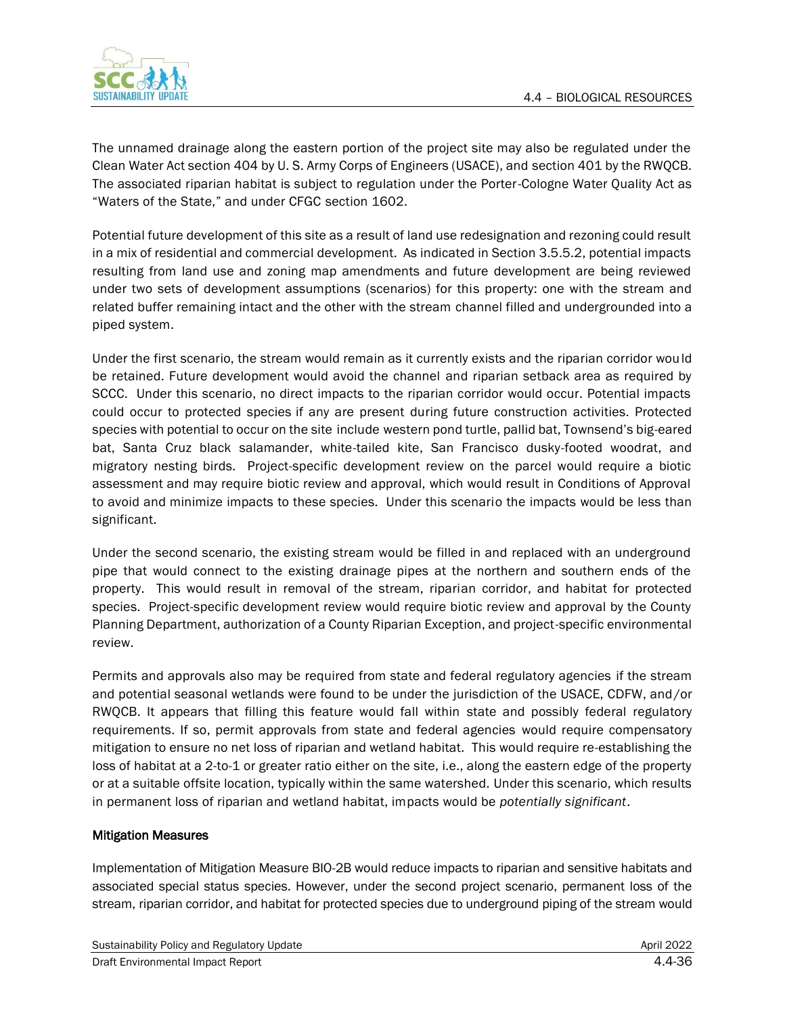

The unnamed drainage along the eastern portion of the project site may also be regulated under the Clean Water Act section 404 by U. S. Army Corps of Engineers (USACE), and section 401 by the RWQCB. The associated riparian habitat is subject to regulation under the Porter-Cologne Water Quality Act as "Waters of the State," and under CFGC section 1602.

Potential future development of this site as a result of land use redesignation and rezoning could result in a mix of residential and commercial development. As indicated in Section 3.5.5.2, potential impacts resulting from land use and zoning map amendments and future development are being reviewed under two sets of development assumptions (scenarios) for this property: one with the stream and related buffer remaining intact and the other with the stream channel filled and undergrounded into a piped system.

Under the first scenario, the stream would remain as it currently exists and the riparian corridor would be retained. Future development would avoid the channel and riparian setback area as required by SCCC. Under this scenario, no direct impacts to the riparian corridor would occur. Potential impacts could occur to protected species if any are present during future construction activities. Protected species with potential to occur on the site include western pond turtle, pallid bat, Townsend's big-eared bat, Santa Cruz black salamander, white-tailed kite, San Francisco dusky-footed woodrat, and migratory nesting birds. Project-specific development review on the parcel would require a biotic assessment and may require biotic review and approval, which would result in Conditions of Approval to avoid and minimize impacts to these species. Under this scenario the impacts would be less than significant.

Under the second scenario, the existing stream would be filled in and replaced with an underground pipe that would connect to the existing drainage pipes at the northern and southern ends of the property. This would result in removal of the stream, riparian corridor, and habitat for protected species. Project-specific development review would require biotic review and approval by the County Planning Department, authorization of a County Riparian Exception, and project-specific environmental review.

Permits and approvals also may be required from state and federal regulatory agencies if the stream and potential seasonal wetlands were found to be under the jurisdiction of the USACE, CDFW, and/or RWQCB. It appears that filling this feature would fall within state and possibly federal regulatory requirements. If so, permit approvals from state and federal agencies would require compensatory mitigation to ensure no net loss of riparian and wetland habitat. This would require re-establishing the loss of habitat at a 2-to-1 or greater ratio either on the site, i.e., along the eastern edge of the property or at a suitable offsite location, typically within the same watershed. Under this scenario, which results in permanent loss of riparian and wetland habitat, impacts would be *potentially significant*.

#### Mitigation Measures

Implementation of Mitigation Measure BIO-2B would reduce impacts to riparian and sensitive habitats and associated special status species. However, under the second project scenario, permanent loss of the stream, riparian corridor, and habitat for protected species due to underground piping of the stream would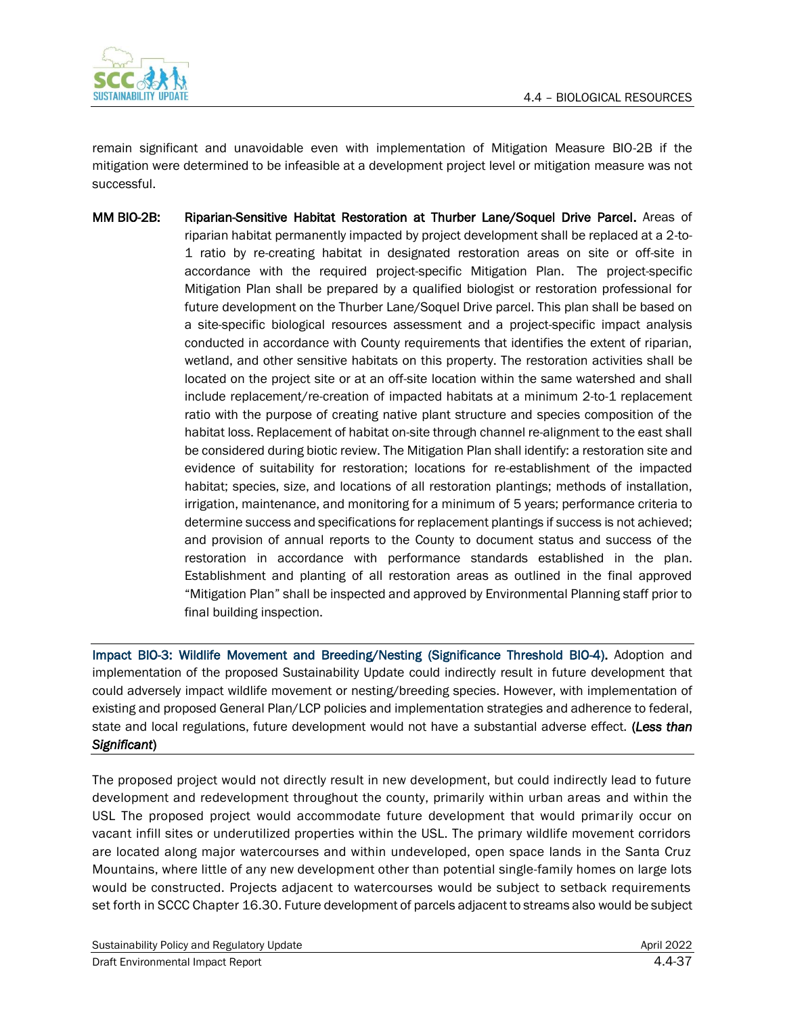

remain significant and unavoidable even with implementation of Mitigation Measure BIO-2B if the mitigation were determined to be infeasible at a development project level or mitigation measure was not successful.

MM BIO-2B: Riparian-Sensitive Habitat Restoration at Thurber Lane/Soquel Drive Parcel. Areas of riparian habitat permanently impacted by project development shall be replaced at a 2-to-1 ratio by re-creating habitat in designated restoration areas on site or off-site in accordance with the required project-specific Mitigation Plan. The project-specific Mitigation Plan shall be prepared by a qualified biologist or restoration professional for future development on the Thurber Lane/Soquel Drive parcel. This plan shall be based on a site-specific biological resources assessment and a project-specific impact analysis conducted in accordance with County requirements that identifies the extent of riparian, wetland, and other sensitive habitats on this property. The restoration activities shall be located on the project site or at an off-site location within the same watershed and shall include replacement/re-creation of impacted habitats at a minimum 2-to-1 replacement ratio with the purpose of creating native plant structure and species composition of the habitat loss. Replacement of habitat on-site through channel re-alignment to the east shall be considered during biotic review. The Mitigation Plan shall identify: a restoration site and evidence of suitability for restoration; locations for re-establishment of the impacted habitat; species, size, and locations of all restoration plantings; methods of installation, irrigation, maintenance, and monitoring for a minimum of 5 years; performance criteria to determine success and specifications for replacement plantings if success is not achieved; and provision of annual reports to the County to document status and success of the restoration in accordance with performance standards established in the plan. Establishment and planting of all restoration areas as outlined in the final approved "Mitigation Plan" shall be inspected and approved by Environmental Planning staff prior to final building inspection.

Impact BIO-3: Wildlife Movement and Breeding/Nesting (Significance Threshold BIO-4). Adoption and implementation of the proposed Sustainability Update could indirectly result in future development that could adversely impact wildlife movement or nesting/breeding species. However, with implementation of existing and proposed General Plan/LCP policies and implementation strategies and adherence to federal, state and local regulations, future development would not have a substantial adverse effect. (*Less than Significant*)

The proposed project would not directly result in new development, but could indirectly lead to future development and redevelopment throughout the county, primarily within urban areas and within the USL The proposed project would accommodate future development that would primarily occur on vacant infill sites or underutilized properties within the USL. The primary wildlife movement corridors are located along major watercourses and within undeveloped, open space lands in the Santa Cruz Mountains, where little of any new development other than potential single-family homes on large lots would be constructed. Projects adjacent to watercourses would be subject to setback requirements set forth in SCCC Chapter 16.30. Future development of parcels adjacent to streams also would be subject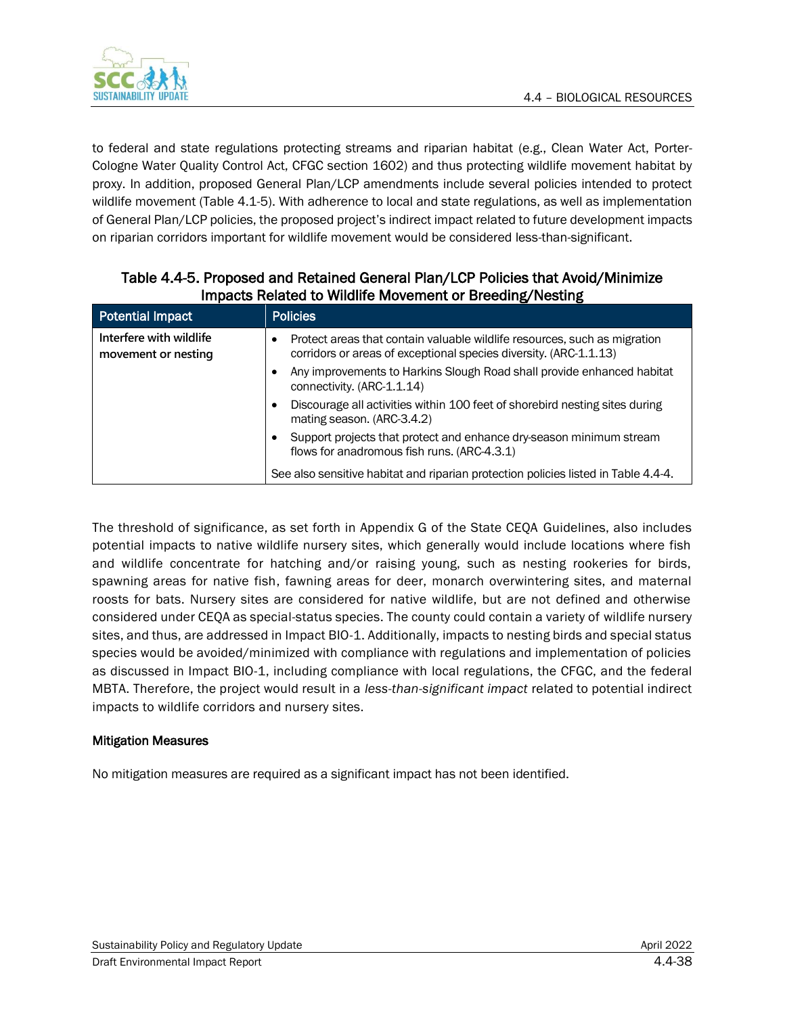

to federal and state regulations protecting streams and riparian habitat (e.g., Clean Water Act, Porter-Cologne Water Quality Control Act, CFGC section 1602) and thus protecting wildlife movement habitat by proxy. In addition, proposed General Plan/LCP amendments include several policies intended to protect wildlife movement (Table 4.1-5). With adherence to local and state regulations, as well as implementation of General Plan/LCP policies, the proposed project's indirect impact related to future development impacts on riparian corridors important for wildlife movement would be considered less-than-significant.

| Potential Impact                               | <b>Policies</b>                                                                                                                                |
|------------------------------------------------|------------------------------------------------------------------------------------------------------------------------------------------------|
| Interfere with wildlife<br>movement or nesting | Protect areas that contain valuable wildlife resources, such as migration<br>corridors or areas of exceptional species diversity. (ARC-1.1.13) |
|                                                | Any improvements to Harkins Slough Road shall provide enhanced habitat<br>connectivity. (ARC-1.1.14)                                           |
|                                                | Discourage all activities within 100 feet of shorebird nesting sites during<br>mating season. (ARC-3.4.2)                                      |
|                                                | Support projects that protect and enhance dry-season minimum stream<br>flows for anadromous fish runs. (ARC-4.3.1)                             |
|                                                | See also sensitive habitat and riparian protection policies listed in Table 4.4-4.                                                             |

Table 4.4-5. Proposed and Retained General Plan/LCP Policies that Avoid/Minimize Impacts Related to Wildlife Movement or Breeding/Nesting

The threshold of significance, as set forth in Appendix G of the State CEQA Guidelines, also includes potential impacts to native wildlife nursery sites, which generally would include locations where fish and wildlife concentrate for hatching and/or raising young, such as nesting rookeries for birds, spawning areas for native fish, fawning areas for deer, monarch overwintering sites, and maternal roosts for bats. Nursery sites are considered for native wildlife, but are not defined and otherwise considered under CEQA as special-status species. The county could contain a variety of wildlife nursery sites, and thus, are addressed in Impact BIO-1. Additionally, impacts to nesting birds and special status species would be avoided/minimized with compliance with regulations and implementation of policies as discussed in Impact BIO-1, including compliance with local regulations, the CFGC, and the federal MBTA. Therefore, the project would result in a *less-than-significant impact* related to potential indirect impacts to wildlife corridors and nursery sites.

#### Mitigation Measures

No mitigation measures are required as a significant impact has not been identified.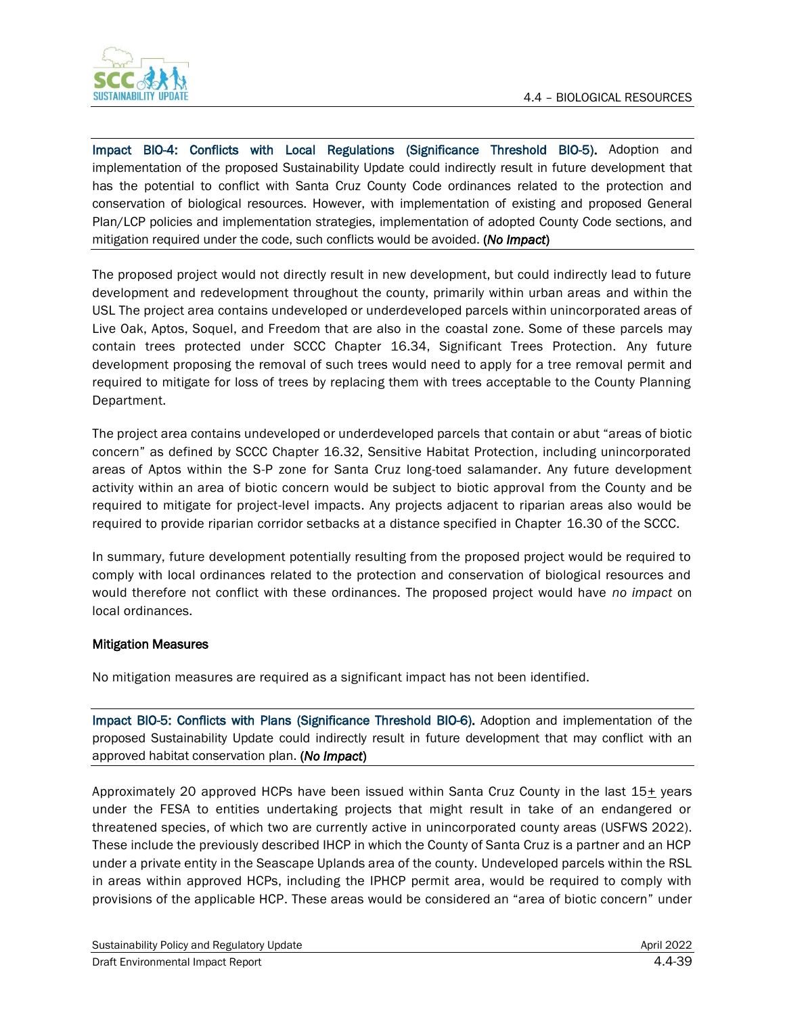

Impact BIO-4: Conflicts with Local Regulations (Significance Threshold BIO-5). Adoption and implementation of the proposed Sustainability Update could indirectly result in future development that has the potential to conflict with Santa Cruz County Code ordinances related to the protection and conservation of biological resources. However, with implementation of existing and proposed General Plan/LCP policies and implementation strategies, implementation of adopted County Code sections, and mitigation required under the code, such conflicts would be avoided. (*No Impact*)

The proposed project would not directly result in new development, but could indirectly lead to future development and redevelopment throughout the county, primarily within urban areas and within the USL The project area contains undeveloped or underdeveloped parcels within unincorporated areas of Live Oak, Aptos, Soquel, and Freedom that are also in the coastal zone. Some of these parcels may contain trees protected under SCCC Chapter 16.34, Significant Trees Protection. Any future development proposing the removal of such trees would need to apply for a tree removal permit and required to mitigate for loss of trees by replacing them with trees acceptable to the County Planning Department.

The project area contains undeveloped or underdeveloped parcels that contain or abut "areas of biotic concern" as defined by SCCC Chapter 16.32, Sensitive Habitat Protection, including unincorporated areas of Aptos within the S-P zone for Santa Cruz long-toed salamander. Any future development activity within an area of biotic concern would be subject to biotic approval from the County and be required to mitigate for project-level impacts. Any projects adjacent to riparian areas also would be required to provide riparian corridor setbacks at a distance specified in Chapter 16.30 of the SCCC.

In summary, future development potentially resulting from the proposed project would be required to comply with local ordinances related to the protection and conservation of biological resources and would therefore not conflict with these ordinances. The proposed project would have *no impact* on local ordinances.

#### Mitigation Measures

No mitigation measures are required as a significant impact has not been identified.

Impact BIO-5: Conflicts with Plans (Significance Threshold BIO-6). Adoption and implementation of the proposed Sustainability Update could indirectly result in future development that may conflict with an approved habitat conservation plan. (*No Impact*)

Approximately 20 approved HCPs have been issued within Santa Cruz County in the last 15+ years under the FESA to entities undertaking projects that might result in take of an endangered or threatened species, of which two are currently active in unincorporated county areas (USFWS 2022). These include the previously described IHCP in which the County of Santa Cruz is a partner and an HCP under a private entity in the Seascape Uplands area of the county. Undeveloped parcels within the RSL in areas within approved HCPs, including the IPHCP permit area, would be required to comply with provisions of the applicable HCP. These areas would be considered an "area of biotic concern" under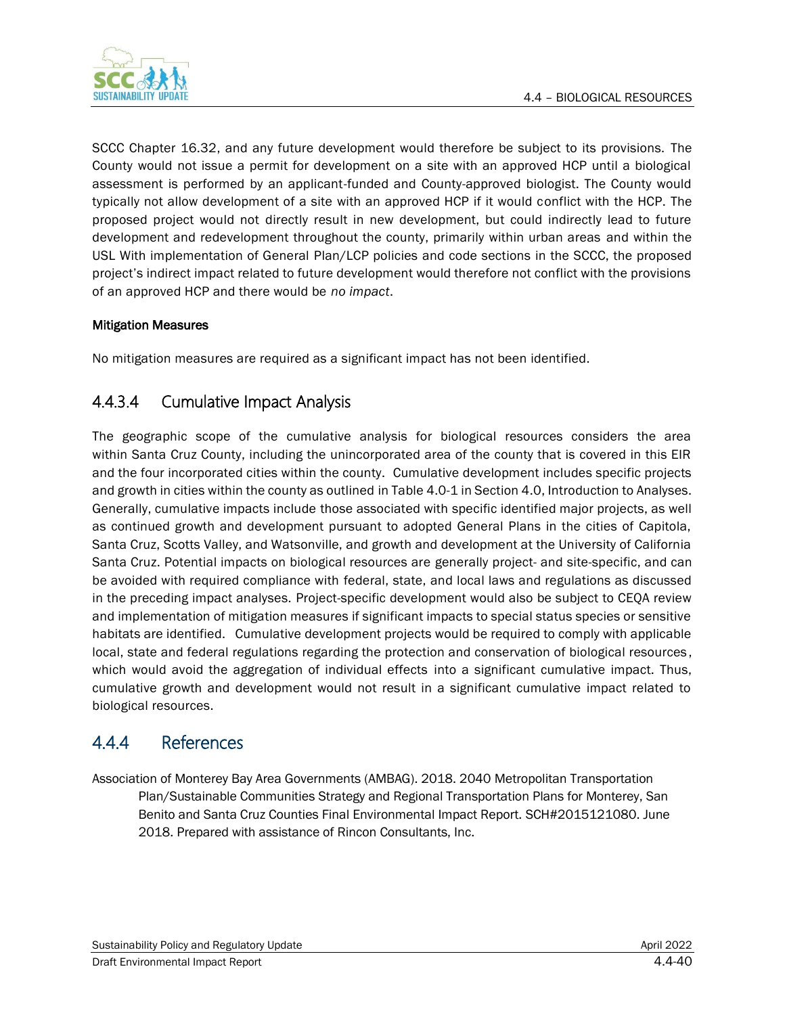

SCCC Chapter 16.32, and any future development would therefore be subject to its provisions. The County would not issue a permit for development on a site with an approved HCP until a biological assessment is performed by an applicant-funded and County-approved biologist. The County would typically not allow development of a site with an approved HCP if it would conflict with the HCP. The proposed project would not directly result in new development, but could indirectly lead to future development and redevelopment throughout the county, primarily within urban areas and within the USL With implementation of General Plan/LCP policies and code sections in the SCCC, the proposed project's indirect impact related to future development would therefore not conflict with the provisions of an approved HCP and there would be *no impact*.

#### Mitigation Measures

No mitigation measures are required as a significant impact has not been identified.

# 4.4.3.4 Cumulative Impact Analysis

The geographic scope of the cumulative analysis for biological resources considers the area within Santa Cruz County, including the unincorporated area of the county that is covered in this EIR and the four incorporated cities within the county. Cumulative development includes specific projects and growth in cities within the county as outlined in Table 4.0-1 in Section 4.0, Introduction to Analyses. Generally, cumulative impacts include those associated with specific identified major projects, as well as continued growth and development pursuant to adopted General Plans in the cities of Capitola, Santa Cruz, Scotts Valley, and Watsonville, and growth and development at the University of California Santa Cruz. Potential impacts on biological resources are generally project- and site-specific, and can be avoided with required compliance with federal, state, and local laws and regulations as discussed in the preceding impact analyses. Project-specific development would also be subject to CEQA review and implementation of mitigation measures if significant impacts to special status species or sensitive habitats are identified. Cumulative development projects would be required to comply with applicable local, state and federal regulations regarding the protection and conservation of biological resources , which would avoid the aggregation of individual effects into a significant cumulative impact. Thus, cumulative growth and development would not result in a significant cumulative impact related to biological resources.

# 4.4.4 References

Association of Monterey Bay Area Governments (AMBAG). 2018. 2040 Metropolitan Transportation Plan/Sustainable Communities Strategy and Regional Transportation Plans for Monterey, San Benito and Santa Cruz Counties Final Environmental Impact Report. SCH#2015121080. June 2018. Prepared with assistance of Rincon Consultants, Inc.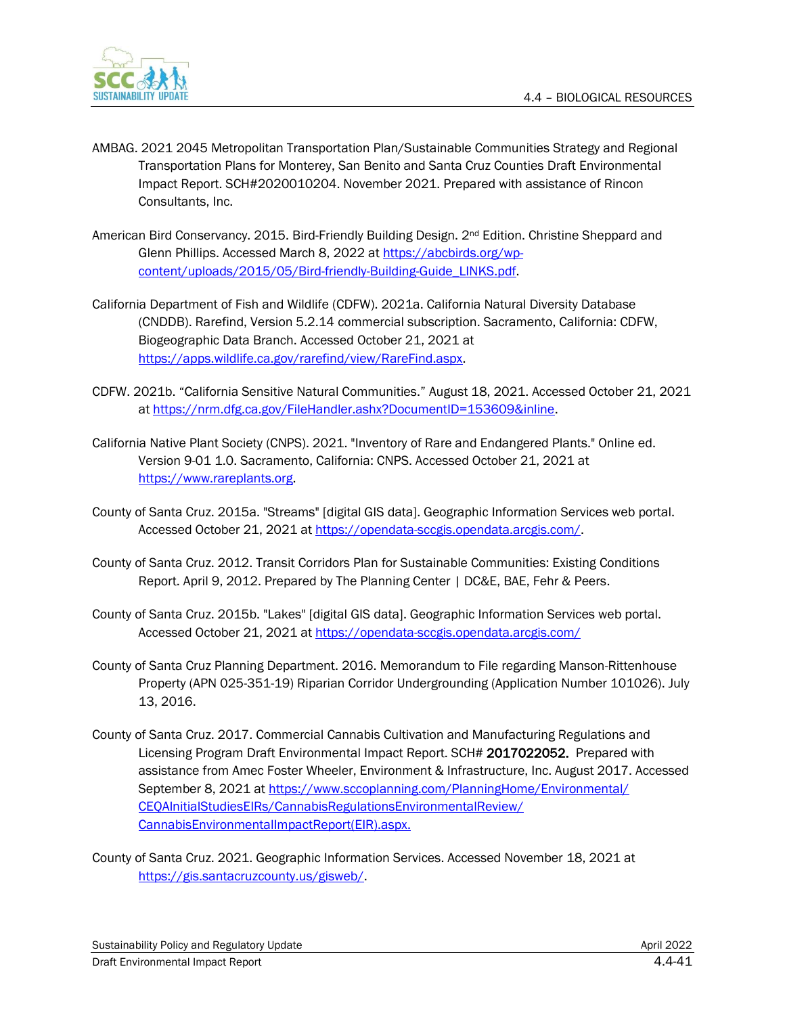

- AMBAG. 2021 2045 Metropolitan Transportation Plan/Sustainable Communities Strategy and Regional Transportation Plans for Monterey, San Benito and Santa Cruz Counties Draft Environmental Impact Report. SCH#2020010204. November 2021. Prepared with assistance of Rincon Consultants, Inc.
- American Bird Conservancy. 2015. Bird-Friendly Building Design. 2nd Edition. Christine Sheppard and Glenn Phillips. Accessed March 8, 2022 at [https://abcbirds.org/wp](https://abcbirds.org/wp-content/uploads/2015/05/Bird-friendly-Building-Guide_LINKS.pdf)[content/uploads/2015/05/Bird-friendly-Building-Guide\\_LINKS.pdf.](https://abcbirds.org/wp-content/uploads/2015/05/Bird-friendly-Building-Guide_LINKS.pdf)
- California Department of Fish and Wildlife (CDFW). 2021a. California Natural Diversity Database (CNDDB). Rarefind, Version 5.2.14 commercial subscription. Sacramento, California: CDFW, Biogeographic Data Branch. Accessed October 21, 2021 at [https://apps.wildlife.ca.gov/rarefind/view/RareFind.aspx.](https://apps.wildlife.ca.gov/rarefind/view/RareFind.aspx)
- CDFW. 2021b. "California Sensitive Natural Communities." August 18, 2021. Accessed October 21, 2021 at [https://nrm.dfg.ca.gov/FileHandler.ashx?DocumentID=153609&inline.](https://nrm.dfg.ca.gov/FileHandler.ashx?DocumentID=153609&inline)
- California Native Plant Society (CNPS). 2021. "Inventory of Rare and Endangered Plants." Online ed. Version 9-01 1.0. Sacramento, California: CNPS. Accessed October 21, 2021 at [https://www.rareplants.org.](https://www.rareplants.org/)
- County of Santa Cruz. 2015a. "Streams" [digital GIS data]. Geographic Information Services web portal. Accessed October 21, 2021 at [https://opendata-sccgis.opendata.arcgis.com/.](https://opendata-sccgis.opendata.arcgis.com/)
- County of Santa Cruz. 2012. Transit Corridors Plan for Sustainable Communities: Existing Conditions Report. April 9, 2012. Prepared by The Planning Center | DC&E, BAE, Fehr & Peers.
- County of Santa Cruz. 2015b. "Lakes" [digital GIS data]. Geographic Information Services web portal. Accessed October 21, 2021 at<https://opendata-sccgis.opendata.arcgis.com/>
- County of Santa Cruz Planning Department. 2016. Memorandum to File regarding Manson-Rittenhouse Property (APN 025-351-19) Riparian Corridor Undergrounding (Application Number 101026). July 13, 2016.
- County of Santa Cruz. 2017. Commercial Cannabis Cultivation and Manufacturing Regulations and Licensing Program Draft Environmental Impact Report. SCH# 2017022052. Prepared with assistance from Amec Foster Wheeler, Environment & Infrastructure, Inc. August 2017. Accessed September 8, 2021 a[t https://www.sccoplanning.com/PlanningHome/Environmental/](https://www.sccoplanning.com/PlanningHome/Environmental/CEQAInitialStudiesEIRs/CannabisRegulationsEnvironmentalReview/CannabisEnvironmentalImpactReport(EIR).aspx) [CEQAInitialStudiesEIRs/CannabisRegulationsEnvironmentalReview/](https://www.sccoplanning.com/PlanningHome/Environmental/CEQAInitialStudiesEIRs/CannabisRegulationsEnvironmentalReview/CannabisEnvironmentalImpactReport(EIR).aspx) [CannabisEnvironmentalImpactReport\(EIR\).aspx.](https://www.sccoplanning.com/PlanningHome/Environmental/CEQAInitialStudiesEIRs/CannabisRegulationsEnvironmentalReview/CannabisEnvironmentalImpactReport(EIR).aspx)
- County of Santa Cruz. 2021. Geographic Information Services. Accessed November 18, 2021 at [https://gis.santacruzcounty.us/gisweb/.](https://gis.santacruzcounty.us/gisweb/)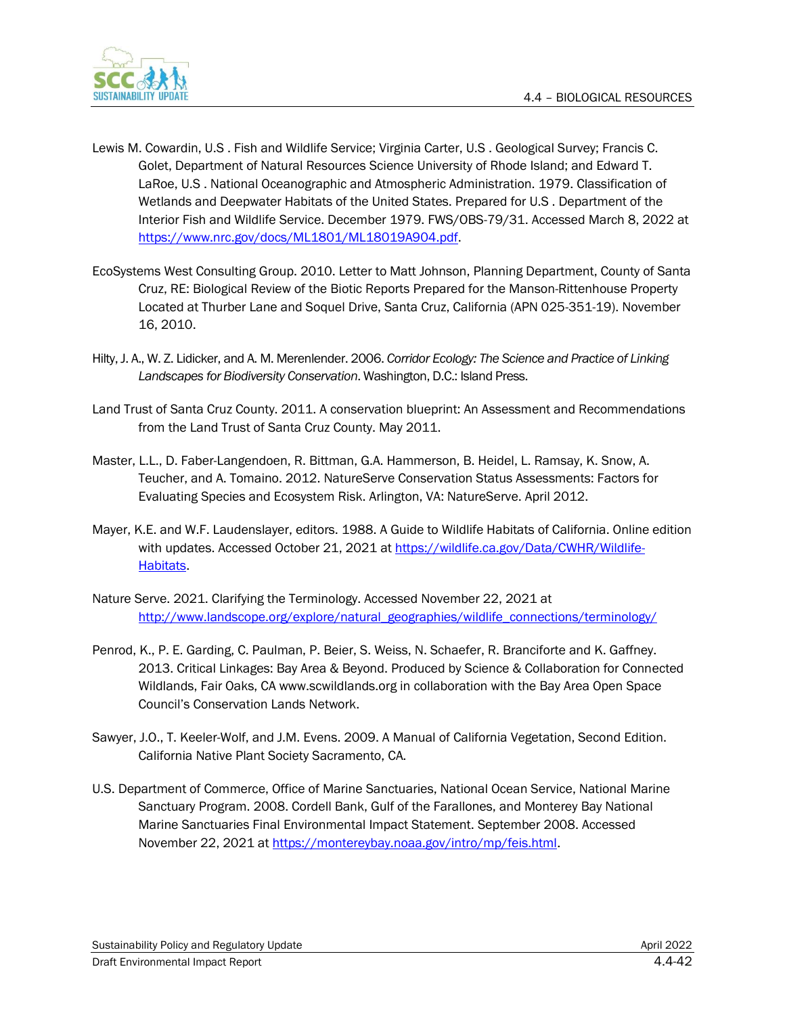

- Lewis M. Cowardin, U.S . Fish and Wildlife Service; Virginia Carter, U.S . Geological Survey; Francis C. Golet, Department of Natural Resources Science University of Rhode Island; and Edward T. LaRoe, U.S . National Oceanographic and Atmospheric Administration. 1979. Classification of Wetlands and Deepwater Habitats of the United States. Prepared for U.S . Department of the Interior Fish and Wildlife Service. December 1979. FWS/OBS-79/31. Accessed March 8, 2022 at [https://www.nrc.gov/docs/ML1801/ML18019A904.pdf.](https://www.nrc.gov/docs/ML1801/ML18019A904.pdf)
- EcoSystems West Consulting Group. 2010. Letter to Matt Johnson, Planning Department, County of Santa Cruz, RE: Biological Review of the Biotic Reports Prepared for the Manson-Rittenhouse Property Located at Thurber Lane and Soquel Drive, Santa Cruz, California (APN 025-351-19). November 16, 2010.
- Hilty, J. A., W. Z. Lidicker, and A. M. Merenlender. 2006. *Corridor Ecology: The Science and Practice of Linking Landscapes for Biodiversity Conservation*. Washington, D.C.: Island Press.
- Land Trust of Santa Cruz County. 2011. A conservation blueprint: An Assessment and Recommendations from the Land Trust of Santa Cruz County. May 2011.
- Master, L.L., D. Faber-Langendoen, R. Bittman, G.A. Hammerson, B. Heidel, L. Ramsay, K. Snow, A. Teucher, and A. Tomaino. 2012. NatureServe Conservation Status Assessments: Factors for Evaluating Species and Ecosystem Risk. Arlington, VA: NatureServe. April 2012.
- Mayer, K.E. and W.F. Laudenslayer, editors. 1988. A Guide to Wildlife Habitats of California. Online edition with updates. Accessed October 21, 2021 at [https://wildlife.ca.gov/Data/CWHR/Wildlife-](https://wildlife.ca.gov/Data/CWHR/Wildlife-Habitats)[Habitats.](https://wildlife.ca.gov/Data/CWHR/Wildlife-Habitats)
- Nature Serve. 2021. Clarifying the Terminology. Accessed November 22, 2021 at [http://www.landscope.org/explore/natural\\_geographies/wildlife\\_connections/terminology/](http://www.landscope.org/explore/natural_geographies/wildlife_connections/terminology/)
- Penrod, K., P. E. Garding, C. Paulman, P. Beier, S. Weiss, N. Schaefer, R. Branciforte and K. Gaffney. 2013. Critical Linkages: Bay Area & Beyond. Produced by Science & Collaboration for Connected Wildlands, Fair Oaks, CA www.scwildlands.org in collaboration with the Bay Area Open Space Council's Conservation Lands Network.
- Sawyer, J.O., T. Keeler-Wolf, and J.M. Evens. 2009. A Manual of California Vegetation, Second Edition. California Native Plant Society Sacramento, CA.
- U.S. Department of Commerce, Office of Marine Sanctuaries, National Ocean Service, National Marine Sanctuary Program. 2008. Cordell Bank, Gulf of the Farallones, and Monterey Bay National Marine Sanctuaries Final Environmental Impact Statement. September 2008. Accessed November 22, 2021 at [https://montereybay.noaa.gov/intro/mp/feis.html.](https://montereybay.noaa.gov/intro/mp/feis.html)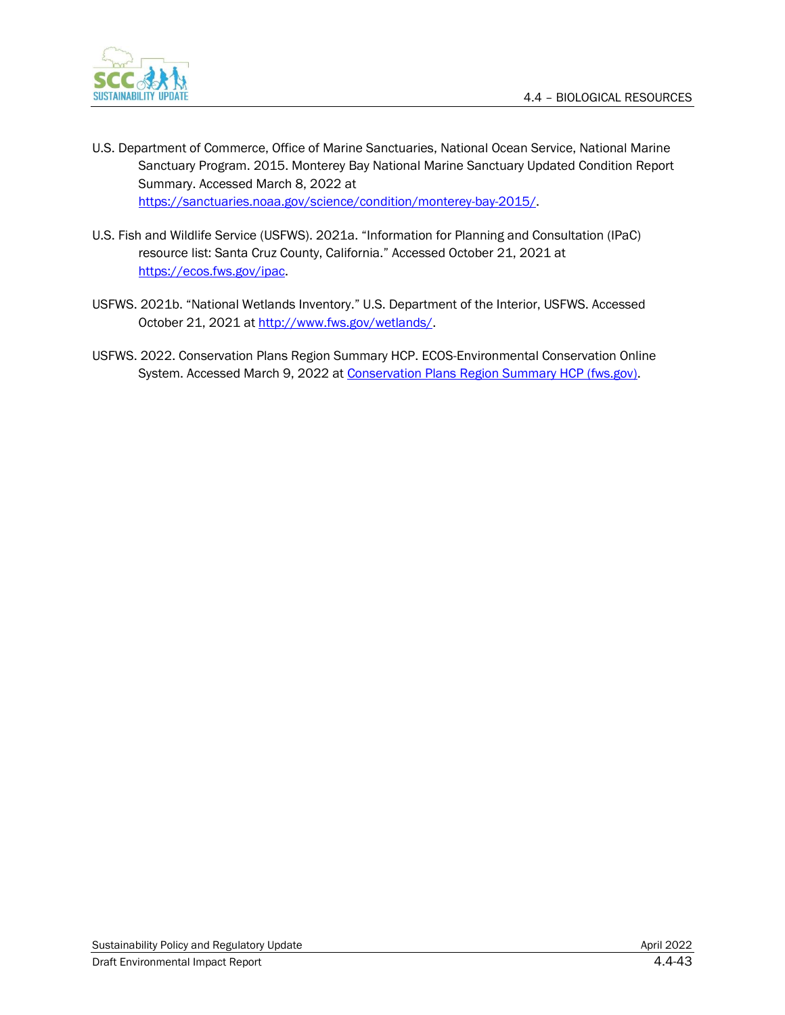

- U.S. Department of Commerce, Office of Marine Sanctuaries, National Ocean Service, National Marine Sanctuary Program. 2015. Monterey Bay National Marine Sanctuary Updated Condition Report Summary. Accessed March 8, 2022 at [https://sanctuaries.noaa.gov/science/condition/monterey-bay-2015/.](https://sanctuaries.noaa.gov/science/condition/monterey-bay-2015/)
- U.S. Fish and Wildlife Service (USFWS). 2021a. "Information for Planning and Consultation (IPaC) resource list: Santa Cruz County, California." Accessed October 21, 2021 at [https://ecos.fws.gov/ipac.](https://ecos.fws.gov/ipac)
- USFWS. 2021b. "National Wetlands Inventory." U.S. Department of the Interior, USFWS. Accessed October 21, 2021 at http://www.fws.gov/wetlands/
- USFWS. 2022. Conservation Plans Region Summary HCP. ECOS-Environmental Conservation Online System. Accessed March 9, 2022 at [Conservation Plans Region Summary HCP \(fws.gov\).](https://ecos.fws.gov/ecp/report/conservation-plans-region-summary?region=8&type=HCP)